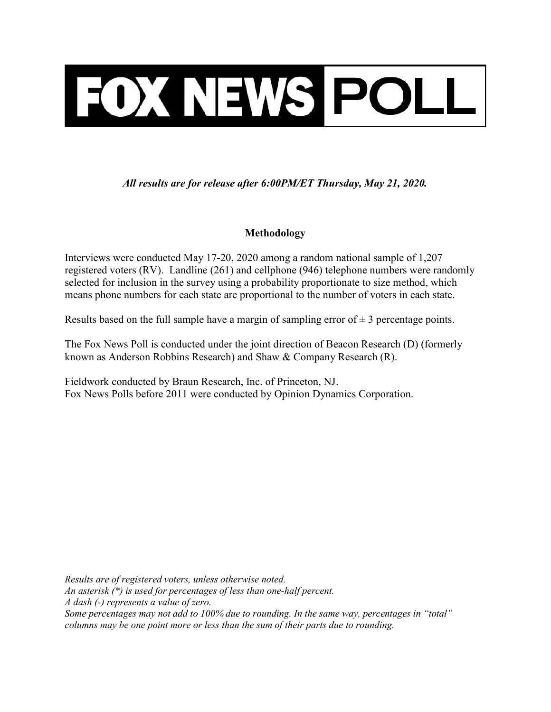

All results are for release after 6:00PM/ET Thursday, May 21, 2020.

# Methodology

Interviews were conducted May 17-20, 2020 among a random national sample of 1,207 registered voters (RV). Landline (261) and cellphone (946) telephone numbers were randomly selected for inclusion in the survey using a probability proportionate to size method, which means phone numbers for each state are proportional to the number of voters in each state.

Results based on the full sample have a margin of sampling error of  $\pm$  3 percentage points.

The Fox News Poll is conducted under the joint direction of Beacon Research (D) (formerly known as Anderson Robbins Research) and Shaw & Company Research (R).

Fieldwork conducted by Braun Research, Inc. of Princeton, NJ. Fox News Polls before 2011 were conducted by Opinion Dynamics Corporation.

Results are of registered voters, unless otherwise noted. An asterisk (\*) is used for percentages of less than one-half percent. A dash (-) represents a value of zero. Some percentages may not add to 100% due to rounding. In the same way, percentages in "total" columns may be one point more or less than the sum of their parts due to rounding.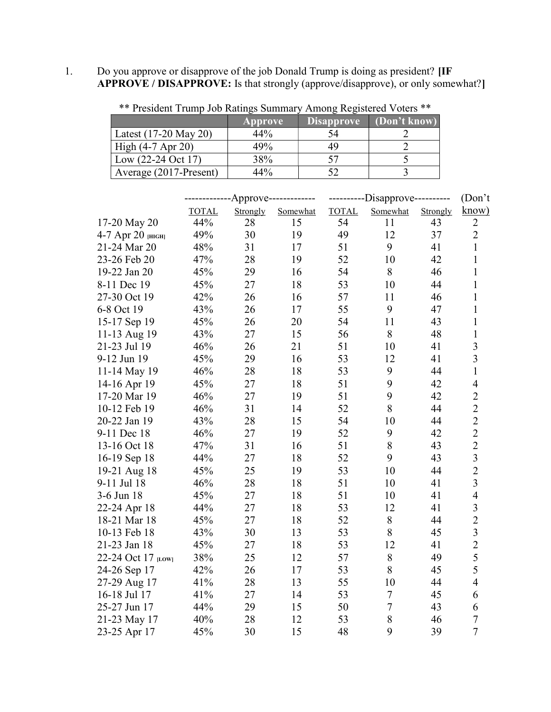1. Do you approve or disapprove of the job Donald Trump is doing as president? [IF APPROVE / DISAPPROVE: Is that strongly (approve/disapprove), or only somewhat?]

| Tresident Trump Job Kanngs Bunnhary Among Registered Voters |                |                   |              |
|-------------------------------------------------------------|----------------|-------------------|--------------|
|                                                             | <b>Approve</b> | <b>Disapprove</b> | (Don't know) |
| Latest $(17-20$ May 20)                                     | 44%            | 54                |              |
| High $(4-7$ Apr 20)                                         | 49%            | 49                |              |
| Low $(22-24 \text{ Oct } 17)$                               | 38%            |                   |              |
| Average (2017-Present)                                      | 44%            |                   |              |

\*\* President Trump Job Ratings Summary Among Registered Voters \*\*

|                    | ---Approve------------- |          | ---------Disapprove---------- |              |                  | (Don't)  |                                                   |
|--------------------|-------------------------|----------|-------------------------------|--------------|------------------|----------|---------------------------------------------------|
|                    | <b>TOTAL</b>            | Strongly | Somewhat                      | <b>TOTAL</b> | Somewhat         | Strongly | know)                                             |
| 17-20 May 20       | 44%                     | 28       | 15                            | 54           | 11               | 43       | $\overline{2}$                                    |
| 4-7 Арг 20 [НІСН]  | 49%                     | 30       | 19                            | 49           | 12               | 37       | $\overline{2}$                                    |
| 21-24 Mar 20       | 48%                     | 31       | 17                            | 51           | 9                | 41       | $\mathbf{1}$                                      |
| 23-26 Feb 20       | 47%                     | 28       | 19                            | 52           | 10               | 42       | $\mathbf{1}$                                      |
| 19-22 Jan 20       | 45%                     | 29       | 16                            | 54           | 8                | 46       | $\mathbf{1}$                                      |
| 8-11 Dec 19        | 45%                     | 27       | 18                            | 53           | 10               | 44       | $\mathbf{1}$                                      |
| 27-30 Oct 19       | 42%                     | 26       | 16                            | 57           | 11               | 46       | $\mathbf{1}$                                      |
| 6-8 Oct 19         | 43%                     | 26       | 17                            | 55           | 9                | 47       | $\mathbf{1}$                                      |
| 15-17 Sep 19       | 45%                     | 26       | 20                            | 54           | 11               | 43       | $\mathbf{1}$                                      |
| 11-13 Aug 19       | 43%                     | 27       | 15                            | 56           | 8                | 48       | $\mathbf 1$                                       |
| 21-23 Jul 19       | 46%                     | 26       | 21                            | 51           | 10               | 41       | $\overline{3}$                                    |
| 9-12 Jun 19        | 45%                     | 29       | 16                            | 53           | 12               | 41       | $\overline{\mathbf{3}}$                           |
| 11-14 May 19       | 46%                     | 28       | 18                            | 53           | 9                | 44       | $\mathbf{1}$                                      |
| 14-16 Apr 19       | 45%                     | 27       | 18                            | 51           | 9                | 42       | $\overline{4}$                                    |
| 17-20 Mar 19       | 46%                     | 27       | 19                            | 51           | 9                | 42       |                                                   |
| 10-12 Feb 19       | 46%                     | 31       | 14                            | 52           | 8                | 44       | $\frac{2}{2}$                                     |
| 20-22 Jan 19       | 43%                     | 28       | 15                            | 54           | 10               | 44       | $\begin{array}{c}\n2 \\ 2 \\ 3 \\ 2\n\end{array}$ |
| 9-11 Dec 18        | 46%                     | 27       | 19                            | 52           | 9                | 42       |                                                   |
| 13-16 Oct 18       | 47%                     | 31       | 16                            | 51           | 8                | 43       |                                                   |
| 16-19 Sep 18       | 44%                     | 27       | 18                            | 52           | 9                | 43       |                                                   |
| 19-21 Aug 18       | 45%                     | 25       | 19                            | 53           | 10               | 44       |                                                   |
| 9-11 Jul 18        | 46%                     | 28       | 18                            | 51           | 10               | 41       | $\overline{3}$                                    |
| 3-6 Jun 18         | 45%                     | 27       | 18                            | 51           | 10               | 41       | $\overline{4}$                                    |
| 22-24 Apr 18       | 44%                     | 27       | 18                            | 53           | 12               | 41       | $\overline{\mathbf{3}}$                           |
| 18-21 Mar 18       | 45%                     | 27       | 18                            | 52           | 8                | 44       | $\begin{array}{c} 2 \\ 3 \\ 2 \\ 5 \end{array}$   |
| 10-13 Feb 18       | 43%                     | 30       | 13                            | 53           | 8                | 45       |                                                   |
| 21-23 Jan 18       | 45%                     | 27       | 18                            | 53           | 12               | 41       |                                                   |
| 22-24 Oct 17 [LOW] | 38%                     | 25       | 12                            | 57           | 8                | 49       |                                                   |
| 24-26 Sep 17       | 42%                     | 26       | 17                            | 53           | 8                | 45       | 5                                                 |
| 27-29 Aug 17       | 41%                     | 28       | 13                            | 55           | 10               | 44       | $\overline{\mathbf{4}}$                           |
| 16-18 Jul 17       | 41%                     | 27       | 14                            | 53           | $\tau$           | 45       | 6                                                 |
| 25-27 Jun 17       | 44%                     | 29       | 15                            | 50           | $\boldsymbol{7}$ | 43       | 6                                                 |
| 21-23 May 17       | 40%                     | 28       | 12                            | 53           | 8                | 46       | $\boldsymbol{7}$                                  |
| 23-25 Apr 17       | 45%                     | 30       | 15                            | 48           | 9                | 39       | $\overline{7}$                                    |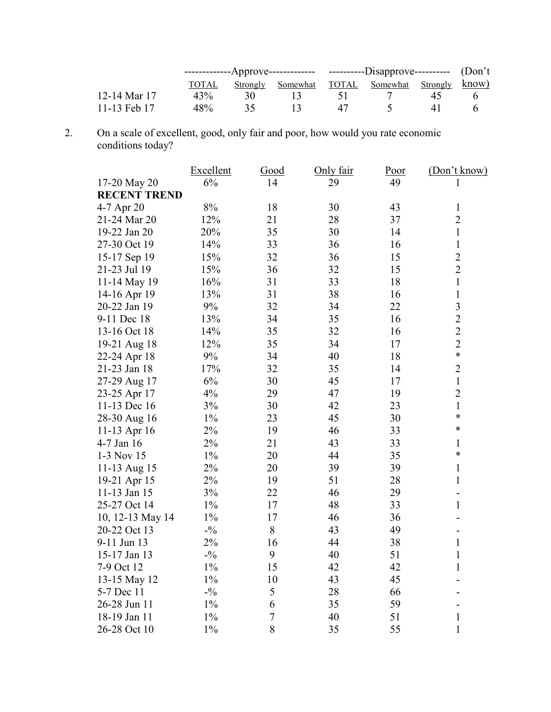|              | -------------Approve------------- ----------Disapprove---------- (Don't |     |                                                 |    |  |  |  |
|--------------|-------------------------------------------------------------------------|-----|-------------------------------------------------|----|--|--|--|
|              | TOTAL                                                                   |     | Strongly Somewhat TOTAL Somewhat Strongly know) |    |  |  |  |
| 12-14 Mar 17 | 43%                                                                     | 30. |                                                 |    |  |  |  |
| 11-13 Feb 17 | 48%                                                                     |     | $\mathbf{1}$                                    | 47 |  |  |  |

2. On a scale of excellent, good, only fair and poor, how would you rate economic conditions today?

|                     | Excellent | Good           | Only fair | Poor | (Don't know)            |
|---------------------|-----------|----------------|-----------|------|-------------------------|
| 17-20 May 20        | 6%        | 14             | 29        | 49   | 1                       |
| <b>RECENT TREND</b> |           |                |           |      |                         |
| 4-7 Apr 20          | $8\%$     | 18             | 30        | 43   | 1                       |
| 21-24 Mar 20        | 12%       | 21             | 28        | 37   | $\overline{2}$          |
| 19-22 Jan 20        | 20%       | 35             | 30        | 14   | $\mathbf{1}$            |
| 27-30 Oct 19        | 14%       | 33             | 36        | 16   | $\mathbf{1}$            |
| 15-17 Sep 19        | 15%       | 32             | 36        | 15   | $\overline{c}$          |
| 21-23 Jul 19        | 15%       | 36             | 32        | 15   | $\overline{c}$          |
| 11-14 May 19        | 16%       | 31             | 33        | 18   | $\mathbf{1}$            |
| 14-16 Apr 19        | 13%       | 31             | 38        | 16   | $\mathbf{1}$            |
| 20-22 Jan 19        | 9%        | 32             | 34        | 22   | $\overline{\mathbf{3}}$ |
| 9-11 Dec 18         | 13%       | 34             | 35        | 16   | $\overline{2}$          |
| 13-16 Oct 18        | 14%       | 35             | 32        | 16   | $\overline{2}$          |
| 19-21 Aug 18        | 12%       | 35             | 34        | 17   | $\overline{2}$          |
| 22-24 Apr 18        | 9%        | 34             | 40        | 18   | $\ast$                  |
| 21-23 Jan 18        | 17%       | 32             | 35        | 14   | $\overline{2}$          |
| 27-29 Aug 17        | 6%        | 30             | 45        | 17   | $\mathbf{1}$            |
| 23-25 Apr 17        | 4%        | 29             | 47        | 19   | $\overline{2}$          |
| 11-13 Dec 16        | 3%        | 30             | 42        | 23   | $\mathbf{1}$            |
| 28-30 Aug 16        | $1\%$     | 23             | 45        | 30   | *                       |
| 11-13 Apr 16        | $2\%$     | 19             | 46        | 33   | $\ast$                  |
| 4-7 Jan 16          | 2%        | 21             | 43        | 33   | $\mathbf{1}$            |
| 1-3 Nov 15          | $1\%$     | 20             | 44        | 35   | $\ast$                  |
| 11-13 Aug 15        | 2%        | 20             | 39        | 39   | 1                       |
| 19-21 Apr 15        | $2\%$     | 19             | 51        | 28   | $\mathbf{1}$            |
| 11-13 Jan 15        | 3%        | 22             | 46        | 29   | $\overline{a}$          |
| 25-27 Oct 14        | $1\%$     | 17             | 48        | 33   | $\mathbf{1}$            |
| 10, 12-13 May 14    | $1\%$     | 17             | 46        | 36   |                         |
| 20-22 Oct 13        | $-1/2$    | 8              | 43        | 49   |                         |
| 9-11 Jun 13         | 2%        | 16             | 44        | 38   | $\mathbf{1}$            |
| 15-17 Jan 13        | $-1/2$    | 9              | 40        | 51   | $\mathbf{1}$            |
| 7-9 Oct 12          | $1\%$     | 15             | 42        | 42   | $\mathbf{1}$            |
| 13-15 May 12        | $1\%$     | 10             | 43        | 45   |                         |
| 5-7 Dec 11          | $-1/2$    | 5              | 28        | 66   |                         |
| 26-28 Jun 11        | $1\%$     | 6              | 35        | 59   | $\overline{a}$          |
| 18-19 Jan 11        | $1\%$     | $\overline{7}$ | 40        | 51   | $\mathbf{1}$            |
| 26-28 Oct 10        | $1\%$     | 8              | 35        | 55   | $\mathbf{1}$            |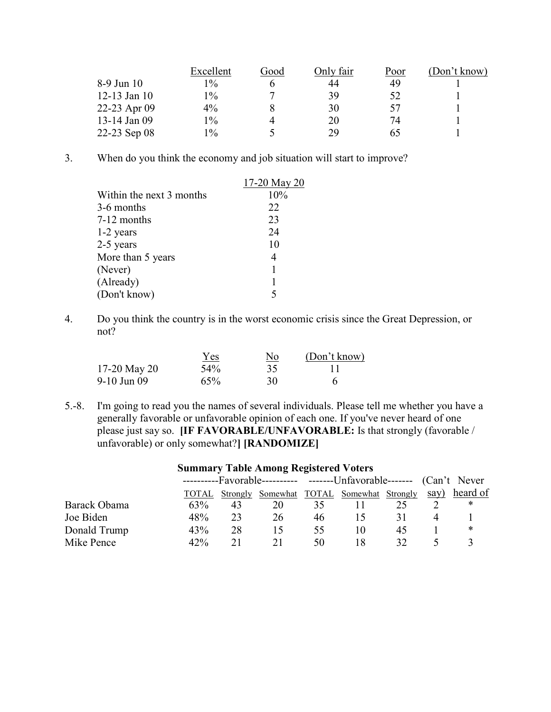|                | Excellent | Good | Only fair | Poor | (Don't know) |
|----------------|-----------|------|-----------|------|--------------|
| 8-9 Jun 10     | $1\%$     |      | 44        | 49   |              |
| $12-13$ Jan 10 | $1\%$     |      | 39        | 52   |              |
| 22-23 Apr 09   | 4%        |      | 30        | 57   |              |
| 13-14 Jan 09   | $1\%$     |      | 20        | 74   |              |
| 22-23 Sep 08   | $1\%$     |      | 29        | 65   |              |

3. When do you think the economy and job situation will start to improve?

|                          | 17-20 May 20 |
|--------------------------|--------------|
| Within the next 3 months | 10%          |
| 3-6 months               | 22           |
| 7-12 months              | 23           |
| 1-2 years                | 24           |
| 2-5 years                | 10           |
| More than 5 years        | 4            |
| (Never)                  |              |
| (Already)                |              |
| (Don't know)             |              |

4. Do you think the country is in the worst economic crisis since the Great Depression, or not?

|              | <b>Yes</b> | <u>No</u> | (Don't know) |
|--------------|------------|-----------|--------------|
| 17-20 May 20 | 54%        | 35        |              |
| 9-10 Jun 09  | 65%        | 30        |              |

5.-8. I'm going to read you the names of several individuals. Please tell me whether you have a generally favorable or unfavorable opinion of each one. If you've never heard of one please just say so. [IF FAVORABLE/UNFAVORABLE: Is that strongly (favorable / unfavorable) or only somewhat?] [RANDOMIZE]

| Summary Lable Among Registered Voters |       |                                                                      |                                  |    |    |    |      |          |
|---------------------------------------|-------|----------------------------------------------------------------------|----------------------------------|----|----|----|------|----------|
|                                       |       | ----------Favorable---------- -------Unfavorable------- (Can't Never |                                  |    |    |    |      |          |
|                                       | TOTAL | <b>Strongly</b>                                                      | Somewhat TOTAL Somewhat Strongly |    |    |    | say) | heard of |
| Barack Obama                          | 63%   | 43                                                                   | 20                               | 35 |    |    |      | ∗        |
| Joe Biden                             | 48%   | 23                                                                   | 26                               | 46 |    |    |      |          |
| Donald Trump                          | 43%   | 28                                                                   | 15                               | 55 | 10 | 45 |      | ∗        |
| Mike Pence                            | 42%   | 21                                                                   |                                  | 50 | 18 | 32 |      |          |

# Summary Table Among Registered Voters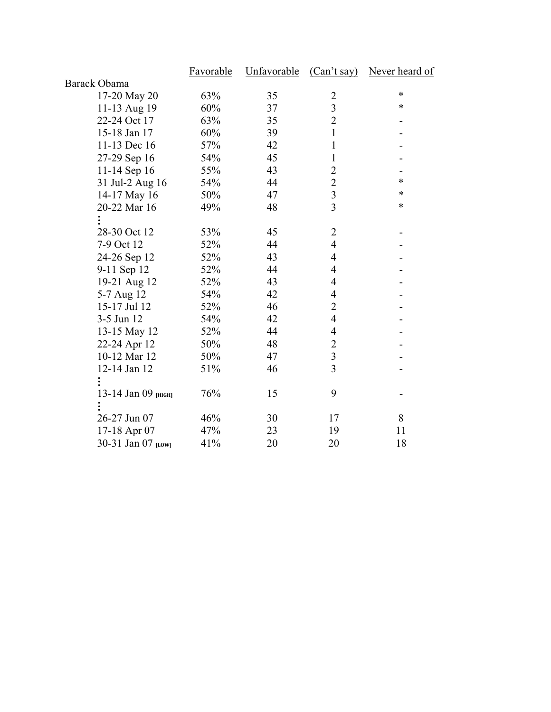|                     | Favorable | Unfavorable (Can't say) |                          | Never heard of |
|---------------------|-----------|-------------------------|--------------------------|----------------|
| <b>Barack Obama</b> |           |                         |                          |                |
| 17-20 May 20        | 63%       | 35                      | $\overline{2}$           | $\ast$         |
| 11-13 Aug 19        | 60%       | 37                      | $\overline{3}$           | *              |
| 22-24 Oct 17        | 63%       | 35                      | $\overline{2}$           |                |
| 15-18 Jan 17        | 60%       | 39                      | 1                        |                |
| 11-13 Dec 16        | 57%       | 42                      | 1                        |                |
| 27-29 Sep 16        | 54%       | 45                      | 1                        |                |
| 11-14 Sep 16        | 55%       | 43                      | $\overline{c}$           |                |
| 31 Jul-2 Aug 16     | 54%       | 44                      | $\overline{2}$           | *              |
| 14-17 May 16        | 50%       | 47                      | $\overline{3}$           | *              |
| 20-22 Mar 16        | 49%       | 48                      | $\overline{3}$           | $\ast$         |
|                     |           |                         |                          |                |
| 28-30 Oct 12        | 53%       | 45                      | 2                        |                |
| 7-9 Oct 12          | 52%       | 44                      | $\overline{4}$           |                |
| 24-26 Sep 12        | 52%       | 43                      | $\overline{4}$           |                |
| 9-11 Sep 12         | 52%       | 44                      | 4                        |                |
| 19-21 Aug 12        | 52%       | 43                      | 4                        |                |
| 5-7 Aug 12          | 54%       | 42                      | 4                        |                |
| 15-17 Jul 12        | 52%       | 46                      | $\overline{2}$           |                |
| 3-5 Jun 12          | 54%       | 42                      | $\overline{\mathcal{L}}$ |                |
| 13-15 May 12        | 52%       | 44                      | $\overline{4}$           |                |
| 22-24 Apr 12        | 50%       | 48                      | $\overline{2}$           |                |
| 10-12 Mar 12        | 50%       | 47                      | $\overline{\mathbf{3}}$  |                |
| 12-14 Jan 12        | 51%       | 46                      | $\overline{3}$           |                |
|                     |           |                         |                          |                |
| 13-14 Jan 09 [НІСН] | 76%       | 15                      | 9                        |                |
|                     |           |                         |                          |                |
| 26-27 Jun 07        | 46%       | 30                      | 17                       | 8              |
| 17-18 Apr 07        | 47%       | 23                      | 19                       | 11             |
| 30-31 Jan 07 [LOW]  | 41%       | 20                      | 20                       | 18             |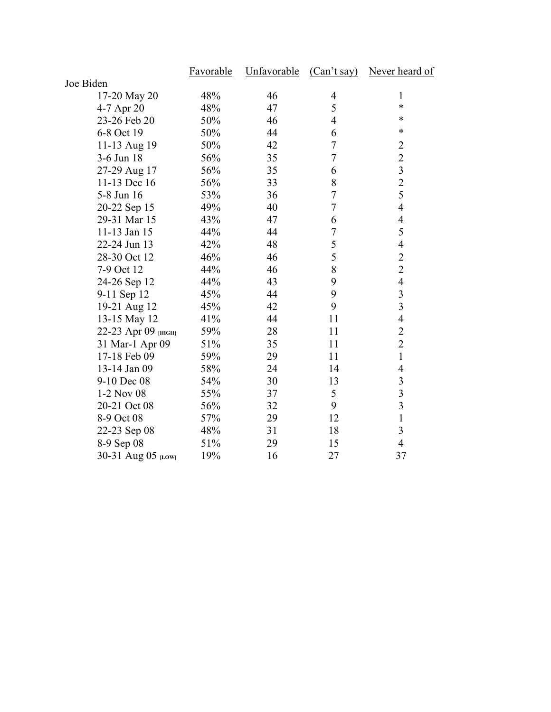|                     | Favorable | Unfavorable |                | (Can't say) Never heard of |
|---------------------|-----------|-------------|----------------|----------------------------|
| Joe Biden           |           |             |                |                            |
| 17-20 May 20        | 48%       | 46          | 4              | 1                          |
| 4-7 Apr 20          | 48%       | 47          | 5              | *                          |
| 23-26 Feb 20        | 50%       | 46          | $\overline{4}$ | *                          |
| 6-8 Oct 19          | 50%       | 44          | 6              | *                          |
| 11-13 Aug 19        | 50%       | 42          | 7              | $\overline{c}$             |
| 3-6 Jun 18          | 56%       | 35          | $\overline{7}$ | $\overline{2}$             |
| 27-29 Aug 17        | 56%       | 35          | 6              | $\overline{\mathbf{3}}$    |
| 11-13 Dec 16        | 56%       | 33          | 8              | $\overline{c}$             |
| 5-8 Jun 16          | 53%       | 36          | $\overline{7}$ | 5                          |
| 20-22 Sep 15        | 49%       | 40          | $\overline{7}$ | $\overline{4}$             |
| 29-31 Mar 15        | 43%       | 47          | 6              | $\overline{4}$             |
| 11-13 Jan 15        | 44%       | 44          | $\overline{7}$ | 5                          |
| 22-24 Jun 13        | 42%       | 48          | 5              | $\overline{4}$             |
| 28-30 Oct 12        | 46%       | 46          | 5              | $\overline{2}$             |
| 7-9 Oct 12          | 44%       | 46          | 8              | $\overline{2}$             |
| 24-26 Sep 12        | 44%       | 43          | 9              | $\overline{4}$             |
| 9-11 Sep 12         | 45%       | 44          | 9              | 3                          |
| 19-21 Aug 12        | 45%       | 42          | 9              | $\overline{3}$             |
| 13-15 May 12        | 41%       | 44          | 11             | $\overline{4}$             |
| 22-23 Арг 09 [НІСН] | 59%       | 28          | 11             | $\overline{2}$             |
| 31 Mar-1 Apr 09     | 51%       | 35          | 11             | $\overline{2}$             |
| 17-18 Feb 09        | 59%       | 29          | 11             | $\mathbf{1}$               |
| 13-14 Jan 09        | 58%       | 24          | 14             | $\overline{4}$             |
| 9-10 Dec 08         | 54%       | 30          | 13             | 3                          |
| 1-2 Nov 08          | 55%       | 37          | 5              | $\overline{3}$             |
| 20-21 Oct 08        | 56%       | 32          | 9              | 3                          |
| 8-9 Oct 08          | 57%       | 29          | 12             | $\mathbf{1}$               |
| 22-23 Sep 08        | 48%       | 31          | 18             | 3                          |
| 8-9 Sep 08          | 51%       | 29          | 15             | $\overline{4}$             |
| 30-31 Aug 05 [LOW]  | 19%       | 16          | 27             | 37                         |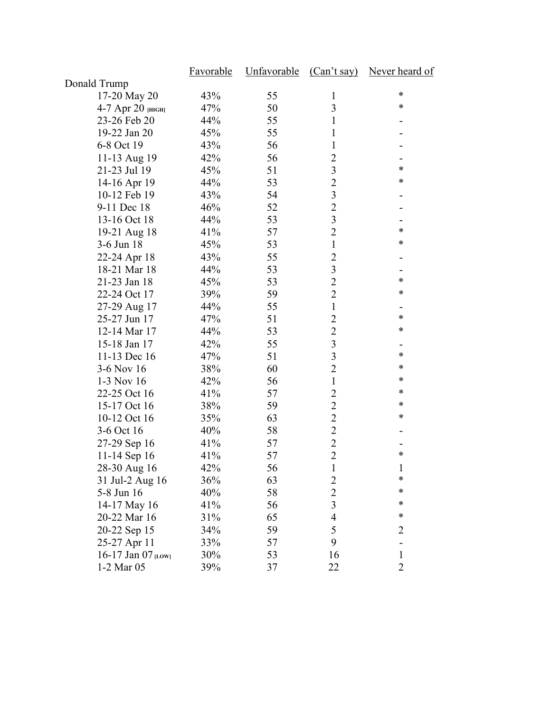|                      | <b>Favorable</b> | Unfavorable | (Can't say)    | Never heard of |
|----------------------|------------------|-------------|----------------|----------------|
| Donald Trump         |                  |             |                |                |
| 17-20 May 20         | 43%              | 55          | $\mathbf{1}$   | ∗              |
| 4-7 Арг 20 [НІСН]    | 47%              | 50          | 3              | ∗              |
| 23-26 Feb 20         | 44%              | 55          | 1              |                |
| 19-22 Jan 20         | 45%              | 55          | 1              |                |
| 6-8 Oct 19           | 43%              | 56          | $\mathbf{1}$   |                |
| 11-13 Aug 19         | 42%              | 56          | $\overline{2}$ |                |
| 21-23 Jul 19         | 45%              | 51          | 3              | *              |
| 14-16 Apr 19         | 44%              | 53          | $\overline{2}$ | $\ast$         |
| 10-12 Feb 19         | 43%              | 54          | 3              |                |
| 9-11 Dec 18          | 46%              | 52          | $\overline{2}$ |                |
| 13-16 Oct 18         | 44%              | 53          | 3              |                |
| 19-21 Aug 18         | 41%              | 57          | $\overline{2}$ | ∗              |
| 3-6 Jun 18           | 45%              | 53          | $\mathbf{1}$   | ∗              |
| 22-24 Apr 18         | 43%              | 55          | 2              |                |
| 18-21 Mar 18         | 44%              | 53          | $\mathfrak{Z}$ |                |
| 21-23 Jan 18         | 45%              | 53          | $\overline{2}$ | $\ast$         |
| 22-24 Oct 17         | 39%              | 59          | $\overline{2}$ | $\ast$         |
| 27-29 Aug 17         | 44%              | 55          | $\mathbf{1}$   |                |
| 25-27 Jun 17         | 47%              | 51          | $\overline{2}$ | ∗              |
| 12-14 Mar 17         | 44%              | 53          | $\overline{2}$ | ∗              |
| 15-18 Jan 17         | 42%              | 55          | 3              |                |
| 11-13 Dec 16         | 47%              | 51          | 3              | ∗              |
| 3-6 Nov 16           | 38%              | 60          | $\overline{2}$ | ∗              |
| 1-3 Nov 16           | 42%              | 56          | $\mathbf{1}$   | ∗              |
| 22-25 Oct 16         | 41%              | 57          | $\overline{2}$ | ∗              |
| 15-17 Oct 16         | 38%              | 59          | $\overline{2}$ | ∗              |
| 10-12 Oct 16         | 35%              | 63          | $\overline{2}$ | ∗              |
| 3-6 Oct 16           | 40%              | 58          | $\overline{2}$ |                |
| 27-29 Sep 16         | 41%              | 57          | $\overline{2}$ |                |
| 11-14 Sep 16         | 41%              | 57          | $\overline{2}$ | $\ast$         |
| 28-30 Aug 16         | 42%              | 56          | $\mathbf{1}$   | $\mathbf 1$    |
| 31 Jul-2 Aug 16      | 36%              | 63          | $\overline{c}$ | *              |
| 5-8 Jun 16           | 40%              | 58          | $\overline{2}$ | ∗              |
| 14-17 May 16         | 41%              | 56          | $\overline{3}$ | ∗              |
| 20-22 Mar 16         | 31%              | 65          | 4              | $\ast$         |
| 20-22 Sep 15         | 34%              | 59          | 5              | $\overline{c}$ |
| 25-27 Apr 11         | 33%              | 57          | 9              |                |
| 16-17 Jan $07$ [LOW] | 30%              | 53          | 16             | $\mathbf{1}$   |
| 1-2 Mar 05           | 39%              | 37          | 22             | $\overline{2}$ |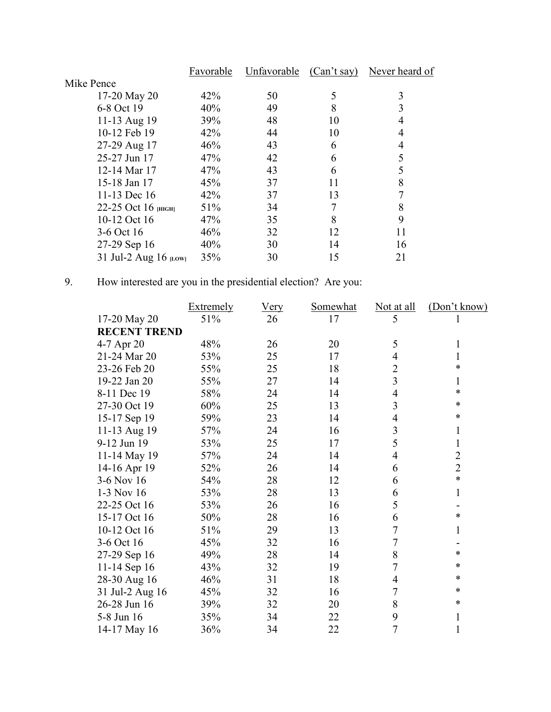|                          | Favorable | Unfavorable | (Can't say) | Never heard of |
|--------------------------|-----------|-------------|-------------|----------------|
| Mike Pence               |           |             |             |                |
| 17-20 May 20             | 42%       | 50          | 5           | 3              |
| 6-8 Oct 19               | 40%       | 49          | 8           | 3              |
| 11-13 Aug 19             | 39%       | 48          | 10          | 4              |
| 10-12 Feb 19             | 42%       | 44          | 10          |                |
| 27-29 Aug 17             | 46%       | 43          | 6           | 4              |
| 25-27 Jun 17             | 47%       | 42          | 6           | 5              |
| 12-14 Mar 17             | 47%       | 43          | 6           | 5              |
| 15-18 Jan 17             | 45%       | 37          | 11          | 8              |
| 11-13 Dec 16             | 42%       | 37          | 13          |                |
| 22-25 Oct 16 $_{[HIGH]}$ | 51%       | 34          | 7           | 8              |
| 10-12 Oct 16             | 47%       | 35          | 8           | 9              |
| 3-6 Oct 16               | 46%       | 32          | 12          | 11             |
| 27-29 Sep 16             | 40%       | 30          | 14          | 16             |
| 31 Jul-2 Aug 16 [LOW]    | 35%       | 30          | 15          | 21             |
|                          |           |             |             |                |

# 9. How interested are you in the presidential election? Are you:

|                     | Extremely | <b>Very</b> | Somewhat | Not at all     | (Don't know)   |
|---------------------|-----------|-------------|----------|----------------|----------------|
| 17-20 May 20        | 51%       | 26          | 17       | 5              |                |
| <b>RECENT TREND</b> |           |             |          |                |                |
| 4-7 Apr 20          | 48%       | 26          | 20       | 5              | 1              |
| 21-24 Mar 20        | 53%       | 25          | 17       | 4              | 1              |
| 23-26 Feb 20        | 55%       | 25          | 18       | $\overline{2}$ | *              |
| 19-22 Jan 20        | 55%       | 27          | 14       | 3              | 1              |
| 8-11 Dec 19         | 58%       | 24          | 14       | 4              | *              |
| 27-30 Oct 19        | 60%       | 25          | 13       | 3              | *              |
| 15-17 Sep 19        | 59%       | 23          | 14       | 4              | $\ast$         |
| 11-13 Aug 19        | 57%       | 24          | 16       | 3              | 1              |
| 9-12 Jun 19         | 53%       | 25          | 17       | 5              | 1              |
| 11-14 May 19        | 57%       | 24          | 14       | 4              | $\overline{2}$ |
| 14-16 Apr 19        | 52%       | 26          | 14       | 6              | $\overline{2}$ |
| 3-6 Nov 16          | 54%       | 28          | 12       | 6              | $\ast$         |
| $1-3$ Nov 16        | 53%       | 28          | 13       | 6              | 1              |
| 22-25 Oct 16        | 53%       | 26          | 16       | 5              |                |
| 15-17 Oct 16        | 50%       | 28          | 16       | 6              | *              |
| 10-12 Oct 16        | 51%       | 29          | 13       | 7              | 1              |
| 3-6 Oct 16          | 45%       | 32          | 16       | $\overline{7}$ |                |
| 27-29 Sep 16        | 49%       | 28          | 14       | 8              | *              |
| 11-14 Sep 16        | 43%       | 32          | 19       | 7              | $\ast$         |
| 28-30 Aug 16        | 46%       | 31          | 18       | 4              | $\ast$         |
| 31 Jul-2 Aug 16     | 45%       | 32          | 16       | 7              | $\ast$         |
| 26-28 Jun 16        | 39%       | 32          | 20       | 8              | $\ast$         |
| 5-8 Jun 16          | 35%       | 34          | 22       | 9              | $\mathbf{1}$   |
| 14-17 May 16        | 36%       | 34          | 22       | $\overline{7}$ | 1              |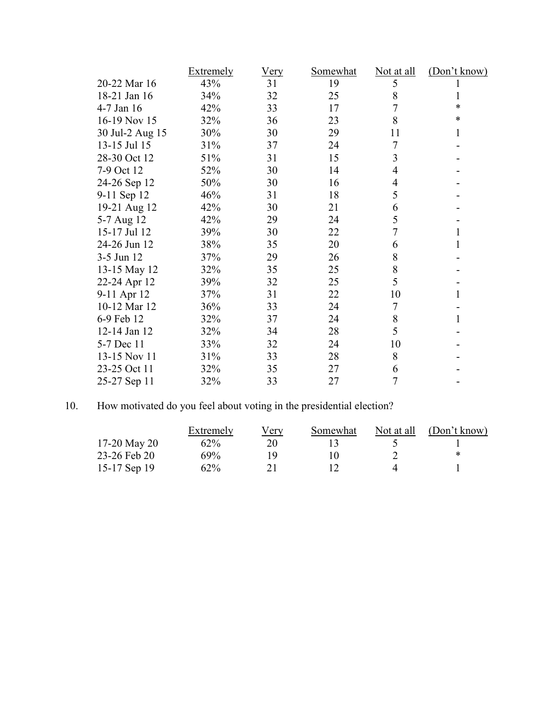|                 | <b>Extremely</b> | <u>Very</u> | <b>Somewhat</b> | <u>Not at all</u> | (Don't know) |
|-----------------|------------------|-------------|-----------------|-------------------|--------------|
| 20-22 Mar 16    | 43%              | 31          | 19              | 5                 |              |
| 18-21 Jan 16    | 34%              | 32          | 25              | 8                 | 1            |
| 4-7 Jan 16      | 42%              | 33          | 17              | 7                 | $\ast$       |
| 16-19 Nov 15    | 32%              | 36          | 23              | 8                 | $\ast$       |
| 30 Jul-2 Aug 15 | 30%              | 30          | 29              | 11                | 1            |
| 13-15 Jul 15    | 31%              | 37          | 24              | 7                 |              |
| 28-30 Oct 12    | 51%              | 31          | 15              | 3                 |              |
| 7-9 Oct 12      | 52%              | 30          | 14              | 4                 |              |
| 24-26 Sep 12    | 50%              | 30          | 16              | 4                 |              |
| 9-11 Sep 12     | 46%              | 31          | 18              | 5                 |              |
| 19-21 Aug 12    | 42%              | 30          | 21              | 6                 |              |
| 5-7 Aug 12      | 42%              | 29          | 24              | 5                 |              |
| 15-17 Jul 12    | 39%              | 30          | 22              | 7                 | 1            |
| 24-26 Jun 12    | 38%              | 35          | 20              | 6                 | 1            |
| 3-5 Jun 12      | 37%              | 29          | 26              | 8                 |              |
| 13-15 May 12    | 32%              | 35          | 25              | 8                 |              |
| 22-24 Apr 12    | 39%              | 32          | 25              | 5                 |              |
| 9-11 Apr 12     | 37%              | 31          | 22              | 10                | 1            |
| 10-12 Mar 12    | 36%              | 33          | 24              | 7                 |              |
| 6-9 Feb 12      | 32%              | 37          | 24              | 8                 | 1            |
| 12-14 Jan 12    | 32%              | 34          | 28              | 5                 |              |
| 5-7 Dec 11      | 33%              | 32          | 24              | 10                |              |
| 13-15 Nov 11    | 31%              | 33          | 28              | 8                 |              |
| 23-25 Oct 11    | 32%              | 35          | 27              | 6                 |              |
| 25-27 Sep 11    | 32%              | 33          | 27              | 7                 |              |

# 10. How motivated do you feel about voting in the presidential election?

|                | Extremely | Verv | Somewhat | Not at all | (Don't know) |
|----------------|-----------|------|----------|------------|--------------|
| 17-20 May 20   | 62%       | 20   |          |            |              |
| 23-26 Feb 20   | 69%       | 1 Q  | 0        |            | ∗            |
| 15-17 Sep $19$ | 62%       |      |          |            |              |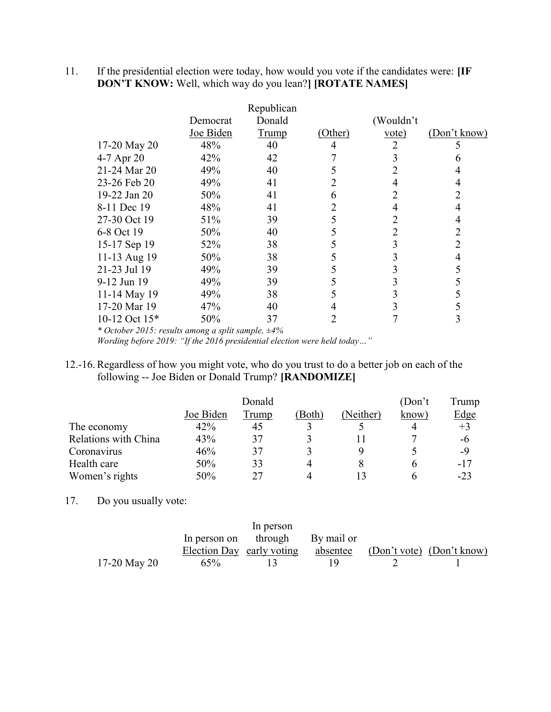11. If the presidential election were today, how would you vote if the candidates were: [IF DON'T KNOW: Well, which way do you lean?] [ROTATE NAMES]

|                 |           | Republican   |         |                   |              |
|-----------------|-----------|--------------|---------|-------------------|--------------|
|                 | Democrat  | Donald       |         | (Wouldn't         |              |
|                 | Joe Biden | <b>Trump</b> | (Other) | $\overline{vote}$ | (Don't know) |
| 17-20 May 20    | 48%       | 40           | 4       |                   |              |
| 4-7 Apr 20      | 42%       | 42           |         | 3                 | n            |
| 21-24 Mar 20    | 49%       | 40           |         |                   | 4            |
| 23-26 Feb 20    | 49%       | 41           |         | 4                 | 4            |
| 19-22 Jan 20    | 50%       | 41           | 6       | 2                 | 2            |
| 8-11 Dec 19     | 48%       | 41           | 2       | 4                 | 4            |
| 27-30 Oct 19    | 51%       | 39           |         | 2                 | 4            |
| 6-8 Oct 19      | 50%       | 40           |         | 2                 | 2            |
| 15-17 Sep 19    | 52%       | 38           |         | 3                 | 2            |
| 11-13 Aug 19    | 50%       | 38           |         | 3                 | 4            |
| 21-23 Jul 19    | 49%       | 39           |         | 3                 | 5            |
| 9-12 Jun 19     | 49%       | 39           |         |                   |              |
| 11-14 May 19    | 49%       | 38           |         |                   |              |
| 17-20 Mar 19    | 47%       | 40           | 4       | 3                 |              |
| 10-12 Oct $15*$ | 50%       | 37           |         |                   | 3            |

\* October 2015: results among a split sample, ±4%

Wording before 2019: "If the 2016 presidential election were held today…"

## 12.-16. Regardless of how you might vote, who do you trust to do a better job on each of the following -- Joe Biden or Donald Trump? [RANDOMIZE]

|                      |           | (Don't) | Trump  |           |       |             |
|----------------------|-----------|---------|--------|-----------|-------|-------------|
|                      | Joe Biden | Trump   | (Both) | (Neither) | know) | <u>Edge</u> |
| The economy          | 42%       | 45      |        |           |       | $+3$        |
| Relations with China | 43%       | 37      |        |           |       | -6          |
| Coronavirus          | 46%       | 37      |        |           |       | -9          |
| Health care          | 50%       | 33      |        |           | n     | $-17$       |
| Women's rights       | 50%       | 27      |        |           | n     | $-23$       |

# 17. Do you usually vote:

|              |        | In person                       |    |                                                              |
|--------------|--------|---------------------------------|----|--------------------------------------------------------------|
|              |        | In person on through By mail or |    |                                                              |
|              |        |                                 |    | Election Day early voting absentee (Don't vote) (Don't know) |
| 17-20 May 20 | $65\%$ |                                 | ΙQ |                                                              |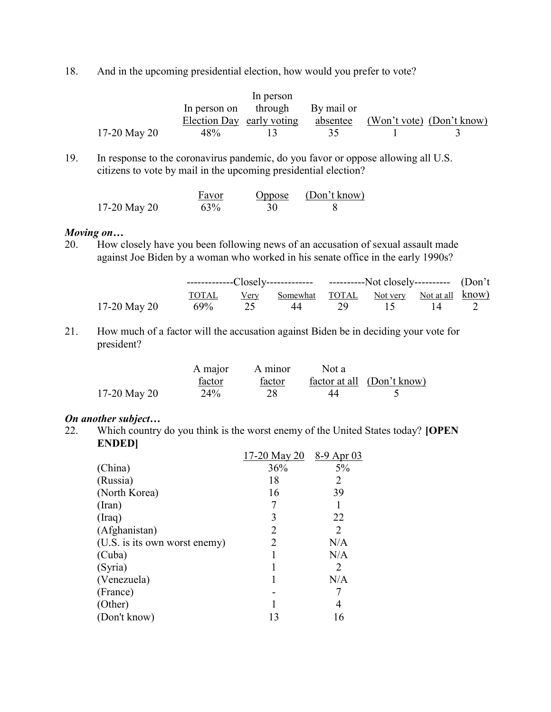18. And in the upcoming presidential election, how would you prefer to vote?

|              |                           | In person                       |          |                           |  |
|--------------|---------------------------|---------------------------------|----------|---------------------------|--|
|              |                           | In person on through By mail or |          |                           |  |
|              | Election Day early voting |                                 | absentee | (Won't vote) (Don't know) |  |
| 17-20 May 20 | 48%                       |                                 | 35.      |                           |  |

19. In response to the coronavirus pandemic, do you favor or oppose allowing all U.S. citizens to vote by mail in the upcoming presidential election?

|              | Favor | Oppose | (Don't know) |
|--------------|-------|--------|--------------|
| 17-20 May 20 | 63%   | 30     |              |

## Moving on…

20. How closely have you been following news of an accusation of sexual assault made against Joe Biden by a woman who worked in his senate office in the early 1990s?

|              | -------------Closely------------- -----------Not closely---------- (Don't |                                                     |  |  |  |  |
|--------------|---------------------------------------------------------------------------|-----------------------------------------------------|--|--|--|--|
|              |                                                                           | TOTAL Very Somewhat TOTAL Not very Not at all know) |  |  |  |  |
| 17-20 May 20 |                                                                           | 69% 25 44 29 15 14 2                                |  |  |  |  |

21. How much of a factor will the accusation against Biden be in deciding your vote for president?

|              | A major | A minor | Not a |                            |
|--------------|---------|---------|-------|----------------------------|
|              | factor  | factor  |       | factor at all (Don't know) |
| 17-20 May 20 | 24%     |         |       |                            |

#### On another subject…

22. Which country do you think is the worst enemy of the United States today? [OPEN ENDED]

|                               | 17-20 May 20 | 8-9 Apr 03 |
|-------------------------------|--------------|------------|
| (China)                       | 36%          | 5%         |
| (Russia)                      | 18           | 2          |
| (North Korea)                 | 16           | 39         |
| (Iran)                        |              |            |
| (Iraq)                        | 3            | 22         |
| (Afghanistan)                 | 2            | 2          |
| (U.S. is its own worst enemy) | 2            | N/A        |
| (Cuba)                        |              | N/A        |
| (Syria)                       |              | 2          |
| (Venezuela)                   |              | N/A        |
| (France)                      |              |            |
| (Other)                       |              |            |
| (Don't know)                  | 13           | 16         |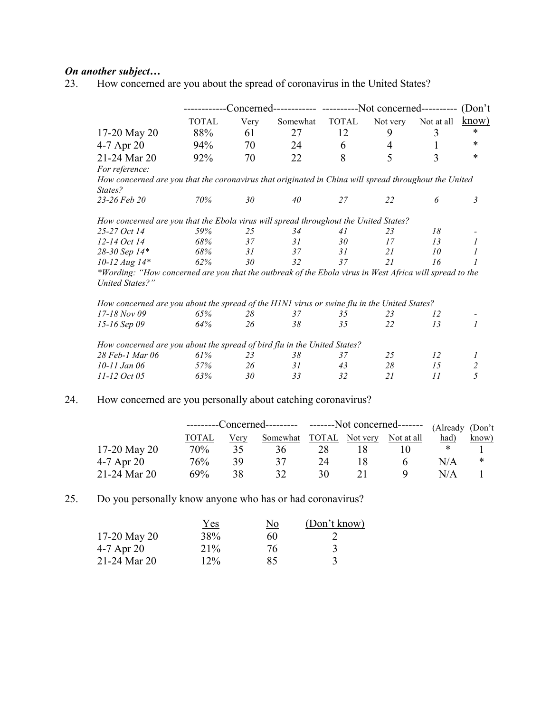# **On another subject...**<br>23. How concerned

How concerned are you about the spread of coronavirus in the United States?

|                                                                                                         |              |             |          | -Concerned------------ -----------Not concerned---------- |          |            | (Don't)        |
|---------------------------------------------------------------------------------------------------------|--------------|-------------|----------|-----------------------------------------------------------|----------|------------|----------------|
|                                                                                                         | <b>TOTAL</b> | <b>Very</b> | Somewhat | <b>TOTAL</b>                                              | Not very | Not at all | know)          |
| 17-20 May 20                                                                                            | 88%          | 61          | 27       | 12                                                        | 9        | 3          | *              |
| 4-7 Apr 20                                                                                              | 94%          | 70          | 24       | 6                                                         | 4        | 1          | $\ast$         |
| 21-24 Mar 20                                                                                            | 92%          | 70          | 22       | 8                                                         | 5        | 3          | $\ast$         |
| For reference:                                                                                          |              |             |          |                                                           |          |            |                |
| How concerned are you that the coronavirus that originated in China will spread throughout the United   |              |             |          |                                                           |          |            |                |
| States?                                                                                                 |              |             |          |                                                           |          |            |                |
| 23-26 Feb 20                                                                                            | 70%          | 30          | 40       | 27                                                        | 22       | 6          | 3              |
| How concerned are you that the Ebola virus will spread throughout the United States?                    |              |             |          |                                                           |          |            |                |
| 25-27 Oct 14                                                                                            | 59%          | 25          | 34       | 41                                                        | 23       | 18         |                |
| 12-14 Oct 14                                                                                            | 68%          | 37          | 31       | 30                                                        | 17       | 13         | 1              |
| 28-30 Sep 14*                                                                                           | 68%          | 31          | 37       | 31                                                        | 21       | 10         | 1              |
| $10 - 12 \, Aug \, 14*$                                                                                 | 62%          | 30          | 32       | 37                                                        | 21       | 16         |                |
| *Wording: "How concerned are you that the outbreak of the Ebola virus in West Africa will spread to the |              |             |          |                                                           |          |            |                |
| <b>United States?"</b>                                                                                  |              |             |          |                                                           |          |            |                |
| How concerned are you about the spread of the H1N1 virus or swine flu in the United States?             |              |             |          |                                                           |          |            |                |
| $17 - 18$ Nov 09                                                                                        | 65%          | 28          | 37       | 35                                                        | 23       | 12         |                |
| 15-16 Sep 09                                                                                            | 64%          | 26          | 38       | 35                                                        | 22       | 13         | $\mathcal{I}$  |
| How concerned are you about the spread of bird flu in the United States?                                |              |             |          |                                                           |          |            |                |
| 28 Feb-1 Mar 06                                                                                         | 61%          | 23          | 38       | 37                                                        | 25       | 12         | 1              |
| 10-11 Jan 06                                                                                            | 57%          | 26          | 31       | 43                                                        | 28       | 15         | $\overline{c}$ |
| 11-12 Oct 05                                                                                            | 63%          | 30          | 33       | 32                                                        | 21       | 11         | 5              |

# 24. How concerned are you personally about catching coronavirus?

|              |       |      |                         | ---------Concerned--------- -------Not concerned------- (Already (Don't |  |            |            |       |
|--------------|-------|------|-------------------------|-------------------------------------------------------------------------|--|------------|------------|-------|
|              | TOTAL | Very | Somewhat TOTAL Not very |                                                                         |  | Not at all | had)       | know) |
| 17-20 May 20 | 70%   | 35.  | 36                      | 28                                                                      |  |            |            |       |
| $4-7$ Apr 20 | 76%   | 39   | 37                      | 24                                                                      |  |            | N/A        | ∗     |
| 21-24 Mar 20 | 69%   | 38   | 37                      | 30                                                                      |  |            | $N/\Delta$ |       |

# 25. Do you personally know anyone who has or had coronavirus?

|                | <u>Yes</u> | <u>No</u> | (Don't know) |
|----------------|------------|-----------|--------------|
| $17-20$ May 20 | 38%        | 60        |              |
| $4-7$ Apr $20$ | 21%        | 76        |              |
| 21-24 Mar 20   | $12\%$     | 85        |              |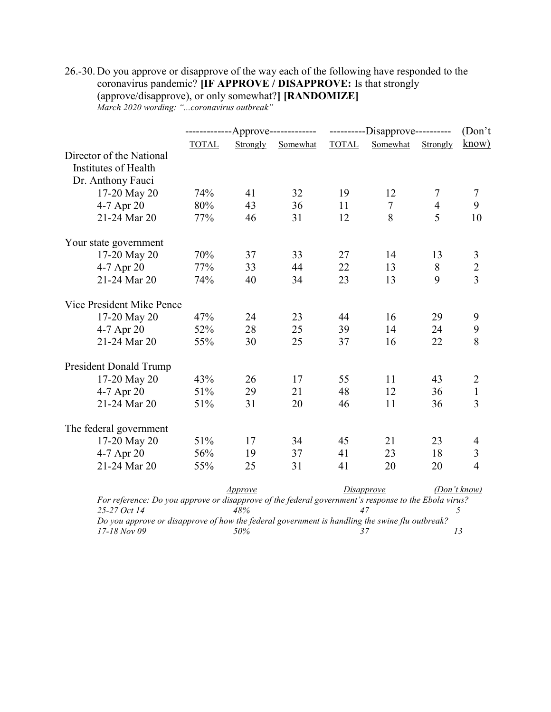# 26.-30. Do you approve or disapprove of the way each of the following have responded to the coronavirus pandemic? [IF APPROVE / DISAPPROVE: Is that strongly (approve/disapprove), or only somewhat?] [RANDOMIZE]

March 2020 wording: "...coronavirus outbreak"

|                                                                                                                      | -------------Approve------------- |                       |          | ---------Disapprove---------- |                |                | (Don't)        |
|----------------------------------------------------------------------------------------------------------------------|-----------------------------------|-----------------------|----------|-------------------------------|----------------|----------------|----------------|
|                                                                                                                      | <b>TOTAL</b>                      | Strongly              | Somewhat | <b>TOTAL</b>                  | Somewhat       | Strongly       | know)          |
| Director of the National                                                                                             |                                   |                       |          |                               |                |                |                |
| Institutes of Health                                                                                                 |                                   |                       |          |                               |                |                |                |
| Dr. Anthony Fauci                                                                                                    |                                   |                       |          |                               |                |                |                |
| 17-20 May 20                                                                                                         | 74%                               | 41                    | 32       | 19                            | 12             | 7              | 7              |
| 4-7 Apr 20                                                                                                           | 80%                               | 43                    | 36       | 11                            | $\overline{7}$ | $\overline{4}$ | 9              |
| 21-24 Mar 20                                                                                                         | 77%                               | 46                    | 31       | 12                            | 8              | 5              | 10             |
| Your state government                                                                                                |                                   |                       |          |                               |                |                |                |
| 17-20 May 20                                                                                                         | 70%                               | 37                    | 33       | 27                            | 14             | 13             |                |
| 4-7 Apr 20                                                                                                           | 77%                               | 33                    | 44       | 22                            | 13             | 8              | $\frac{3}{2}$  |
| 21-24 Mar 20                                                                                                         | 74%                               | 40                    | 34       | 23                            | 13             | 9              |                |
| Vice President Mike Pence                                                                                            |                                   |                       |          |                               |                |                |                |
| 17-20 May 20                                                                                                         | 47%                               | 24                    | 23       | 44                            | 16             | 29             | 9              |
| 4-7 Apr 20                                                                                                           | 52%                               | 28                    | 25       | 39                            | 14             | 24             | 9              |
| 21-24 Mar 20                                                                                                         | 55%                               | 30                    | 25       | 37                            | 16             | 22             | 8              |
| <b>President Donald Trump</b>                                                                                        |                                   |                       |          |                               |                |                |                |
| 17-20 May 20                                                                                                         | 43%                               | 26                    | 17       | 55                            | 11             | 43             | $\overline{2}$ |
| 4-7 Apr 20                                                                                                           | 51%                               | 29                    | 21       | 48                            | 12             | 36             | $\mathbf{1}$   |
| 21-24 Mar 20                                                                                                         | 51%                               | 31                    | 20       | 46                            | 11             | 36             | $\overline{3}$ |
| The federal government                                                                                               |                                   |                       |          |                               |                |                |                |
| 17-20 May 20                                                                                                         | 51%                               | 17                    | 34       | 45                            | 21             | 23             | 4              |
| 4-7 Apr 20                                                                                                           | 56%                               | 19                    | 37       | 41                            | 23             | 18             | $\mathfrak{Z}$ |
| 21-24 Mar 20                                                                                                         | 55%                               | 25                    | 31       | 41                            | 20             | 20             | $\overline{4}$ |
|                                                                                                                      |                                   | <i><u>Approve</u></i> |          | <b>Disapprove</b>             |                |                | (Don't know)   |
| For reference: Do you approve or disapprove of the federal government's response to the Ebola virus?<br>25-27 Oct 14 |                                   | 48%                   |          |                               | 47             |                | 5              |
| Do you approve or disapprove of how the federal government is handling the swine flu outbreak?                       |                                   |                       |          |                               |                |                |                |

 $17-18$  Nov 09 50% 50% 37 50% 37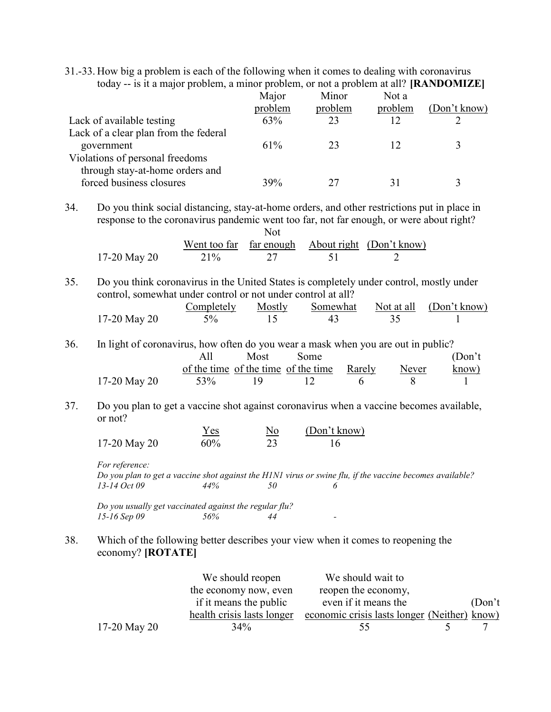31.-33. How big a problem is each of the following when it comes to dealing with coronavirus today -- is it a major problem, a minor problem, or not a problem at all? [RANDOMIZE]

|                                       | Major   | Minor   | Not a   |              |
|---------------------------------------|---------|---------|---------|--------------|
|                                       | problem | problem | problem | (Don't know) |
| Lack of available testing             | 63%     | 23      | 12      |              |
| Lack of a clear plan from the federal |         |         |         |              |
| government                            | 61%     | 23      |         |              |
| Violations of personal freedoms       |         |         |         |              |
| through stay-at-home orders and       |         |         |         |              |
|                                       | 39%     |         | 31      |              |
| forced business closures              |         |         |         |              |

<sup>34.</sup> Do you think social distancing, stay-at-home orders, and other restrictions put in place in response to the coronavirus pandemic went too far, not far enough, or were about right?  $N_{\alpha}$ 

|              |     | $\mathbf{N}$ |                                                  |
|--------------|-----|--------------|--------------------------------------------------|
|              |     |              | Went too far far enough About right (Don't know) |
| 17-20 May 20 | 21% |              |                                                  |

35. Do you think coronavirus in the United States is completely under control, mostly under control, somewhat under control or not under control at all?

|              | Completely | Mostly |  | Somewhat Not at all (Don't know) |
|--------------|------------|--------|--|----------------------------------|
| 17-20 May 20 | $5\%$      |        |  |                                  |

36. In light of coronavirus, how often do you wear a mask when you are out in public? All of the time of the time income Rarely Never Most Some (Don't know)

| 17-20 May 20 | 53% | 19. |  |  |
|--------------|-----|-----|--|--|
|              |     |     |  |  |

37. Do you plan to get a vaccine shot against coronavirus when a vaccine becomes available, or not?

|              | Y es | $N_{\Omega}$ | (Don't know) |  |
|--------------|------|--------------|--------------|--|
| 17-20 May 20 | 60%  |              |              |  |

For reference:

Do you plan to get a vaccine shot against the H1N1 virus or swine flu, if the vaccine becomes available?  $13-14 \text{ Oct } 09$   $44\%$   $50$   $6$ 

Do you usually get vaccinated against the regular flu?  $15-16$  Sep 09  $56\%$  44 -

#### 38. Which of the following better describes your view when it comes to reopening the economy? [ROTATE]

|              | We should reopen           | We should wait to                            |         |
|--------------|----------------------------|----------------------------------------------|---------|
|              | the economy now, even      | reopen the economy,                          |         |
|              | if it means the public     | even if it means the                         | (Don't) |
|              | health crisis lasts longer | economic crisis lasts longer (Neither) know) |         |
| 17-20 May 20 | $34\%$                     | 55                                           |         |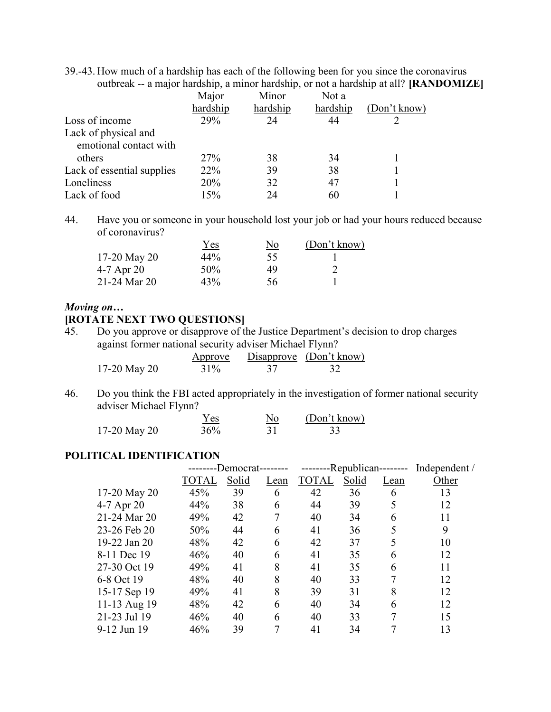39.-43. How much of a hardship has each of the following been for you since the coronavirus outbreak -- a major hardship, a minor hardship, or not a hardship at all? [RANDOMIZE]

|                            | Major      | Minor    | Not a    |              |
|----------------------------|------------|----------|----------|--------------|
|                            | hardship   | hardship | hardship | (Don't know) |
| Loss of income             | 29%        | 24       | 44       |              |
| Lack of physical and       |            |          |          |              |
| emotional contact with     |            |          |          |              |
| others                     | <b>27%</b> | 38       | 34       |              |
| Lack of essential supplies | 22%        | 39       | 38       |              |
| Loneliness                 | 20%        | 32       | 47       |              |
| Lack of food               | 15%        | 24       | 60       |              |

44. Have you or someone in your household lost your job or had your hours reduced because of coronavirus?

|              | Yes | <u>No</u> | (Don't know) |
|--------------|-----|-----------|--------------|
| 17-20 May 20 | 44% | 55        |              |
| 4-7 Apr 20   | 50% | 49        |              |
| 21-24 Mar 20 | 43% | 56        |              |

#### Moving on…

#### [ROTATE NEXT TWO QUESTIONS]

45. Do you approve or disapprove of the Justice Department's decision to drop charges against former national security adviser Michael Flynn?

|              | Approve |    | Disapprove $(Don't know)$ |
|--------------|---------|----|---------------------------|
| 17-20 May 20 | 31%     | 37 |                           |

46. Do you think the FBI acted appropriately in the investigation of former national security adviser Michael Flynn?

|              | Y es | No | (Don't know) |
|--------------|------|----|--------------|
| 17-20 May 20 | 36%  |    |              |

### POLITICAL IDENTIFICATION

|              |       | -Democrat- |      |              | -Republican-------- |      | Independent / |
|--------------|-------|------------|------|--------------|---------------------|------|---------------|
|              | TOTAL | Solid      | Lean | <b>TOTAL</b> | Solid               | Lean | Other         |
| 17-20 May 20 | 45%   | 39         | 6    | 42           | 36                  | 6    | 13            |
| 4-7 Apr 20   | 44%   | 38         | 6    | 44           | 39                  | 5    | 12            |
| 21-24 Mar 20 | 49%   | 42         |      | 40           | 34                  | 6    | 11            |
| 23-26 Feb 20 | 50%   | 44         | 6    | 41           | 36                  | 5    | 9             |
| 19-22 Jan 20 | 48%   | 42         | 6    | 42           | 37                  | 5    | 10            |
| 8-11 Dec 19  | 46%   | 40         | 6    | 41           | 35                  | 6    | 12            |
| 27-30 Oct 19 | 49%   | 41         | 8    | 41           | 35                  | 6    | 11            |
| 6-8 Oct 19   | 48%   | 40         | 8    | 40           | 33                  | 7    | 12            |
| 15-17 Sep 19 | 49%   | 41         | 8    | 39           | 31                  | 8    | 12            |
| 11-13 Aug 19 | 48%   | 42         | 6    | 40           | 34                  | 6    | 12            |
| 21-23 Jul 19 | 46%   | 40         | 6    | 40           | 33                  | 7    | 15            |
| 9-12 Jun 19  | 46%   | 39         |      | 41           | 34                  |      | 13            |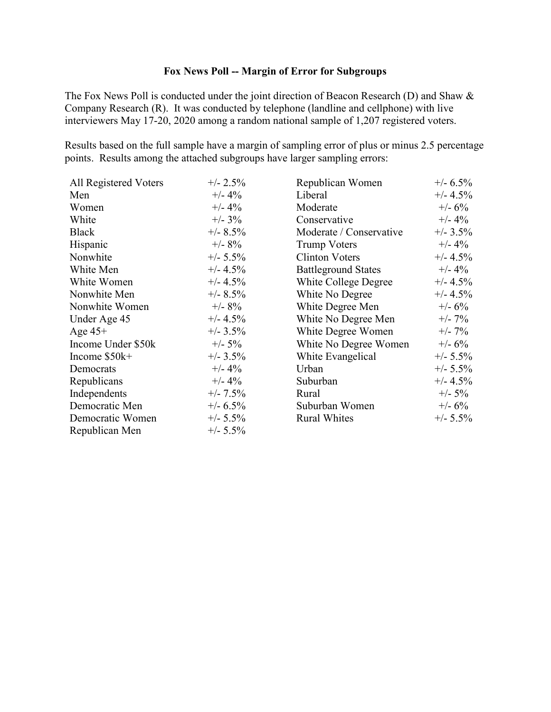## Fox News Poll -- Margin of Error for Subgroups

The Fox News Poll is conducted under the joint direction of Beacon Research (D) and Shaw & Company Research (R). It was conducted by telephone (landline and cellphone) with live interviewers May 17-20, 2020 among a random national sample of 1,207 registered voters.

Results based on the full sample have a margin of sampling error of plus or minus 2.5 percentage points. Results among the attached subgroups have larger sampling errors:

| All Registered Voters | $+/- 2.5\%$ | Republican Women           | $+/- 6.5\%$ |
|-----------------------|-------------|----------------------------|-------------|
| Men                   | $+/- 4\%$   | Liberal                    | $+/- 4.5\%$ |
| Women                 | $+/- 4\%$   | Moderate                   | $+/- 6\%$   |
| White                 | $+/- 3\%$   | Conservative               | $+/- 4\%$   |
| <b>Black</b>          | $+/- 8.5\%$ | Moderate / Conservative    | $+/- 3.5\%$ |
| Hispanic              | $+/- 8\%$   | <b>Trump Voters</b>        | $+/- 4\%$   |
| Nonwhite              | $+/- 5.5\%$ | <b>Clinton Voters</b>      | $+/- 4.5\%$ |
| White Men             | $+/- 4.5\%$ | <b>Battleground States</b> | $+/- 4\%$   |
| White Women           | $+/- 4.5\%$ | White College Degree       | $+/- 4.5\%$ |
| Nonwhite Men          | $+/- 8.5\%$ | White No Degree            | $+/- 4.5\%$ |
| Nonwhite Women        | $+/- 8\%$   | White Degree Men           | $+/- 6%$    |
| Under Age 45          | $+/- 4.5\%$ | White No Degree Men        | $+/- 7\%$   |
| Age $45+$             | $+/- 3.5\%$ | White Degree Women         | $+/- 7\%$   |
| Income Under \$50k    | $+/- 5\%$   | White No Degree Women      | $+/- 6\%$   |
| Income $$50k+$        | $+/- 3.5\%$ | White Evangelical          | $+/- 5.5\%$ |
| Democrats             | $+/- 4\%$   | Urban                      | $+/- 5.5\%$ |
| Republicans           | $+/- 4\%$   | Suburban                   | $+/- 4.5\%$ |
| Independents          | $+/- 7.5\%$ | Rural                      | $+/- 5\%$   |
| Democratic Men        | $+/- 6.5\%$ | Suburban Women             | $+/- 6\%$   |
| Democratic Women      | $+/- 5.5\%$ | <b>Rural Whites</b>        | $+/- 5.5\%$ |
| Republican Men        | $+/- 5.5\%$ |                            |             |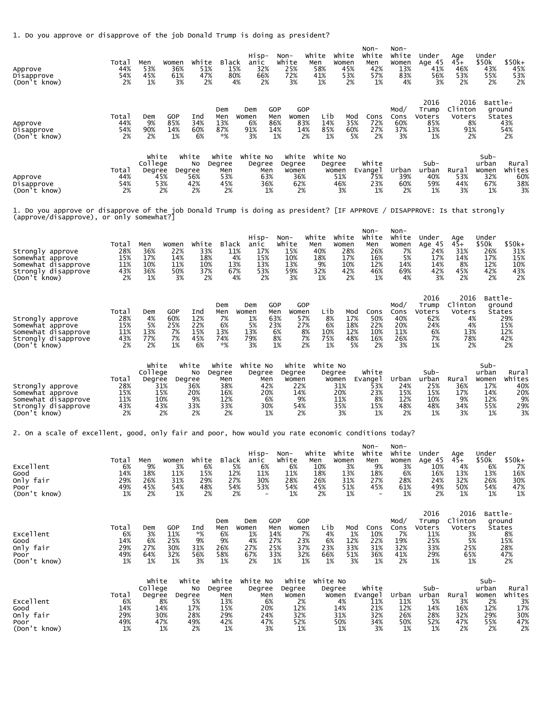1. Do you approve or disapprove of the job Donald Trump is doing as president?

| Approve<br>Disapprove<br>(Don't know)                                                                                                                                 | Total<br>44%<br>54%<br>2%               | Men<br>53%<br>45%<br>1%                                      | Women<br>36%<br>61%<br>3%                                                           | White<br>Black<br>51%<br>15%<br>47%<br>80%<br>2%                                   | Hisp-<br>anic<br>32%<br>66%<br>2%<br>4%                                                | Non-<br>White<br>25%<br>72%<br>3%                              | White<br>White<br>Men<br>Women<br>58%<br>45%<br>41%<br>53%<br>1%                            | Non-<br>White<br>Men<br>42%<br>57%<br>1%<br>2%                                  | Non-<br>White<br>Women<br>13%<br>83%<br>4%             | Under<br>Age 45<br>41%<br>56%<br>3%                       | Age<br>45+<br>46%<br>53%<br>2%                            | Under<br>\$50k<br>43%<br>55%<br>2%                        | \$50k+<br>45%<br>53%<br>2%                                   |
|-----------------------------------------------------------------------------------------------------------------------------------------------------------------------|-----------------------------------------|--------------------------------------------------------------|-------------------------------------------------------------------------------------|------------------------------------------------------------------------------------|----------------------------------------------------------------------------------------|----------------------------------------------------------------|---------------------------------------------------------------------------------------------|---------------------------------------------------------------------------------|--------------------------------------------------------|-----------------------------------------------------------|-----------------------------------------------------------|-----------------------------------------------------------|--------------------------------------------------------------|
| Approve<br>Disapprove<br>(Don't know)                                                                                                                                 | Total<br>44%<br>54%<br>2%               | Dem<br>9%<br>90%<br>2%                                       | <b>GOP</b><br>Ind<br>85%<br>34%<br>60%<br>14%<br>1%<br>6%                           | Dem<br>Men<br>13%<br>87%<br>*%                                                     | GOP<br>Dem<br>Women<br>Men<br>6%<br>86%<br>91%<br>14%<br>3%                            | GOP<br>Women<br>83%<br>14%<br>1%<br>2%                         | Lib<br>14%<br>85%<br>1%                                                                     | Mod<br>Cons<br>35%<br>72%<br>27%<br>60%<br>2%<br>5%                             | Mod/<br>Cons<br>60%<br>37%<br>3%                       | 2016<br>Trump<br>Voters<br>85%<br>13%<br>1%               | 2016<br>Clinton<br>Voters<br>8%<br>91%<br>2%              | Battle-<br>ground<br>States                               | 43%<br>54%<br>2%                                             |
| Approve<br>Disapprove<br>(Don't know)                                                                                                                                 | Total<br>44%<br>54%<br>2%               | White<br>College<br>Degree<br>45%<br>53%<br>2%               | White<br>No<br>Degree<br>56%<br>42%<br>2%                                           | White<br>Degree<br>Men<br>53%<br>45%<br>2%                                         | White No<br>Degree<br>Men<br>63%<br>36%<br>1%                                          | White<br>Degree<br>Women<br>36%<br>62%<br>2%                   | White No<br>Degree<br>Women<br>51%<br>46%<br>3%                                             | White<br>Evange1<br>75%<br>23%<br>1%                                            | Urban<br>39%<br>60%<br>2%                              | Sub-<br>urban<br>40%<br>59%<br>1%                         | Rural<br>53%<br>44%<br>3%                                 | $Sub-$<br>urban<br>Women<br>32%<br>67%<br>1%              | Rura <sub>1</sub><br>Whites<br>60%<br>38%<br>3%              |
| 1. Do you approve or disapprove of the job Donald Trump is doing as president? [IF APPROVE / DISAPPROVE: Is that strongly<br>(approve/disapprove), or only somewhat?] |                                         |                                                              |                                                                                     |                                                                                    |                                                                                        |                                                                |                                                                                             |                                                                                 |                                                        |                                                           |                                                           |                                                           |                                                              |
| Strongly approve<br>Somewhat approve<br>Somewhat disapprove<br>Strongly disapprove<br>(Don't know)                                                                    | Total<br>28%<br>15%<br>11%<br>43%<br>2% | Men<br>36%<br>17%<br>10%<br>36%<br>1%                        | Women<br>22%<br>14%<br>11%<br>50%<br>3%                                             | White<br><b>Black</b><br>33%<br>11%<br>18%<br>4%<br>10%<br>13%<br>37%<br>67%<br>2% | Hisp-<br>anic<br>17%<br>15%<br>13%<br>53%<br>2%<br>4%                                  | Non-<br>White<br>15%<br>10%<br>13%<br>59%<br>3%                | White<br>White<br>Men<br>Women<br>40%<br>28%<br>18%<br>17%<br>9%<br>10%<br>32%<br>42%<br>1% | Non-<br>White<br>Men<br>26%<br>16%<br>12%<br>46%<br>2%<br>1%                    | Non-<br>White<br>Women<br>7%<br>5%<br>14%<br>69%<br>4% | Under<br>Age 45<br>24%<br>17%<br>14%<br>42%<br>3%         | Age<br>45+<br>31%<br>14%<br>8%<br>45%<br>2%               | Under<br>\$50k<br>26%<br>17%<br>12%<br>42%<br>2%          | \$50k+<br>31%<br>15%<br>10%<br>43%<br>2%                     |
| Strongly approve<br>Somewhat approve<br>Somewhat disapprove<br>Strongly disapprove<br>(Don't know)                                                                    | Total<br>28%<br>15%<br>11%<br>43%<br>2% | Dem<br>4%<br>5%<br>13%<br>77%<br>2%                          | <b>GOP</b><br>Ind<br>60%<br>12%<br>22%<br>25%<br>7%<br>15%<br>7%<br>45%<br>1%<br>6% | Dem<br>Men<br>7%<br>6%<br>13%<br>74%<br>*%                                         | GOP<br>Dem<br>Women<br>Men<br>1%<br>63%<br>5%<br>23%<br>13%<br>79%<br>3%               | GOP<br>Women<br>57%<br>27%<br>6%<br>8%<br>8%<br>7%<br>1%<br>2% | Lib<br>8%<br>6%<br>10%<br>75%<br>1%                                                         | Mod<br>Cons<br>17%<br>50%<br>18%<br>22%<br>12%<br>10%<br>48%<br>16%<br>2%<br>5% | Mod/<br>Cons<br>40%<br>20%<br>11%<br>26%<br>3%         | 2016<br>Trump<br>Voters<br>62%<br>24%<br>6%<br>7%<br>1%   | 2016<br>Clinton<br>Voters<br>4%<br>4%<br>13%<br>78%<br>2% | Battle-<br>ground<br>States                               | 29%<br>15%<br>12%<br>42%<br>2%                               |
| Strongly approve<br>Somewhat approve<br>Somewhat disapprove<br>Strongly disapprove<br>(Don't know)                                                                    | Total<br>28%<br>15%<br>11%<br>43%<br>2% | White<br>College<br>Degree<br>31%<br>15%<br>10%<br>43%<br>2% | White<br>No<br>Degree<br>36%<br>20%<br>9%<br>33%<br>2%                              | White<br>Degree<br>Men<br>38%<br>16%<br>12%<br>33%<br>2%                           | White No<br>Degree<br>Men<br>42%<br>20%<br>6%<br>30%<br>1%                             | White<br>Degree<br>Women<br>22%<br>14%<br>9%<br>54%<br>2%      | White No<br>Degree<br>Women<br>31%<br>20%<br>11%<br>35%<br>3%                               | White<br>Evange 1<br>53%<br>23%<br>8%<br>15%<br>1%                              | Urban<br>24%<br>15%<br>12%<br>48%<br>2%                | Sub-<br>urban<br>25%<br>15%<br>10%<br>48%<br>1%           | Rural<br>36%<br>17%<br>9%<br>34%<br>3%                    | Sub-<br>urban<br>Women<br>17%<br>14%<br>12%<br>55%<br>1%  | Rura <sub>1</sub><br>Whites<br>40%<br>20%<br>9%<br>29%<br>3% |
| 2. On a scale of excellent, good, only fair and poor, how would you rate economic conditions today?                                                                   |                                         |                                                              |                                                                                     |                                                                                    |                                                                                        |                                                                |                                                                                             |                                                                                 |                                                        |                                                           |                                                           |                                                           |                                                              |
| Excellent<br>Good<br>Only fair<br>Poor<br>(Don't know)                                                                                                                | Total<br>6%<br>14%<br>29%<br>49%<br>1%  | Men<br>9%<br>18%<br>26%<br>45%<br>2%                         | Women<br>3%<br>11%<br>31%<br>54%<br>1%                                              | White<br><b>Black</b><br>6%<br>15%<br>12%<br>29%<br>27%<br>54%<br>48%<br>2%        | Hisp-<br>anic<br>6%<br>5%<br>11%<br>30%<br>53%<br>2%<br>$\overline{\phantom{a}}$       | Non-<br>White<br>6%<br>11%<br>28%<br>54%<br>1%                 | White White<br>Men<br>Women<br>10%<br>18%<br>13%<br>26%<br>31%<br>45%<br>51%<br>2%          | Non-<br>White<br>Men<br>3%<br>9%<br>18%<br>27%<br>45%<br>1%                     | Non-<br>White<br>Women<br>3%<br>6%<br>28%<br>61%<br>1% | Under<br>Age 45<br>10%<br>16%<br>24%<br>49%<br>2%         | Age<br>$45+$<br>4%<br>13%<br>32%<br>50%<br>1%             | Under<br>\$50k<br>6%<br>13%<br>26%<br>54%<br>1%           | \$50k+<br>7%<br>16%<br>30%<br>47%<br>1%                      |
| Excellent<br>Good<br>Only fair<br>Poor<br>(Don't know)                                                                                                                | Total<br>6%<br>14%<br>29%<br>49%<br>1%  | Dem<br>3%<br>6%<br>27%<br>64%<br>1%                          | GOP<br>Ind<br>*%<br>11%<br>9%<br>25%<br>30%<br>31%<br>32%<br>56%<br>1%<br>3%        | Dem<br>Men<br>6%<br>9%<br>26%<br>58%<br>1%                                         | GOP<br>Dem<br>Women<br>Men<br>1%<br>14%<br>4%<br>27%<br>27%<br>25%<br>33%<br>67%<br>2% | GOP<br>Women<br>7%<br>23%<br>37%<br>32%<br>1%<br>1%            | Lib<br>4%<br>6%<br>23%<br>66%<br>1%                                                         | Mod<br>Cons<br>1%<br>10%<br>12%<br>22%<br>31%<br>33%<br>51%<br>36%<br>3%<br>1%  | Mod/<br>Cons<br>7%<br>19%<br>32%<br>41%<br>2%          | 2016<br>Trump<br>Voters<br>11%<br>25%<br>33%<br>29%<br>1% | 2016<br>Clinton<br>Voters<br>3%<br>5%<br>25%<br>65%<br>1% | Battle-<br>ground<br>States                               | 8%<br>15%<br>28%<br>47%<br>2%                                |
| Excellent<br>Good<br>Only fair<br>Poor<br>(Don't know)                                                                                                                | Total<br>6%<br>14%<br>29%<br>49%<br>1%  | White<br>College<br>Degree<br>8%<br>14%<br>30%<br>47%<br>1%  | white<br>No<br>Degree<br>5%<br>17%<br>28%<br>49%<br>2%                              | White<br>Degree<br>Men<br>13%<br>15%<br>29%<br>42%<br>1%                           | White No<br>Degree<br>Men<br>6%<br>20%<br>24%<br>47%<br>3%                             | Degree<br>Women<br>2%<br>12%<br>32%<br>52%<br>1%               | White White No<br>Degree<br>Women<br>4%<br>14%<br>31%<br>50%<br>1%                          | White<br>Evangel<br>11%<br>21%<br>32%<br>34%<br>3%                              | Urban<br>11%<br>12%<br>26%<br>50%<br>1%                | $Sub-$<br>urban<br>5%<br>14%<br>28%<br>52%<br>1%          | Rural<br>3%<br>16%<br>32%<br>47%<br>2%                    | $Sub-$<br>urban<br>Women<br>2%<br>12%<br>29%<br>55%<br>2% | Rural<br>Whites<br>3%<br>17%<br>30%<br>$47%$<br>2%           |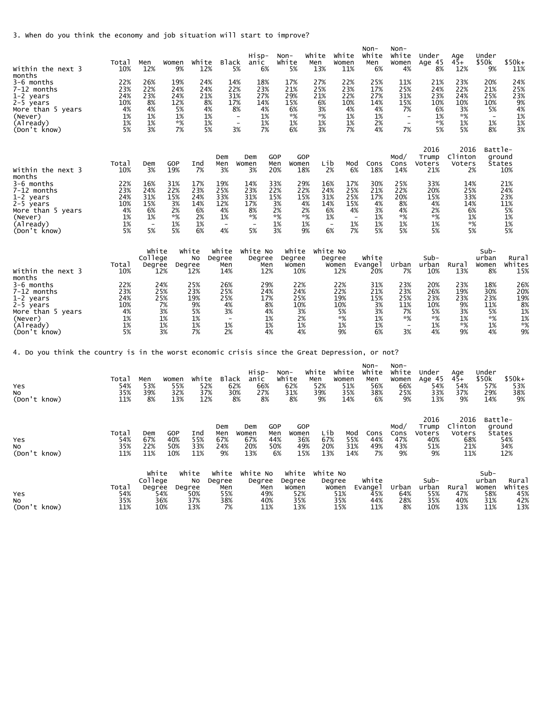3. When do you think the economy and job situation will start to improve?

| Within the next 3<br>months                                                                                      | Total<br>10%                                     | Men<br>12%                                                             | Women<br>9%                                        | White<br>12%                                     | Black                                                                  | Hisp-<br>anic<br>5%                                                    | 6%                                                | Non-<br>White<br>5%                                | White<br>Men<br>13%                                    | White<br>Women<br>11%                                            | $Non-$<br>White<br>Men<br>6%                                    | $Non-$<br>White<br>Women<br>4%                                             | Under<br>Age 45<br>8%                               | Age<br>$45+$<br>12%                                | Under<br>\$50k<br>9%                                | $$50k+$<br>11%                                    |
|------------------------------------------------------------------------------------------------------------------|--------------------------------------------------|------------------------------------------------------------------------|----------------------------------------------------|--------------------------------------------------|------------------------------------------------------------------------|------------------------------------------------------------------------|---------------------------------------------------|----------------------------------------------------|--------------------------------------------------------|------------------------------------------------------------------|-----------------------------------------------------------------|----------------------------------------------------------------------------|-----------------------------------------------------|----------------------------------------------------|-----------------------------------------------------|---------------------------------------------------|
| 3-6 months<br>7-12 months<br>1-2 years<br>2-5 years<br>More than 5 years<br>(Never)<br>(Already)<br>(Don't know) | 22%<br>23%<br>24%<br>10%<br>4%<br>1%<br>1%<br>5% | 26%<br>22%<br>23%<br>8%<br>4%<br>1%<br>1%<br>3%                        | 19%<br>24%<br>24%<br>12%<br>5%<br>1%<br>*%<br>7%   | 24%<br>24%<br>21%<br>8%<br>4%<br>1%<br>1%<br>5%  | 14%<br>22%<br>31%<br>17%                                               | 18%<br>23%<br>27%<br>14%<br>8%<br>$\overline{\phantom{a}}$<br>3%       | 4%<br>1%<br>1%<br>7%                              | 17%<br>21%<br>29%<br>15%<br>6%<br>$*%$<br>1%<br>6% | 27%<br>25%<br>21%<br>6%<br>3%<br>$*%$<br>1%<br>3%      | 22%<br>23%<br>22%<br>10%<br>4%<br>1%<br>1%<br>7%                 | 25%<br>17%<br>27%<br>14%<br>4%<br>1%<br>2%<br>4%                | 11%<br>25%<br>31%<br>15%<br>7%<br>$\overline{\phantom{a}}$<br>$\sim$<br>7% | 21%<br>24%<br>23%<br>10%<br>6%<br>1%<br>*%<br>5%    | 23%<br>22%<br>24%<br>10%<br>3%<br>$*%$<br>1%<br>5% | 20%<br>21%<br>25%<br>10%<br>5%<br>1%<br>8%          | 24%<br>25%<br>23%<br>9%<br>4%<br>1%<br>1%<br>3%   |
| Within the next 3<br>months                                                                                      | Total<br>10%                                     | Dem<br>3%                                                              | GOP<br>19%                                         | Ind<br>7%                                        | Dem<br>Men<br>3%                                                       | Dem<br>Women<br>3%                                                     | GOP<br>Men<br>20%                                 | GOP<br>Women<br>18%                                | Lib                                                    | Mod<br>2%<br>6%                                                  | Cons<br>18%                                                     | Mod $\prime$<br>Cons<br>14%                                                | 2016<br>Trump<br>Voters<br>21%                      | 2016<br>Clinton<br>Voters<br>2%                    | Battle-                                             | ground<br><b>States</b><br>10%                    |
| 3-6 months<br>7-12 months<br>1-2 years<br>2-5 years<br>More than 5 years<br>(Never)<br>(Already)<br>(Don't know) | 22%<br>23%<br>24%<br>10%<br>4%<br>1%<br>1%<br>5% | 16%<br>24%<br>31%<br>15%<br>6%<br>1%<br>$\overline{\phantom{a}}$<br>5% | 31%<br>22%<br>15%<br>3%<br>2%<br>$*$ %<br>1%<br>5% | 17%<br>23%<br>24%<br>14%<br>6%<br>2%<br>1%<br>6% | 19%<br>25%<br>33%<br>12%<br>4%<br>1%<br>$\overline{\phantom{a}}$<br>4% | 14%<br>23%<br>31%<br>17%<br>8%<br>*%<br>$\overline{\phantom{a}}$<br>5% | 33%<br>22%<br>15%<br>3%<br>2%<br>$*%$<br>1%<br>3% | 29%<br>22%<br>15%                                  | 16%<br>24%<br>31%<br>4%<br>14%<br>2%<br>*%<br>1%<br>9% | 17%<br>25%<br>25%<br>15%<br>6%<br>4%<br>1%<br>1%<br>$\sim$<br>6% | 30%<br>21%<br>17%<br>4%<br>3%<br>1%<br>$\sim$<br>1%<br>7%<br>5% | 25%<br>22%<br>20%<br>8%<br>4%<br>$*%$<br>1%<br>5%                          | 33%<br>20%<br>15%<br>4%<br>2%<br>*%<br>1%<br>5%     | 14%<br>25%<br>33%<br>14%<br>6%<br>1%<br>$*%$<br>5% |                                                     | 21%<br>24%<br>23%<br>11%<br>5%<br>1%<br>1%<br>5%  |
| Within the next 3<br>months                                                                                      | Total<br>10%                                     | White<br>College<br>Degree<br>12%                                      | Degree                                             | White<br>No<br>12%                               | White<br>Degree<br>Men<br>14%                                          | White No<br>Degree                                                     | Men<br>12%                                        | White<br>Degree<br>Women<br>10%                    |                                                        | White No<br>Degree<br>Women<br>12%                               | White<br>Evange1<br>20%                                         | Urban<br>7%                                                                | Sub-<br>urban<br>10%                                | Rural<br>13%                                       | $Sub-$<br>urban<br>Women<br>8%                      | Rural<br>Whites<br>15%                            |
| 3-6 months<br>7-12 months<br>1-2 years<br>2-5 years<br>More than 5 years<br>(Never)<br>(Already)<br>(Don't know) | 22%<br>23%<br>24%<br>10%<br>4%<br>1%<br>1%<br>5% | 24%<br>25%<br>25%                                                      | 7%<br>3%<br>1%<br>1%<br>3%                         | 25%<br>23%<br>19%<br>9%<br>5%<br>1%<br>1%<br>7%  | 26%<br>25%<br>25%<br>4%<br>3%<br>$\sim$<br>1%<br>2%                    |                                                                        | 29%<br>24%<br>17%<br>8%<br>4%<br>1%<br>1%<br>4%   | 22%<br>24%<br>25%<br>10%<br>3%<br>2%<br>1%<br>4%   |                                                        | 22%<br>22%<br>19%<br>10%<br>5%<br>$*%$<br>1%<br>9%               | 31%<br>21%<br>15%<br>3%<br>3%<br>1%<br>1%<br>6%                 | 23%<br>23%<br>25%<br>11%<br>7%<br>*%<br>$\sim$<br>3%                       | 20%<br>26%<br>23%<br>10%<br>5%<br>$*$ %<br>1%<br>4% | 23%<br>19%<br>23%<br>9%<br>3%<br>1%<br>$*%$<br>9%  | 18%<br>30%<br>23%<br>11%<br>5%<br>$*$ %<br>1%<br>4% | 26%<br>20%<br>19%<br>8%<br>1%<br>1%<br>$*%$<br>9% |
| 4. Do you think the country is in the worst economic crisis since the Great Depression, or not?                  |                                                  |                                                                        |                                                    |                                                  |                                                                        |                                                                        |                                                   |                                                    |                                                        |                                                                  |                                                                 |                                                                            |                                                     |                                                    |                                                     |                                                   |
| Yes<br>NO.<br>(Don't know)                                                                                       | Total<br>54%<br>35%<br>11%                       | Men<br>53%<br>39%<br>8%                                                | Women<br>55%<br>32%<br>13%                         | White<br>52%<br>37%<br>12%                       | Black<br>62%<br>30%                                                    | Hisp-<br>anic<br>66%<br>27%<br>8%                                      | 8%                                                | $Non-$<br>White<br>62%<br>31%<br>8%                | White<br>Men<br>52%<br>39%<br>9%                       | white<br>Women<br>51%<br>35%<br>14%                              | $Non-$<br>White<br>Men<br>56%<br>38%<br>6%                      | $Non-$<br>White<br>Women<br>66%<br>25%<br>9%                               | Under<br>Age 45<br>54%<br>33%<br>13%                | Age<br>$45+$<br>54%<br>37%<br>9%                   | Under<br>\$50k<br>57%<br>29%<br>14%                 | \$50k+<br>53%<br>38%<br>9%                        |
| Yes<br>No<br>(Don't know)                                                                                        | Tota <sub>1</sub><br>54%<br>35%<br>11%           | Dem<br>67%<br>22%<br>11%                                               | GOP<br>40%<br>50%<br>10%                           | Ind<br>55%<br>33%<br>11%                         | Dem<br>Men<br>67%<br>24%<br>9%                                         | Dem<br>Women<br>67%<br>20%<br>13%                                      | GOP<br>Men<br>44%<br>50%<br>6%                    | GOP<br>Women<br>36%<br>49%<br>15%                  | Lib<br>67%<br>20%<br>13%                               | Mod<br>55%<br>31%<br>14%                                         | Cons<br>44%<br>49%<br>7%                                        | Mod/<br>Cons<br>47%<br>43%<br>9%                                           | 2016<br>Trump<br>Voters<br>40%<br>51%<br>9%         | 2016<br>Clinton<br>Voters<br>68%<br>21%<br>11%     | Battle-                                             | ground<br>States<br>54%<br>34%<br>12%             |
| Yes<br>No<br>(Don't know)                                                                                        | Total<br>54%<br>35%<br>11%                       | White<br>College<br>Degree<br>54%<br>36%<br>10%                        | Degree                                             | white<br>No<br>50%<br>37%<br>13%                 | White<br>Degree<br>Men<br>55%<br>38%<br>7%                             | White No<br>Degree                                                     | Men<br>49%<br>40%<br>11%                          | White<br>Degree<br>Women<br>52%<br>35%<br>13%      |                                                        | White No<br>Degree<br>Women<br>51%<br>35%<br>15%                 | White<br>Evange1<br>45%<br>44%<br>11%                           | Urban<br>64%<br>28%<br>8%                                                  | $Sub-$<br>urban<br>55%<br>35%<br>10%                | Rural<br>47%<br>40%<br>13%                         | $Sub-$<br>urban<br>Women<br>58%<br>31%<br>11%       | Rural<br>Whites<br>45%<br>42%<br>13%              |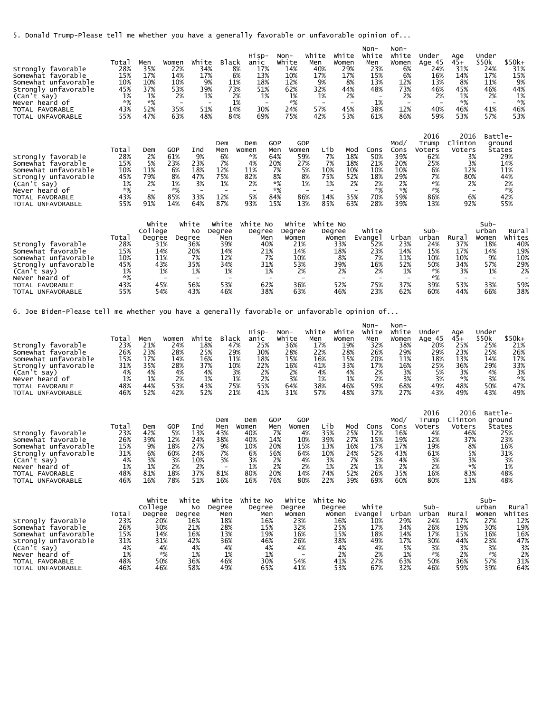5. Donald Trump-Please tell me whether you have a generally favorable or unfavorable opinion of...

| Strongly favorable<br>Somewhat favorable<br>Somewhat unfavorable<br>Strongly unfavorable<br>(Can't say)<br>Never heard of<br>TOTAL FAVORABLE<br>UNFAVORABLE<br><b>TOTAL</b>              | Total<br>28%<br>15%<br>10%<br>45%<br>1%<br>*%<br>43%<br>55% | Men<br>35%<br>17%<br>10%<br>37%<br>1%<br>*%<br>52%<br>47% | Women<br>22%<br>14%<br>10%<br>53%<br>2%<br>35%<br>63%   | White<br>34%<br>17%<br>9%<br>39%<br>1%<br>$\overline{\phantom{a}}$<br>51%<br>48% | <b>Black</b>                                                                | Hisp-<br>anic<br>17%<br>8%<br>6%<br>13%<br>11%<br>18%<br>73%<br>51%<br>2%<br>1%<br>1%<br>14%<br>30%<br>69%<br>84% |                                                                  | Non-<br>white<br>14%<br>10%<br>12%<br>62%<br>1%<br>*%<br>24%<br>75%                    | White<br>Men<br>40%<br>17%<br>9%<br>32%<br>1%<br>$\overline{\phantom{0}}$<br>57%<br>42% | White<br>Women<br>29%<br>17%<br>8%<br>44%<br>2%<br>45%<br>53% | $Non-$<br>White<br>Men<br>23%<br>15%<br>13%<br>48%<br>1%<br>38%<br>61% | Non-<br>White<br>Women<br>6%<br>6%<br>12%<br>73%<br>2%<br>12%<br>86% | Under<br>Age 45<br>24%<br>16%<br>13%<br>46%<br>2%<br>40%<br>59%               | Age<br>$45+$<br>31%<br>14%<br>8%<br>45%<br>1%<br>*%<br>46%<br>53%      | Under<br>\$50k<br>24%<br>17%<br>11%<br>46%<br>2%<br>41%<br>57% | $$50k+$<br>31%<br>15%<br>9%<br>44%<br>1%<br>*%<br>46%<br>53%           |
|------------------------------------------------------------------------------------------------------------------------------------------------------------------------------------------|-------------------------------------------------------------|-----------------------------------------------------------|---------------------------------------------------------|----------------------------------------------------------------------------------|-----------------------------------------------------------------------------|-------------------------------------------------------------------------------------------------------------------|------------------------------------------------------------------|----------------------------------------------------------------------------------------|-----------------------------------------------------------------------------------------|---------------------------------------------------------------|------------------------------------------------------------------------|----------------------------------------------------------------------|-------------------------------------------------------------------------------|------------------------------------------------------------------------|----------------------------------------------------------------|------------------------------------------------------------------------|
| Strongly favorable<br>Somewhat favorable<br>Somewhat unfavorable<br>Strongly unfavorable<br>(Can't say)<br>heard of<br>Never<br>FAVORABLE<br><b>TOTAL</b><br>UNFAVORABLE<br><b>TOTAL</b> | Total<br>28%<br>15%<br>10%<br>45%<br>1%<br>*%<br>43%<br>55% | Dem<br>2%<br>5%<br>11%<br>79%<br>2%<br>8%<br>91%          | GOP<br>61%<br>23%<br>6%<br>8%<br>1%<br>*%<br>85%<br>14% | Ind<br>9%<br>23%<br>18%<br>47%<br>3%<br>۰<br>33%<br>64%                          | Dem<br>Men<br>6%<br>7%<br>12%<br>75%<br>1%<br>$\qquad \qquad$<br>12%<br>87% | Dem<br>Women<br>*%<br>4%<br>11%<br>82%<br>2%<br>5%<br>93%                                                         | GOP<br>Men<br>64%<br>20%<br>7%<br>8%<br>$*%$<br>*%<br>84%<br>15% | GOP<br>Women<br>59%<br>27%<br>5%<br>8%<br>1%<br>$\overline{\phantom{a}}$<br>86%<br>13% | Lib<br>7%<br>7%<br>10%<br>75%<br>1%<br>$\qquad \qquad$<br>14%<br>85%                    | Mod<br>18%<br>18%<br>10%<br>52%<br>2%<br>35%<br>63%           | Cons<br>50%<br>21%<br>10%<br>18%<br>2%<br>*%<br>70%<br>28%             | Mod/<br>Cons<br>39%<br>20%<br>10%<br>29%<br>2%<br>*%<br>59%<br>39%   | 2016<br>Trump<br>Voters<br>62%<br>25%<br>6%<br>7%<br>*%<br>$*%$<br>86%<br>13% | 2016<br>Clinton<br>Voters<br>3%<br>3%<br>12%<br>80%<br>2%<br>6%<br>92% | Battle-<br>۰                                                   | ground<br>States<br>29%<br>14%<br>11%<br>44%<br>2%<br>*%<br>42%<br>55% |
| Strongly favorable<br>Somewhat favorable<br>Somewhat unfavorable<br>Strongly unfavorable                                                                                                 | Total<br>28%<br>15%<br>10%<br>45%                           | White<br>College<br>Degree<br>31%<br>14%<br>11%<br>43%    |                                                         | white<br>No<br>Degree<br>36%<br>20%<br>7%<br>35%                                 | White<br>Degree<br>Men<br>39%<br>14%<br>12%<br>34%                          | White No<br>Degree                                                                                                | Men<br>40%<br>21%<br>7%<br>31%                                   | white<br>Degree<br>Women<br>21%<br>14%<br>10%<br>53%                                   | white No                                                                                | Degree<br>Women<br>33%<br>18%<br>8%<br>39%                    | White<br>Evange1<br>52%<br>23%<br>7%<br>16%                            | Urban<br>23%<br>14%<br>11%<br>52%                                    | Sub-<br>urban<br>24%<br>15%<br>10%<br>50%                                     | Rura<br>37%<br>17%<br>10%<br>34%                                       | Sub-<br>urban<br>Women<br>18%<br>14%<br>9%<br>57%              | Rural<br>Whites<br>40%<br>19%<br>10%<br>29%                            |

6. Joe Biden-Please tell me whether you have a generally favorable or unfavorable opinion of...

|                       |       |     |       |       |              | Hisp- | Non-  | white | white | Non-<br>White | Non-<br>White | Under  | Aae  | Under |         |
|-----------------------|-------|-----|-------|-------|--------------|-------|-------|-------|-------|---------------|---------------|--------|------|-------|---------|
|                       | Total | Men | Women | White | <b>Black</b> | anıc  | White | Men   | Women | Men           | Women         | Age 45 | 45+  | \$50k | $$50k+$ |
| favorable<br>Strongly | 23%   | 21% | 24%   | 18%   | 47%          | 25%   | 36%   | 17%   | 19%   | 32%           | 38%           | 20%    | 25%  | 25%   | 21%     |
| Somewhat favorable    | 26%   | 23% | 28%   | 25%   | 29%          | 30%   | 28%   | 22%   | 28%   | 26%           | 29%           | 29%    | 23%  | 25%   | 26%     |
| Somewhat unfavorable  | 15%   | 17% | 14%   | 16%   | 11%          | 18%   | 15%   | 16%   | 15%   | 20%           | 11%           | 18%    | 13%  | 14%   | 17%     |
| Strongly unfavorable  | 31%   | 35% | 28%   | 37%   | 10%          | 22%   | 16%   | 41%   | 33%   | 17%           | 16%           | 25%    | 36%  | 29%   | 33%     |
| (Can't say)           | 4%    | 4%  | 4%    | 4%    | 3%           | 2%    | 2%    | 4%    | 4%    | 2%            | 3%            | 5%     | 3%   | 4%    | 3%      |
| Never<br>heard of     | 1%    | 1%  | 2%    | 1%    | 1%           | 2%    | 3%    | 1%    | $1\%$ | 2%            | 3%            | 3%     | $*%$ | 3%    | $*%$    |
| TOTAL FAVORABLE       | 48%   | 44% | 53%   | 43%   | 75%          | 55%   | 64%   | 38%   | 46%   | 59%           | 68%           | 49%    | 48%  | 50%   | 47%     |
| TOTAL UNFAVORABLE     | 46%   | 52% | 42%   | 52%   | 21%          | 41%   | 31%   | 57%   | 48%   | 37%           | 27%           | 43%    | 49%  | 43%   | 49%     |

(Can't say) 1% 1% 1% 1% 1% 2% 2% 2% 1% \*% 3% 1% 2% Never heard of \*% - - - - - - - - \*% - - - TOTAL FAVORABLE 43% 45% 56% 53% 62% 36% 52% 75% 37% 39% 53% 33% 59% TOTAL UNFAVORABLE 55% 54% 43% 46% 38% 63% 46% 23% 62% 60% 44% 66% 38%

|                      |       |       |     |        |                          |          |     |       |          |     |      |      | 2016   | 2016    | Battle- |
|----------------------|-------|-------|-----|--------|--------------------------|----------|-----|-------|----------|-----|------|------|--------|---------|---------|
|                      |       |       |     |        | Dem                      | Dem      | GOP | GOP   |          |     |      | Mod/ | Trump  | Clinton | ground  |
|                      | Total | Dem   | GOP | Ind    | Men                      | Women    | Men | Women | Lib      | Mod | Cons | Cons | Voters | Voters  | States  |
| Strongly favorable   | 23%   | 42%   | 5%  | 13%    | 43%                      | 40%      | 7%  | 4%    | 35%      | 25% | 12%  | 16%  | 4%     | 46%     | 25%     |
| Somewhat favorable   | 26%   | 39%   | 12% | 24%    | 38%                      | 40%      | 14% | 10%   | 39%      | 27% | 15%  | 19%  | 12%    | 37%     | 23%     |
| Somewhat unfavorable | 15%   | 9%    | 18% | 27%    | 9%                       | 10%      | 20% | 15%   | 13%      | 16% | 17%  | 17%  | 19%    | 8%      | 16%     |
| Strongly unfavorable | 31%   | 6%    | 60% | 24%    | 7%                       | 6%       | 56% | 64%   | 10%      | 24% | 52%  | 43%  | 61%    | 5%      | 31%     |
| (Can't say)          | 4%    | 3%    | 3%  | $10\%$ | 3%                       | 3%       | 2%  | 4%    | 3%       | 7%  | 3%   | 4%   | 3%     | 3%      | 3%      |
| Never heard of       | 1%    | 1%    | 2%  | 2%     | $\overline{\phantom{0}}$ | $1\%$    | 2%  | 2%    | 1%       | 2%  | 1%   | 2%   | 2%     | *%      | 1%      |
| TOTAL FAVORABLE      | 48%   | 81%   | 18% | 37%    | 81%                      | 80%      | 20% | 14%   | 74%      | 52% | 26%  | 35%  | 16%    | 83%     | 48%     |
| TOTAL UNFAVORABLE    | 46%   | 16%   | 78% | 51%    | 16%                      | 16%      | 76% | 80%   | 22%      | 39% | 69%  | 60%  | 80%    | 13%     | 48%     |
|                      |       |       |     |        |                          |          |     |       |          |     |      |      |        |         |         |
|                      |       | White |     | white  | white                    | White No |     | white | White No |     |      |      |        |         | $Suh-$  |

|                      |       | WIII LE | <b>WIIILE</b> | WIII LE | WILLE NU | wii LC | WIILC NU |          |       |       |      | ⊃uv−  |        |
|----------------------|-------|---------|---------------|---------|----------|--------|----------|----------|-------|-------|------|-------|--------|
|                      |       | College | <b>NO</b>     | Dearee  | Degree   | Dearee | Degree   | White    |       | Sub-  |      | urban | Rural  |
|                      | Total | Degree  | Degree        | Men     | Men      | Women  | Women    | Evange i | Urban | urban | Rura | Women | Whites |
| Strongly favorable   | 23%   | 20%     | 16%           | 18%     | 16%      | 23%    | 16%      | 10%      | 29%   | 24%   | 17%  | 27%   | 12%    |
| Somewhat favorable   | 26%   | 30%     | 21%           | 28%     | 15%      | 32%    | 25%      | 17%      | 34%   | 26%   | 19%  | 30%   | 19%    |
| Somewhat unfavorable | 15%   | 14%     | 16%           | 13%     | 19%      | 16%    | 15%      | 18%      | 14%   | 17%   | 15%  | 16%   | 16%    |
| Strongly unfavorable | 31%   | 31%     | 42%           | 36%     | 46%      | 26%    | 38%      | 49%      | 17%   | 30%   | 44%  | 23%   | 47%    |
| (Can't say)          | 4%    | 4%      | 4%            | 4%      | 4%       | 4%     | 4%       | 4%       | 5%    | 3%    | 3%   |       | 3%     |
| heard of<br>Never    | 1%    | $*92$   | 1%            | 1%      | 1%       |        | 2%       | 2%       |       | *%    | 2%   | $*$ % | 2%     |
| TOTAL FAVORABLE      | 48%   | 50%     | 36%           | 46%     | 30%      | 54%    | 41%      | 27%      | 63%   | 50%   | 36%  | 57%   | 31%    |
| TOTAL UNFAVORABLE    | 46%   | 46%     | 58%           | 49%     | 65%      | 41%    | 53%      | 67%      | 32%   | 46%   | 59%  | 39%   | 64%    |
|                      |       |         |               |         |          |        |          |          |       |       |      |       |        |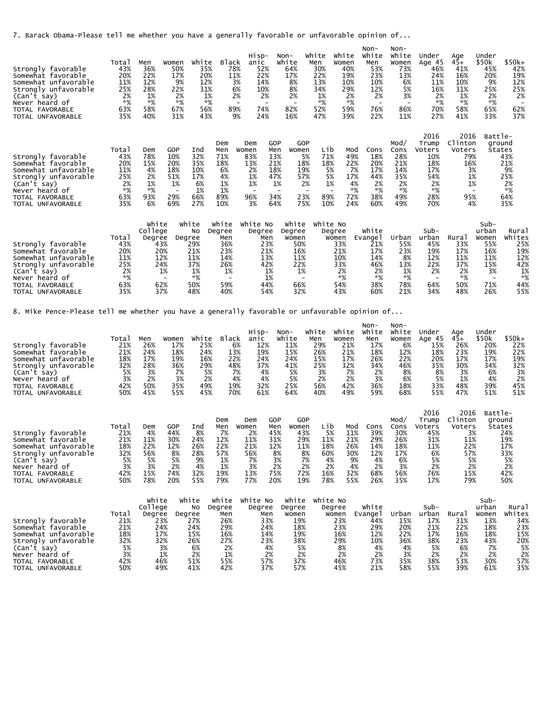7. Barack Obama-Please tell me whether you have a generally favorable or unfavorable opinion of...

| Strongly favorable<br>Somewhat favorable<br>Somewhat unfavorable<br>Strongly unfavorable<br>(Can't say)<br>Never heard of<br>TOTAL FAVORABLE<br><b>TOTAL</b><br>UNFAVORABLE       | Total<br>43%<br>20%<br>11%<br>25%<br>2%<br>*%<br>63%<br>35% | Men<br>36%<br>22%<br>12%<br>28%<br>1%<br>*%<br>58%<br>40% | Women<br>50%<br>17%<br>9%<br>22%<br>2%<br>$*%$<br>67%<br>31% | White<br>35%<br>20%<br>12%<br>31%<br>1%<br>$*%$<br>56%<br>43% | <b>Black</b><br>78%<br>11%<br>89%                              | Hisp-<br>anic<br>52%<br>22%<br>14%<br>3%<br>6%<br>10%<br>2%<br>2%<br>$\qquad \qquad$<br>$\overline{\phantom{a}}$<br>74%<br>9%<br>24% |                                                                                               | Non-<br>White<br>64%<br>17%<br>8%<br>8%<br>2%<br>$\qquad \qquad \blacksquare$<br>82%<br>16%    | White<br>Men<br>30%<br>22%<br>13%<br>34%<br>1%<br>$*%$<br>52%<br>47% | White<br>Women<br>40%<br>19%<br>10%<br>29%<br>2%<br>*%<br>59%<br>39% | $Non-$<br>White<br>Men<br>53%<br>23%<br>10%<br>12%<br>2%<br>$\overline{\phantom{0}}$<br>76%<br>22% | Non-<br>White<br>Women<br>73%<br>13%<br>6%<br>5%<br>3%<br>86%<br>11% | Under<br>Age 45<br>46%<br>24%<br>11%<br>16%<br>2%<br>$*%$<br>70%<br>27%         | Age<br>$45+$<br>41%<br>16%<br>10%<br>31%<br>1%<br>$*%$<br>58%<br>41%   | Under<br>\$50k<br>45%<br>20%<br>9%<br>25%<br>2%<br>$*%$<br>65%<br>33% | $$50k+$<br>42%<br>19%<br>12%<br>25%<br>2%<br>62%<br>37%                 |
|-----------------------------------------------------------------------------------------------------------------------------------------------------------------------------------|-------------------------------------------------------------|-----------------------------------------------------------|--------------------------------------------------------------|---------------------------------------------------------------|----------------------------------------------------------------|--------------------------------------------------------------------------------------------------------------------------------------|-----------------------------------------------------------------------------------------------|------------------------------------------------------------------------------------------------|----------------------------------------------------------------------|----------------------------------------------------------------------|----------------------------------------------------------------------------------------------------|----------------------------------------------------------------------|---------------------------------------------------------------------------------|------------------------------------------------------------------------|-----------------------------------------------------------------------|-------------------------------------------------------------------------|
| Strongly favorable<br>Somewhat favorable<br>Somewhat unfavorable<br>Strongly unfavorable<br>(Can't say)<br>heard of<br>Never<br>TOTAL<br>FAVORABLE<br>UNFAVORABLE<br><b>TOTAL</b> | Total<br>43%<br>20%<br>11%<br>25%<br>2%<br>*%<br>63%<br>35% | Dem<br>78%<br>15%<br>4%<br>2%<br>1%<br>*%<br>93%<br>6%    | GOP<br>10%<br>20%<br>18%<br>51%<br>1%<br>29%<br>69%          | Ind<br>32%<br>35%<br>10%<br>17%<br>6%<br>1%<br>66%<br>27%     | Dem<br>Men<br>71%<br>18%<br>6%<br>4%<br>1%<br>1%<br>89%<br>10% | Dem<br>Women<br>83%<br>13%<br>2%<br>1%<br>1%<br>$\overline{\phantom{0}}$<br>96%<br>3%                                                | <b>GOP</b><br>Men<br>13%<br>21%<br>18%<br>47%<br>1%<br>$\overline{\phantom{0}}$<br>34%<br>64% | <b>GOP</b><br>Women<br>5%<br>18%<br>19%<br>57%<br>2%<br>$\overline{\phantom{0}}$<br>23%<br>75% | Lib<br>71%<br>18%<br>5%<br>5%<br>1%<br>89%<br>10%                    | Mod<br>49%<br>22%<br>7%<br>17%<br>4%<br>$*%$<br>72%<br>24%           | Cons<br>18%<br>20%<br>17%<br>44%<br>2%<br>$*%$<br>38%<br>60%                                       | Mod/<br>Cons<br>28%<br>21%<br>14%<br>35%<br>2%<br>$*%$<br>49%<br>49% | 2016<br>Trump<br>Voters<br>10%<br>18%<br>17%<br>54%<br>2%<br>$*%$<br>28%<br>70% | 2016<br>Clinton<br>Voters<br>79%<br>16%<br>3%<br>1%<br>1%<br>95%<br>4% | Battle-<br>۰                                                          | ground<br>States<br>43%<br>21%<br>9%<br>25%<br>2%<br>$*%$<br>64%<br>35% |
| Strongly favorable<br>Somewhat favorable                                                                                                                                          | Total<br>43%<br>20%                                         | White<br>College<br>Degree<br>43%<br>20%                  | Degree                                                       | White<br>No<br>29%<br>21%                                     | white<br>Degree<br>Men<br>36%<br>23%                           | White No<br>Degree<br>Men<br>23%<br>21%                                                                                              |                                                                                               | white<br>Degree<br>Women<br>50%<br>16%                                                         | White No<br>Degree                                                   | Women<br>33%<br>21%                                                  | White<br>Evange I<br>21%<br>17%                                                                    | Urban<br>55%<br>23%                                                  | Sub-<br>urban<br>45%<br>19%                                                     | Rural<br>33%<br>17%                                                    | Sub-<br>urban<br>Women<br>55%<br>16%                                  | Rural<br>Whites<br>25%<br>19%                                           |

| <b>Strongly</b><br>favorabie     | 43%  | 43% | 29% | 50% | 23% | <b>DUZO</b> | 33%    | 2 T.O | 2070  | 45% | 33%                | コンズ | 2 D 70 |
|----------------------------------|------|-----|-----|-----|-----|-------------|--------|-------|-------|-----|--------------------|-----|--------|
| Somewhat<br>favorable            | 20%  | 20% | 21% | 23% | 21% | 16%         | 21%    | 17%   | 23%   | 19% | 17%                | 16% | 19%    |
| unfavorable<br>Somewhat          | 11%  | 12% | 11% | 14% | 13% | 11%         | $10\%$ | 14%   | 8%    | 12% | 11%                | 11% | 12%    |
| unfavorable<br>Strongl           | 25%  | 24% | 37% | 26% | 42% | 22%         | 33%    | 46%   | 13%   | 22% | 37%                | 15% | 42%    |
| (Can'<br>say                     | 2%   | 1%  | 1%  | 1%  | 1%  | 1%          | 2%     | 2%    | $1\%$ | 2%  |                    |     | 1%     |
| Never<br>heard of                | $*%$ |     | *%  |     |     |             | *%     | *%    | $*9/$ |     | $*$ <sup>o</sup> / |     | *%     |
| <b>TOTAL</b><br><b>FAVORABLE</b> | 63%  | 62% | 50% | 59% | 44% | 66%         | 54%    | 38%   | 78%   | 64% | 50%                | 71% | 44%    |
| <b>TOTAL</b><br>UNFAVORABLE      | 35%  | 37% | 48% | 40% | 54% | 32%         | 43%    | 60%   | 21%   | 34% | 48%                | 26% | 55%    |

8. Mike Pence-Please tell me whether you have a generally favorable or unfavorable opinion of...

|                         |       |     |       |       |              | $H1SD-$ | Non-  | white | white | Non-<br>White | Non-<br>white | under  | Aae   | Under |        |
|-------------------------|-------|-----|-------|-------|--------------|---------|-------|-------|-------|---------------|---------------|--------|-------|-------|--------|
|                         | Total | Men | Women | White | <b>Black</b> | anıc    | White | Men   | Women | Men           | Women         | Age 45 | $45+$ | \$50k | \$50k+ |
| favorable *<br>Strongly | 21%   | 26% | 17%   | 25%   | 6%           | 12%     | 11%   | 29%   | 21%   | 17%           | 6%            | 15%    | 26%   | 20%   | 22%    |
| Somewhat favorable      | 21%   | 24% | 18%   | 24%   | 13%          | 19%     | 15%   | 26%   | 21%   | 18%           | 12%           | 18%    | 23%   | 19%   | 22%    |
| Somewhat unfavorable    | 18%   | 17% | 19%   | 16%   | 22%          | 24%     | 24%   | 15%   | 17%   | 26%           | 22%           | 20%    | 17%   | 17%   | 19%    |
| Strongly unfavorable    | 32%   | 28% | 36%   | 29%   | 48%          | 37%     | 41%   | 25%   | 32%   | 34%           | 46%           | 35%    | 30%   | 34%   | 32%    |
| (Can't say)             | 5%    | 3%  | 7%    | 5%    | 7%           | 4%      | 5%    | 3%    | 7%    | 2%            | 8%            | 8%     | 3%    | 6%    | 3%     |
| Never heard of          | 3%    | 2%  | 3%    | 2%    | 4%           | 4%      | 5%    | 2%    | 2%    | 3%            | 6%            | 5%     | 1%    | 4%    | 2%     |
| TOTAL FAVORABLE         | 42%   | 50% | 35%   | 49%   | 19%          | 32%     | 25%   | 56%   | 42%   | 36%           | 18%           | 33%    | 48%   | 39%   | 45%    |
| TOTAL UNFAVORABLE       | 50%   | 45% | 55%   | 45%   | 70%          | 61%     | 64%   | 40%   | 49%   | 59%           | 68%           | 55%    | 47%   | 51%   | 51%    |

|                       |       |     |     |     |     |       |     |       |     |     |      |      | 2016   | 2016    | Battle- |
|-----------------------|-------|-----|-----|-----|-----|-------|-----|-------|-----|-----|------|------|--------|---------|---------|
|                       |       |     |     |     | Dem | Dem   | GOP | GOP   |     |     |      | Mod, | Trump  | Clinton | ground  |
|                       | Total | Dem | GOP | Ind | Men | Women | Men | Women | ∟ib | Mod | Cons | Cons | Voters | Voters  | States  |
| favorable<br>Strongly | 21%   | 4%  | 44% | 8%  | 7%  | 2%    | 45% | 43%   | 5%  | 11% | 39%  | 30%  | 45%    | 3%      | 24%     |
| Somewhat favorable    | 21%   | 11% | 30% | 24% | 12% | 11%   | 31% | 29%   | 11% | 21% | 29%  | 26%  | 31%    | 11%     | 19%     |
| Somewhat unfavorable  | 18%   | 22% | 12% | 26% | 22% | 21%   | 12% | 11%   | 18% | 26% | 14%  | 18%  | 11%    | 22%     | 17%     |
| Strongly unfavorable  | 32%   | 56% | 8%  | 28% | 57% | 56%   | 8%  | 8%    | 60% | 30% | 12%  | 17%  | 6%     | 57%     | 33%     |
| (Can't say)           | 5%    | 5%  | 5%  | 9%  | 1%  | 7%    | 3%  | 7%    | 4%  | 9%  | 4%   | 6%   | 5%     | 5%      | 5%      |
| Never heard of        | 3%    | 3%  | 2%  | 4%  | 1%  | 3%    | 2%  | 2%    | 2%  | 4%  | 2%   | 3%   | 2%     | 2%      | 2%      |
| TOTAL FAVORABLE       | 42%   | 15% | 74% | 32% | 19% | 13%   | 75% | 72%   | 16% | 32% | 68%  | 56%  | 76%    | 15%     | 42%     |
| TOTAL UNFAVORABLE     | 50%   | 78% | 20% | 55% | 79% | 77%   | 20% | 19%   | 78% | 55% | 26%  | 35%  | 17%    | 79%     | 50%     |
|                       |       |     |     |     |     |       |     |       |     |     |      |      |        |         |         |

|                      |       | White   | White  | White  | White No | White  | white No |          |       |        |      | $Sub-$ |        |
|----------------------|-------|---------|--------|--------|----------|--------|----------|----------|-------|--------|------|--------|--------|
|                      |       | College | No     | Degree | Degree   | Dearee | Degree   | white    |       | $Sub-$ |      | urban  | Rural  |
|                      | Total | Dearee  | Dearee | Men    | Men      | Women  | Women    | Evange I | Urban | urban  | Rura | Women  | Whites |
| Strongly favorable   | 21%   | 23%     | 27%    | 26%    | 33%      | 19%    | 23%      | 44%      | 15%   | 17%    | 31%  | 13%    | 34%    |
| Somewhat favorable   | 21%   | 24%     | 24%    | 29%    | 24%      | 18%    | 23%      | 29%      | 20%   | 21%    | 22%  | 18%    | 23%    |
| Somewhat unfavorable | 18%   | 17%     | 15%    | 16%    | 14%      | 19%    | 16%      | 12%      | 22%   | 17%    | 16%  | 18%    | 15%    |
| Strongly unfavorable | 32%   | 32%     | 26%    | 27%    | 23%      | 38%    | 29%      | 10%      | 36%   | 38%    | 23%  | 43%    | 20%    |
| (Can't say)          | 5%    | 3%      | 6%     | 2%     | 4%       | 5%     | 8%       | 4%       | 4%    | 5%     | 6%   | 7%     | 5%     |
| heard of<br>Never    | 3%    | 1%      | 2%     | 1%     | 2%       | 2%     | 2%       | 2%       | 3%    |        | 2%   |        | 2%     |
| TOTAL FAVORABLE      | 42%   | 46%     | 51%    | 55%    | 57%      | 37%    | 46%      | 73%      | 35%   | 38%    | 53%  | 30%    | 57%    |
| TOTAL UNFAVORABLE    | 50%   | 49%     | 41%    | 42%    | 37%      | 57%    | 45%      | 21%      | 58%   | 55%    | 39%  | 61%    | 35%    |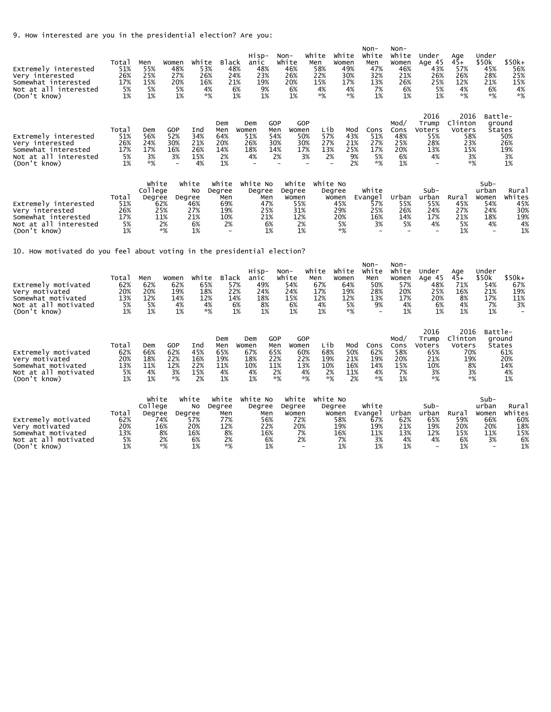9. How interested are you in the presidential election? Are you:

| Extremely interested<br>Very interested<br>Somewhat interested<br>Not at all interested<br>(Don't know) | Total<br>51%<br>26%<br>17%<br>5%<br>1% | Men<br>55%<br>25%<br>15%<br>5%<br>1%            | Women<br>48%<br>27%<br>20%<br>5%<br>1%                     | White<br>53%<br>26%<br>16%<br>4%<br>$*%$     | Black<br>48%<br>24%<br>21%<br>6%<br>1%                   | Hisp-<br>anic<br>48%<br>23%<br>19%<br>9%<br>1% | Non-                                          | White<br>46%<br>26%<br>20%<br>6%<br>1%                                         | White<br>Men<br>58%<br>22%<br>15%<br>4%<br>$*%$ | White<br>Women<br>49%<br>30%<br>17%<br>4%<br>$*%$ | Non-<br>White<br>Men<br>47%<br>32%<br>13%<br>7%<br>1% | Non-<br>White<br>Women<br>46%<br>21%<br>26%<br>6%<br>1% | Under<br>Age 45<br>43%<br>26%<br>25%<br>5%<br>1%            | Age<br>$45+$<br>57%<br>26%<br>12%<br>4%<br>$*$ %             | Under<br>\$50k<br>45%<br>28%<br>21%<br>6%<br>$*%$ | \$50k+<br>56%<br>25%<br>15%<br>4%<br>$*%$        |
|---------------------------------------------------------------------------------------------------------|----------------------------------------|-------------------------------------------------|------------------------------------------------------------|----------------------------------------------|----------------------------------------------------------|------------------------------------------------|-----------------------------------------------|--------------------------------------------------------------------------------|-------------------------------------------------|---------------------------------------------------|-------------------------------------------------------|---------------------------------------------------------|-------------------------------------------------------------|--------------------------------------------------------------|---------------------------------------------------|--------------------------------------------------|
| Extremely interested<br>Very interested<br>Somewhat interested<br>Not at all interested<br>(Don't know) | Total<br>51%<br>26%<br>17%<br>5%<br>1% | Dem<br>56%<br>24%<br>17%<br>3%<br>*%            | GOP<br>52%<br>30%<br>16%<br>3%<br>$\overline{\phantom{a}}$ | Ind<br>34%<br>21%<br>26%<br>15%<br>4%        | Dem<br>Men<br>64%<br>20%<br>14%<br>2%<br>1%              | Dem<br>Women<br>51%<br>26%<br>18%<br>4%        | <b>GOP</b><br>Men<br>54%<br>30%<br>14%<br>2%  | GOP<br>Women<br>50%<br>30%<br>17%<br>3%                                        | Lib<br>57%<br>27%<br>13%<br>2%                  | Mod<br>43%<br>21%<br>25%<br>9%<br>2%              | Cons<br>51%<br>27%<br>17%<br>5%<br>$*%$               | Mod/<br>Cons<br>48%<br>25%<br>20%<br>6%<br>1%           | 2016<br>Trump<br>Voters<br>55%<br>28%<br>13%<br>4%          | 2016<br>Clinton<br>Voters<br>58%<br>23%<br>15%<br>3%<br>$*%$ | Battle-<br>ground<br><b>States</b>                | 50%<br>26%<br>19%<br>3%<br>1%                    |
| Extremely interested<br>Very interested<br>Somewhat interested<br>Not at all interested<br>(Don't know) | Total<br>51%<br>26%<br>17%<br>5%<br>1% | White<br>College<br>Degree<br>62%<br>25%<br>11% | Degree<br>2%<br>*%                                         | White<br>No<br>46%<br>27%<br>21%<br>6%<br>1% | White<br>Degree<br>Men<br>69%<br>19%<br>10%<br>2%        | White No<br>Degree<br>Men<br>47%<br>25%<br>21% | 6%<br>1%                                      | White<br>Degree<br>Women<br>55%<br>31%<br>12%<br>2%<br>1%                      | White No                                        | Degree<br>Women<br>45%<br>29%<br>20%<br>5%<br>*%  | White<br>Evange l<br>57%<br>25%<br>16%<br>3%          | Urban<br>55%<br>26%<br>14%<br>5%                        | Sub-<br>urban<br>55%<br>24%<br>17%<br>4%                    | Rural<br>45%<br>27%<br>21%<br>5%<br>1%                       | Sub-<br>urban<br>Women<br>54%<br>24%<br>18%<br>4% | Rural<br>Whites<br>45%<br>30%<br>19%<br>4%<br>1% |
| 10. How motivated do you feel about voting in the presidential election?                                |                                        |                                                 |                                                            |                                              |                                                          |                                                |                                               |                                                                                |                                                 |                                                   |                                                       |                                                         |                                                             |                                                              |                                                   |                                                  |
| Extremely motivated<br>Very motivated<br>Somewhat motivated<br>Not at all motivated<br>(Don't know)     | Total<br>62%<br>20%<br>13%<br>5%<br>1% | Men<br>62%<br>20%<br>12%<br>5%<br>1%            | Women<br>62%<br>19%<br>14%<br>4%<br>1%                     | White<br>65%<br>18%<br>12%<br>4%<br>*%       | <b>Black</b><br>57%<br>22%<br>14%<br>6%<br>1%            | Hisp-<br>anic<br>49%<br>24%<br>18%<br>8%<br>1% | $Non-$                                        | White<br>54%<br>24%<br>15%<br>6%<br>1%                                         | white<br>Men<br>67%<br>17%<br>12%<br>4%<br>1%   | white<br>Women<br>64%<br>19%<br>12%<br>5%<br>$*%$ | $Non-$<br>white<br>Men<br>50%<br>28%<br>13%<br>9%     | Non-<br>White<br>Women<br>57%<br>20%<br>17%<br>4%<br>1% | Under<br>Age 45<br>48%<br>25%<br>20%<br>6%<br>1%            | Age<br>$45+$<br>71%<br>16%<br>8%<br>4%<br>1%                 | Under<br>\$50k<br>54%<br>21%<br>17%<br>7%<br>1%   | \$50k+<br>67%<br>19%<br>11%<br>3%                |
| Extremely motivated<br>Very motivated<br>Somewhat motivated<br>Not at all motivated<br>(Don't know)     | Total<br>62%<br>20%<br>13%<br>5%<br>1% | Dem<br>66%<br>18%<br>11%<br>4%<br>1%            | GOP<br>62%<br>22%<br>12%<br>3%<br>$*%$                     | Ind<br>45%<br>16%<br>22%<br>15%<br>2%        | Dem<br>Men<br>65%<br>19%<br>11%<br>4%<br>1%              | Dem<br>Women<br>67%<br>18%<br>10%<br>4%<br>1%  | GOP<br>Men<br>65%<br>22%<br>11%<br>2%<br>$*%$ | GOP<br>Women<br>60%<br>22%<br>13%<br>4%<br>$*%$                                | Lib<br>68%<br>19%<br>10%<br>2%<br>$*%$          | Mod<br>50%<br>21%<br>16%<br>11%<br>2%             | Cons<br>62%<br>19%<br>14%<br>4%<br>$*%$               | Mod/<br>Cons<br>58%<br>20%<br>15%<br>7%<br>1%           | 2016<br>Trump<br>Voters<br>65%<br>21%<br>10%<br>3%<br>$*$ % | 2016<br>Clinton<br>Voters<br>70%<br>19%<br>8%<br>3%<br>$*$ % | Battle-<br>ground                                 | States<br>61%<br>20%<br>14%<br>4%<br>1%          |
| Extremely motivated<br>Very motivated<br>Somewhat motivated<br>Not at all motivated<br>(Don't know)     | Total<br>62%<br>20%<br>13%<br>5%<br>1% | White<br>College<br>Degree<br>74%<br>16%        | Degree<br>8%<br>2%<br>*%                                   | White<br>No<br>57%<br>20%<br>16%<br>6%<br>1% | White<br>Degree<br>Men<br>77%<br>12%<br>8%<br>2%<br>$*%$ | White No<br>Degree<br>Men<br>56%<br>22%<br>16% | 6%<br>1%                                      | White<br>Degree<br>Women<br>72%<br>20%<br>7%<br>2%<br>$\overline{\phantom{a}}$ | White No                                        | Degree<br>Women<br>58%<br>19%<br>16%<br>7%<br>1%  | White<br>Evange I<br>67%<br>19%<br>11%<br>3%<br>1%    | Urban<br>62%<br>21%<br>13%<br>4%<br>1%                  | $Sub-$<br>urban<br>65%<br>19%<br>12%<br>4%                  | Rura1<br>59%<br>20%<br>15%<br>6%<br>1%                       | Sub-<br>urban<br>Women<br>66%<br>20%<br>11%<br>3% | Rural<br>Whites<br>60%<br>18%<br>15%<br>6%<br>1% |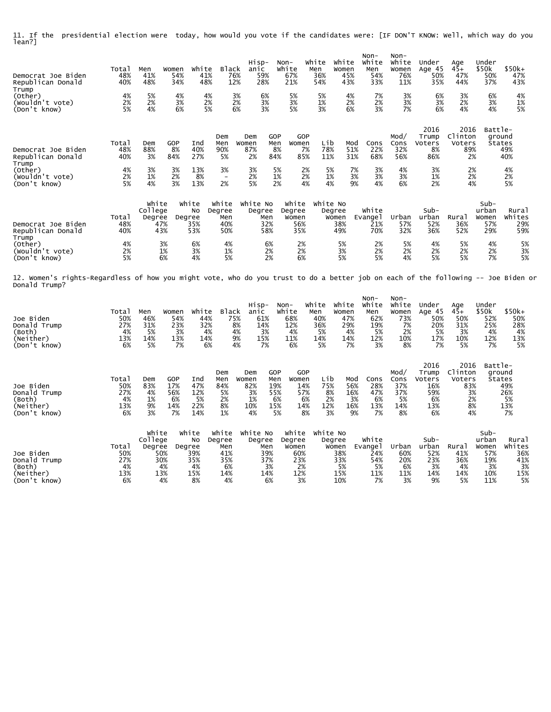11. If the presidential election were today, how would you vote if the candidates were: [IF DON'T KNOW: Well, which way do you lean?]

| Democrat Joe Biden<br>Republican Donald                                                                                                            | Total<br>48%<br>40%                    | Men<br>41%<br>48%                    | Women<br>54%<br>34%                    | White<br>41%<br>48%                                    | <b>Black</b><br>76%<br>12%                              | Hisp-<br>anic<br>59%<br>28%                    |                                             | $Non-$<br>White<br>67%<br>21%                             | White<br>Men<br>36%<br>54%                    | White<br>Women<br>45%<br>43%                      | Non-<br>White<br>Men<br>54%<br>33%                      | Non-<br>White<br>Women<br>76%<br>11%                     | Under<br>Age 45<br>50%<br>35%                            | Age<br>$45+$<br>47%<br>44%                               | Under<br>\$50k<br>50%<br>37%                               | $$50k+$<br>47%<br>43%                            |
|----------------------------------------------------------------------------------------------------------------------------------------------------|----------------------------------------|--------------------------------------|----------------------------------------|--------------------------------------------------------|---------------------------------------------------------|------------------------------------------------|---------------------------------------------|-----------------------------------------------------------|-----------------------------------------------|---------------------------------------------------|---------------------------------------------------------|----------------------------------------------------------|----------------------------------------------------------|----------------------------------------------------------|------------------------------------------------------------|--------------------------------------------------|
| Trump<br>(Other)<br>(Wouldn't vote)<br>(Don't know)                                                                                                | 4%<br>2%<br>5%                         | 5%<br>2%<br>4%                       | 4%<br>3%<br>6%                         | 4%<br>2%<br>5%                                         | 3%<br>2%<br>6%                                          | 6%<br>3%<br>3%                                 |                                             | 5%<br>3%<br>5%                                            | 5%<br>1%<br>3%                                | 4%<br>2%<br>6%                                    | 7%<br>2%<br>3%                                          | 3%<br>3%<br>7%                                           | 6%<br>3%<br>6%                                           | 3%<br>2%<br>4%                                           | 6%<br>3%<br>4%                                             | 4%<br>1%<br>5%                                   |
| Democrat Joe Biden<br>Republican Donald                                                                                                            | Total<br>48%<br>40%                    | Dem<br>88%<br>3%                     | GOP<br>8%<br>84%                       | Ind<br>40%<br>27%                                      | Dem<br>Men<br>90%<br>5%                                 | Dem<br>Women<br>87%<br>2%                      | GOP<br>Men<br>8%<br>84%                     | GOP<br>Women<br>7%<br>85%                                 | Lib<br>78%<br>11%                             | Mod<br>51%<br>31%                                 | Cons<br>22%<br>68%                                      | Mod/<br>Cons<br>32%<br>56%                               | 2016<br>Trump<br>Voters<br>8%<br>86%                     | 2016<br>Clinton<br>Voters<br>89%<br>2%                   | Battle-<br>ground<br>States                                | 49%<br>40%                                       |
| Trump<br>(Other)<br>(Wouldn't vote)<br>(Don't know)                                                                                                | 4%<br>2%<br>5%                         | 3%<br>1%<br>4%                       | 3%<br>2%<br>3%                         | 13%<br>8%<br>13%                                       | 3%<br>$\overline{\phantom{a}}$<br>2%                    | 3%<br>2%<br>5%                                 | 5%<br>1%<br>2%                              | 2%<br>2%<br>4%                                            | 5%<br>1%<br>4%                                | 7%<br>3%<br>9%                                    | 3%<br>3%<br>4%                                          | 4%<br>3%<br>6%                                           | 3%<br>1%<br>2%                                           | 2%<br>2%                                                 | 4%                                                         | 4%<br>2%<br>5%                                   |
| Democrat Joe Biden<br>Republican Donald                                                                                                            | Total<br>48%<br>40%                    | white<br>College<br>Degree           | 47%<br>43%                             | white<br>No<br>Degree<br>35%<br>53%                    | White<br>Degree<br>Men<br>40%<br>50%                    | White No<br>Degree<br>Men                      | 32%<br>58%                                  | White<br>Degree<br>Women<br>56%<br>35%                    | white No                                      | Degree<br>Women<br>38%<br>49%                     | White<br>Evange1<br>21%<br>70%                          | Urban<br>57%<br>32%                                      | Sub-<br>urban<br>52%<br>36%                              | Rural<br>36%<br>52%                                      | $Sub-$<br>urban<br>Women<br>57%<br>29%                     | Rural<br>Whites<br>29%<br>59%                    |
| Trump<br>(Other)<br>(Wouldn't vote)<br>(Don't know)                                                                                                | 4%<br>2%<br>5%                         |                                      | 3%<br>1%<br>6%                         | 6%<br>3%<br>4%                                         | 4%<br>1%<br>5%                                          |                                                | 6%<br>2%<br>2%                              | 2%<br>2%<br>6%                                            |                                               | 5%<br>3%<br>5%                                    | 2%<br>2%<br>5%                                          | 5%<br>2%<br>4%                                           | 4%<br>2%<br>5%                                           | 5%<br>2%<br>5%                                           | 4%<br>2%<br>7%                                             | 5%<br>3%<br>5%                                   |
| 12. Women's rights-Regardless of how you might vote, who do you trust to do a better job on each of the following -- Joe Biden or<br>Donald Trump? |                                        |                                      |                                        |                                                        |                                                         |                                                |                                             |                                                           |                                               |                                                   |                                                         |                                                          |                                                          |                                                          |                                                            |                                                  |
| Joe Biden<br>Donald Trump<br>(Both)<br>(Neither)<br>(Don't know)                                                                                   | Total<br>50%<br>27%<br>4%<br>13%<br>6% | Men<br>46%<br>31%<br>5%<br>14%<br>5% | Women<br>54%<br>23%<br>3%<br>13%<br>7% | White<br>44%<br>32%<br>4%<br>14%<br>6%                 | Black<br>75%<br>8%<br>4%<br>9%<br>4%                    | Hisp-<br>anic<br>61%<br>14%<br>3%<br>15%<br>7% |                                             | Non-<br>White<br>68%<br>12%<br>4%<br>11%<br>6%            | White<br>Men<br>40%<br>36%<br>5%<br>14%<br>5% | White<br>Women<br>47%<br>29%<br>4%<br>14%<br>7%   | $Non-$<br>white<br>Men<br>62%<br>19%<br>5%<br>12%<br>3% | $Non-$<br>White<br>Women<br>73%<br>7%<br>2%<br>10%<br>8% | Under<br>Age 45<br>50%<br>20%<br>5%<br>17%<br>7%         | Age<br>$45+$<br>50%<br>31%<br>3%<br>10%<br>5%            | Under<br>\$50k<br>52%<br>25%<br>4%<br>12%<br>7%            | $$50k+$<br>50%<br>28%<br>4%<br>13%<br>5%         |
| Joe Biden<br>Donald Trump<br>(Both)<br>(Neither)<br>(Don't know)                                                                                   | Total<br>50%<br>27%<br>4%<br>13%<br>6% | Dem<br>83%<br>4%<br>1%<br>9%<br>3%   | GOP<br>17%<br>56%<br>6%<br>14%<br>7%   | Ind<br>47%<br>12%<br>5%<br>22%<br>14%                  | Dem<br>Men<br>84%<br>5%<br>2%<br>8%<br>1%               | Dem<br>Women<br>82%<br>3%<br>1%<br>10%<br>4%   | GOP<br>Men<br>19%<br>55%<br>6%<br>15%<br>5% | GOP<br>Women<br>14%<br>57%<br>6%<br>14%<br>8%             | Lib<br>75%<br>8%<br>2%<br>12%<br>3%           | Mod<br>56%<br>16%<br>3%<br>16%<br>9%              | Cons<br>28%<br>47%<br>6%<br>13%<br>7%                   | Mod/<br>Cons<br>37%<br>37%<br>5%<br>14%<br>8%            | 2016<br>Trump<br>Voters<br>16%<br>59%<br>6%<br>13%<br>6% | 2016<br>Clinton<br>Voters<br>83%<br>3%<br>2%<br>8%<br>4% | Battle-<br>ground<br>States                                | 49%<br>26%<br>5%<br>13%<br>7%                    |
| Joe Biden<br>Donald Trump<br>(Both)<br>(Neither)<br>(Don't know)                                                                                   | Total<br>50%<br>27%<br>4%<br>13%<br>6% | white<br>College<br>Degree           | 50%<br>30%<br>4%<br>13%<br>4%          | white<br>No<br>Degree<br>39%<br>35%<br>4%<br>15%<br>8% | White<br>Degree<br>Men<br>41%<br>35%<br>6%<br>14%<br>4% | White No<br>Degree<br>Men<br>14%               | 39%<br>37%<br>3%<br>6%                      | white<br>Degree<br>Women<br>60%<br>23%<br>2%<br>12%<br>3% | White No                                      | Degree<br>Women<br>38%<br>33%<br>5%<br>15%<br>10% | White<br>Evange1<br>24%<br>54%<br>5%<br>11%<br>7%       | Urban<br>60%<br>20%<br>6%<br>11%<br>3%                   | Sub-<br>urban<br>52%<br>23%<br>3%<br>14%<br>9%           | Rural<br>41%<br>36%<br>4%<br>14%<br>5%                   | $Sub-$<br>urban<br>Women<br>57%<br>19%<br>3%<br>10%<br>11% | Rural<br>Whites<br>36%<br>41%<br>3%<br>15%<br>5% |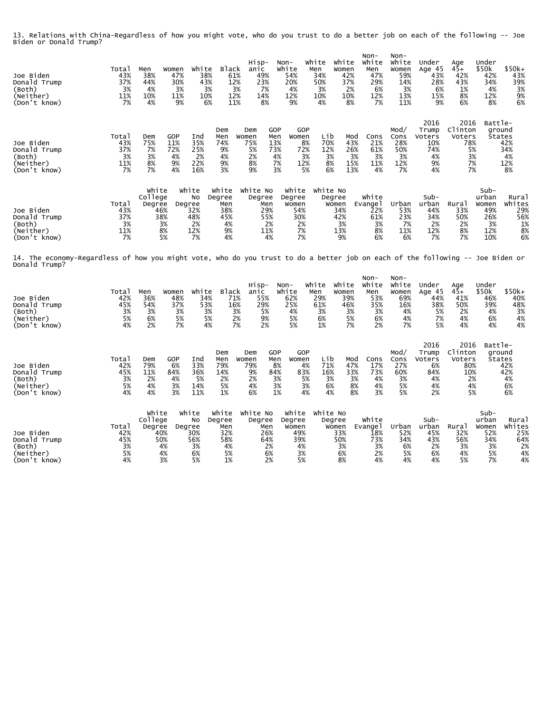13. Relations with China-Regardless of how you might vote, who do you trust to do a better job on each of the following -- Joe Biden or Donald Trump?

| Joe Biden<br>Donald Trump<br>(Both)<br>(Neither)<br>(Don't know)                                                                                | Total<br>43%<br>37%<br>3%<br>11%<br>7% | Men<br>38%<br>44%<br>4%<br>10%<br>4%                       | Women<br>47%<br>30%<br>3%<br>11%<br>9% | White<br>38%<br>43%<br>3%<br>10%<br>6%       | <b>Black</b><br>61%<br>12%<br>3%<br>12%<br>11%         | Hisp-<br>anic<br>49%<br>23%<br>7%<br>14%<br>8% | Non-                                       | White<br>54%<br>20%<br>4%<br>12%<br>9%                   | White<br>Men<br>34%<br>50%<br>3%<br>10%<br>4% | white<br>Women<br>42%<br>37%<br>2%<br>10%<br>8%  | $Non-$<br>White<br>Men<br>47%<br>29%<br>6%<br>12%<br>7% | $Non-$<br>White<br>Women<br>59%<br>14%<br>3%<br>13%<br>11% | Under<br>Age 45<br>43%<br>28%<br>6%<br>15%<br>9%        | Age<br>$45+$<br>42%<br>43%<br>1%<br>8%<br>6%             | Under<br>\$50k<br>42%<br>34%<br>4%<br>12%<br>8%          | $$50k+$<br>43%<br>39%<br>3%<br>9%<br>6%         |
|-------------------------------------------------------------------------------------------------------------------------------------------------|----------------------------------------|------------------------------------------------------------|----------------------------------------|----------------------------------------------|--------------------------------------------------------|------------------------------------------------|--------------------------------------------|----------------------------------------------------------|-----------------------------------------------|--------------------------------------------------|---------------------------------------------------------|------------------------------------------------------------|---------------------------------------------------------|----------------------------------------------------------|----------------------------------------------------------|-------------------------------------------------|
| Joe Biden<br>Donald Trump<br>(Both)<br>(Neither)<br>(Don't know)                                                                                | Total<br>43%<br>37%<br>3%<br>11%<br>7% | Dem<br>75%<br>7%<br>3%<br>8%<br>7%                         | GOP<br>11%<br>72%<br>4%<br>9%<br>4%    | Ind<br>35%<br>25%<br>2%<br>22%<br>16%        | Dem<br>Men<br>74%<br>9%<br>4%<br>9%<br>3%              | Dem<br>Women<br>75%<br>5%<br>2%<br>8%<br>9%    | GOP<br>Men<br>13%<br>73%<br>4%<br>7%<br>3% | GOP<br>Women<br>8%<br>72%<br>3%<br>12%<br>5%             | Lib<br>70%<br>12%<br>3%<br>8%<br>6%           | Mod<br>43%<br>26%<br>3%<br>15%<br>13%            | Cons<br>21%<br>61%<br>3%<br>11%<br>4%                   | Mod/<br>Cons<br>28%<br>50%<br>3%<br>12%<br>7%              | 2016<br>Trump<br>Voters<br>10%<br>74%<br>4%<br>9%<br>4% | 2016<br>Clinton<br>Voters<br>78%<br>5%<br>3%<br>7%<br>7% | Battle-<br>ground                                        | States<br>42%<br>34%<br>4%<br>12%<br>8%         |
| Joe Biden<br>Donald Trump<br>(Both)<br>(Neither)<br>(Don't know)                                                                                | Total<br>43%<br>37%<br>3%<br>11%<br>7% | white<br>College<br>Degree<br>46%<br>38%<br>3%<br>8%<br>5% | Degree                                 | white<br>No<br>32%<br>48%<br>2%<br>12%<br>7% | white<br>Degree<br>Men<br>38%<br>45%<br>4%<br>9%<br>4% | White No<br>Degree<br>Men<br>29%<br>55%<br>11% | 2%<br>4%                                   | White<br>Degree<br>Women<br>54%<br>30%<br>2%<br>7%<br>7% | white No                                      | Degree<br>Women<br>34%<br>42%<br>3%<br>13%<br>9% | White<br>Evange1<br>22%<br>61%<br>3%<br>8%<br>6%        | Urban<br>53%<br>23%<br>7%<br>11%<br>6%                     | $Sub-$<br>urban<br>44%<br>34%<br>2%<br>12%<br>7%        | Rural<br>33%<br>50%<br>2%<br>8%<br>7%                    | Sub-<br>urban<br>Women<br>49%<br>26%<br>3%<br>12%<br>10% | Rural<br>Whites<br>29%<br>56%<br>1%<br>8%<br>6% |
| 14. The economy-Regardless of how you might vote, who do you trust to do a better job on each of the following -- Joe Biden or<br>Donald Trump? |                                        |                                                            |                                        |                                              |                                                        |                                                |                                            |                                                          |                                               |                                                  |                                                         |                                                            |                                                         |                                                          |                                                          |                                                 |
| Joe Biden<br>Donald Trump                                                                                                                       | Total<br>42%<br>45%                    | Men<br>36%<br>54%                                          | Women<br>48%<br>37%                    | white<br>34%<br>53%                          | <b>Black</b><br>71%<br>16%                             | Hisp-<br>anic<br>55%<br>29%                    | Non-                                       | white<br>62%<br>25%                                      | White<br>Men<br>29%<br>61%                    | white<br>Women<br>39%<br>46%                     | Non-<br>White<br>Men<br>53%<br>35%                      | $Non-$<br>White<br>Women<br>69%<br>16%                     | Under<br>Age 45<br>44%<br>38%                           | Age<br>$45+$<br>41%<br>50%                               | Under<br>\$50k<br>46%<br>39%                             | $$50k+$<br>40%<br>48%                           |

| Joe Biden<br>Donald Trump<br>(Both)<br>(Neither)<br>(Don't know) | Total<br>42%<br>45%<br>3%<br>5%<br>4% | Dem<br>79%<br>11%<br>2%<br>4%<br>4% | GOP<br>Ind<br>33%<br>6%<br>36%<br>84%<br>4%<br>5%<br>3%<br>14%<br>3%<br>11% | Dem<br>Men<br>79%<br>14%<br>2%<br>5%<br>1% | Dem<br>Women<br>79%<br>9%<br>2%<br>4%<br>6% | GOP<br>Men<br>8%<br>84%<br>3%<br>3%<br>1% | GOP<br>Women<br>4%<br>83%<br>5%<br>3%<br>4% | Lib<br>71%<br>16%<br>3%<br>6%<br>4% | Mod<br>47%<br>33%<br>3%<br>8%<br>8% | Cons<br>17%<br>73%<br>4%<br>4%<br>3%   | Mod/<br>Cons<br>27%<br>60%<br>3%<br>5%<br>5% | 2016<br>Trump<br>Voters<br>6%<br>84%<br>4%<br>4%<br>2% | 2016<br>Clinton<br>Voters<br>80%<br>10%<br>2%<br>4%<br>5% | Battle-<br>ground<br>States   | 42%<br>42%<br>4%<br>6%<br>6% |
|------------------------------------------------------------------|---------------------------------------|-------------------------------------|-----------------------------------------------------------------------------|--------------------------------------------|---------------------------------------------|-------------------------------------------|---------------------------------------------|-------------------------------------|-------------------------------------|----------------------------------------|----------------------------------------------|--------------------------------------------------------|-----------------------------------------------------------|-------------------------------|------------------------------|
| Joe Biden                                                        | Total<br>42%                          | White<br>College<br>Degree<br>40%   | white<br>No<br>Degree<br>30%                                                | White<br>Degree<br>Men<br>32%              | White No<br>Degree<br>Men<br>26%            |                                           | White<br>Degree<br>Women<br>49%             | White No<br>Degree<br>Women<br>33%  |                                     | white<br>Evange <sup>1</sup><br>$18\%$ | Urban<br>52%                                 | $Sub-$<br>urban<br>45%                                 | Rural<br>32%                                              | Sub-<br>urban<br>Women<br>52% | Rural<br>Whites<br>25%       |

Donald Trump 45% 50% 56% 58% 64% 39% 50% 73% 34% 43% 56% 34% 64% (Both) 3% 4% 3% 4% 2% 4% 3% 3% 6% 2% 3% 3% 2% (Neither) 5% 4% 6% 5% 6% 3% 6% 2% 5% 6% 4% 5% 4% (Don't know) 4% 3% 5% 1% 2% 5% 8% 4% 4% 4% 5% 7% 4%

(Both) 3% 3% 3% 3% 3% 5% 4% 3% 3% 3% 4% 5% 2% 4% 3% (Neither) 5% 6% 5% 5% 2% 9% 5% 6% 5% 6% 4% 7% 4% 6% 4% (Don't know) 4% 2% 7% 4% 7% 2% 5% 1% 7% 2% 7% 5% 4% 4% 4%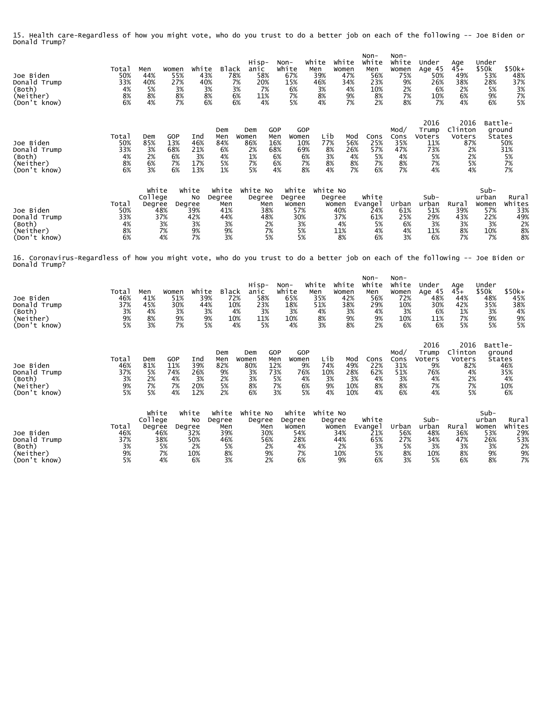15. Health care-Regardless of how you might vote, who do you trust to do a better job on each of the following -- Joe Biden or Donald Trump?

| Joe Biden<br>Donald Trump<br>(Both)<br>(Neither)<br>(Don't know)                                                                                | Total<br>50%<br>33%<br>4%<br>8%<br>6% | Men<br>44%<br>40%<br>5%<br>8%<br>4%                        | Women<br>55%<br>27%<br>3%<br>8%<br>7%      | White<br>43%<br>40%<br>3%<br>8%<br>6% | Black<br>78%<br>7%<br>3%<br>6%<br>6%                   | Hisp-<br>anic<br>58%<br>20%<br>7%<br>11%<br>4% | Non-<br>White<br>67%<br>15%<br>6%<br>7%<br>5%  |                                              | White<br>Men<br>39%<br>46%<br>3%<br>8%<br>4% | White<br>Women<br>47%<br>34%<br>4%<br>9%<br>7% | $Non-$<br>White<br>Men<br>56%<br>23%<br>10%<br>8%<br>2% | $Non-$<br>White<br>Women<br>75%<br>9%<br>2%<br>7%<br>8% | Under<br>Age 45<br>50%<br>26%<br>6%<br>10%<br>7%        | Age<br>$4\bar{5}+$<br>49%<br>38%<br>2%<br>6%<br>4%       | Under<br>\$50k<br>53%<br>28%<br>5%<br>9%<br>6%            | $$50k+$<br>48%<br>37%<br>3%<br>7%<br>5%           |
|-------------------------------------------------------------------------------------------------------------------------------------------------|---------------------------------------|------------------------------------------------------------|--------------------------------------------|---------------------------------------|--------------------------------------------------------|------------------------------------------------|------------------------------------------------|----------------------------------------------|----------------------------------------------|------------------------------------------------|---------------------------------------------------------|---------------------------------------------------------|---------------------------------------------------------|----------------------------------------------------------|-----------------------------------------------------------|---------------------------------------------------|
| Joe Biden<br>Donald Trump<br>(Both)<br>(Neither)<br>(Don't know)                                                                                | Total<br>50%<br>33%<br>4%<br>8%<br>6% | Dem<br>85%<br>3%<br>2%<br>6%<br>3%                         | <b>GOP</b><br>13%<br>68%<br>6%<br>7%<br>6% | Ind<br>46%<br>21%<br>3%<br>17%<br>13% | Dem<br>Men<br>84%<br>6%<br>4%<br>5%<br>1%              | Dem<br>Women<br>86%<br>2%<br>1%<br>7%<br>5%    | GOP<br>Men<br>16%<br>68%<br>6%<br>6%<br>4%     | GOP<br>Women<br>10%<br>69%<br>6%<br>7%<br>8% | Lib<br>77%<br>8%<br>3%<br>8%<br>4%           | Mod<br>56%<br>26%<br>4%<br>8%<br>7%            | Cons<br>25%<br>57%<br>5%<br>7%<br>6%                    | Mod/<br>Cons<br>35%<br>47%<br>4%<br>8%<br>7%            | 2016<br>Trump<br>Voters<br>11%<br>73%<br>5%<br>7%<br>4% | 2016<br>Clinton<br>Voters<br>87%<br>2%<br>2%<br>5%<br>4% | Battle-                                                   | ground<br>States<br>50%<br>31%<br>5%<br>7%<br>7%  |
| Joe Biden<br>Donald Trump<br>(Both)<br>(Neither)<br>(Don't know)                                                                                | Total<br>50%<br>33%<br>4%<br>8%<br>6% | White<br>College<br>Degree<br>48%<br>37%<br>3%<br>7%<br>4% | White<br>Degree<br>42%                     | No<br>39%<br>3%<br>9%<br>7%           | White<br>Degree<br>Men<br>41%<br>44%<br>3%<br>9%<br>3% | White No<br>Degree<br>Men<br>38%<br>48%        | Degree<br>Women<br>2%<br>7%<br>5%              | White<br>57%<br>30%<br>3%<br>5%<br>5%        | White No<br>Degree                           | Women<br>40%<br>37%<br>4%<br>11%<br>8%         | White<br>Evange l<br>24%<br>61%<br>5%<br>4%<br>6%       | Urban<br>61%<br>25%<br>6%<br>4%<br>3%                   | $Sub-$<br>urban<br>51%<br>29%<br>3%<br>11%<br>6%        | Rural<br>39%<br>43%<br>3%<br>8%<br>7%                    | $Sub-$<br>urban<br>Women<br>57%<br>22%<br>3%<br>10%<br>7% | Rural<br>Whites<br>33%<br>49%<br>2%<br>8%<br>8%   |
| 16. Coronavirus-Regardless of how you might vote, who do you trust to do a better job on each of the following -- Joe Biden or<br>Donald Trump? |                                       |                                                            |                                            |                                       |                                                        |                                                |                                                |                                              |                                              |                                                |                                                         |                                                         |                                                         |                                                          |                                                           |                                                   |
| Joe Biden<br>Donald Trump<br>(Both)<br>(Neither)<br>(Don't know)                                                                                | Total<br>46%<br>37%<br>3%<br>9%<br>5% | Men<br>41%<br>45%<br>4%<br>8%<br>3%                        | Women<br>51%<br>30%<br>3%<br>9%<br>7%      | White<br>39%<br>44%<br>3%<br>9%<br>5% | <b>Black</b><br>72%<br>10%<br>4%<br>10%<br>4%          | Hisp-<br>anic<br>58%<br>23%<br>3%<br>11%<br>5% | Non-<br>White<br>65%<br>18%<br>3%<br>10%<br>4% |                                              | White<br>Men<br>35%<br>51%<br>4%<br>8%<br>3% | white<br>Women<br>42%<br>38%<br>3%<br>9%<br>8% | Non-<br>White<br>Men<br>56%<br>29%<br>4%<br>9%<br>2%    | Non-<br>White<br>Women<br>72%<br>10%<br>3%<br>10%<br>6% | Under<br>Age 45<br>48%<br>30%<br>6%<br>11%<br>6%        | Age<br>$45+$<br>44%<br>42%<br>1%<br>7%<br>5%             | Under<br>\$50k<br>48%<br>35%<br>3%<br>9%<br>5%            | \$50k+<br>45%<br>38%<br>4%<br>9%<br>5%            |
| Joe Biden<br>Donald Trump<br>(Both)<br>(Neither)<br>(Don't know)                                                                                | Total<br>46%<br>37%<br>3%<br>9%<br>5% | Dem<br>81%<br>5%<br>2%<br>7%<br>5%                         | GOP<br>11%<br>74%<br>4%<br>7%<br>4%        | Ind<br>39%<br>26%<br>3%<br>20%<br>12% | Dem<br>Men<br>82%<br>9%<br>2%<br>5%<br>2%              | Dem<br>Women<br>80%<br>3%<br>3%<br>8%<br>6%    | GOP<br>Men<br>12%<br>73%<br>5%<br>7%<br>3%     | GOP<br>Women<br>9%<br>76%<br>4%<br>6%<br>5%  | Lib<br>74%<br>10%<br>3%<br>9%<br>4%          | Mod<br>49%<br>28%<br>3%<br>10%<br>10%          | Cons<br>22%<br>62%<br>4%<br>8%<br>4%                    | Mod/<br>Cons<br>31%<br>51%<br>3%<br>8%<br>6%            | 2016<br>Trump<br>Voters<br>9%<br>76%<br>4%<br>7%<br>4%  | 2016<br>Clinton<br>Voters<br>82%<br>4%<br>2%<br>7%<br>5% | Battle-                                                   | ground<br>States<br>46%<br>35%<br>4%<br>10%<br>6% |
| Joe Biden                                                                                                                                       | Total<br>46%                          | White<br>College<br>Degree<br>46%                          | White<br>Degree<br>32%                     | No                                    | White<br>Degree<br>Men<br>39%                          | White No<br>Degree<br>Men<br>30%               | Degree                                         | White<br>Women<br>54%                        | White No<br>Degree                           | Women<br>34%                                   | White<br>Evange1<br>21%                                 | Urban<br>56%                                            | Sub-<br>urban<br>48%                                    | Rural<br>36%                                             | Sub-<br>urban<br>Women<br>53%                             | Rural<br>Whites<br>29%                            |

Donald Trump 37% 38% 50% 46% 56% 28% 44% 65% 27% 34% 47% 26% 53% (Both) 3% 5% 2% 5% 2% 4% 2% 3% 5% 3% 3% 3% 2% (Neither) 9% 7% 10% 8% 9% 7% 10% 5% 8% 10% 8% 9% 9% (Don't know) 5% 4% 6% 3% 2% 6% 9% 6% 3% 5% 6% 8% 7%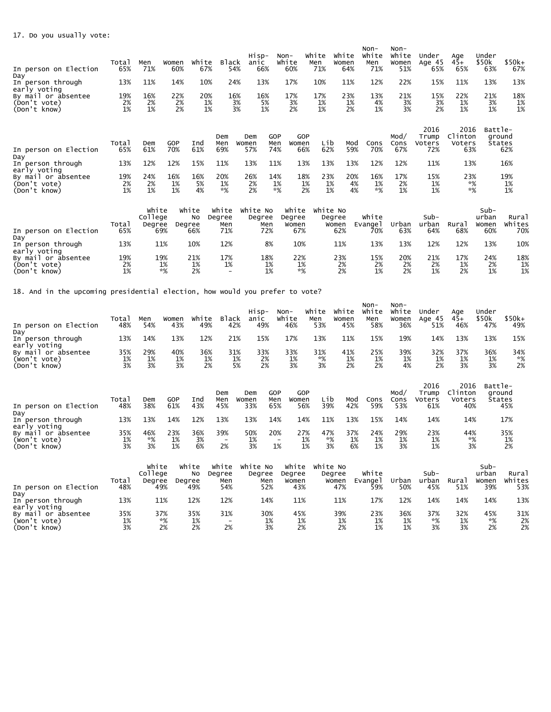| In person on Election                                               | Total<br>65%    | Men<br>71%                        | Women<br>60%    | White<br>67%     | <b>Black</b><br>54%           | Hisp-<br>anic<br>66% |                   | Non-<br>White<br>60%            | White<br>Men<br>71% | White<br>Women<br>64%  | $Non-$<br>White<br>Men<br>71% | $Non-$<br>White<br>Women<br>51% | Under<br>Age 45<br>65%         | Age<br>$45+$<br>65%              | Under<br>\$50k<br>63%         | $$50k+$<br>67%         |
|---------------------------------------------------------------------|-----------------|-----------------------------------|-----------------|------------------|-------------------------------|----------------------|-------------------|---------------------------------|---------------------|------------------------|-------------------------------|---------------------------------|--------------------------------|----------------------------------|-------------------------------|------------------------|
| Day<br>In person through<br>early voting                            | 13%             | 11%                               | 14%             | 10%              | 24%                           | 13%                  |                   | 17%                             | 10%                 | 11%                    | 12%                           | 22%                             | 15%                            | 11%                              | 13%                           | 13%                    |
| By mail or absentee<br>(Don't vote)<br>(Don't know)                 | 19%<br>2%<br>1% | 16%<br>2%<br>1%                   | 22%<br>2%<br>2% | 20%<br>1%<br>1%  | 16%<br>3%<br>3%               | 16%<br>5%<br>1%      |                   | 17%<br>3%<br>2%                 | 17%<br>1%<br>1%     | 23%<br>1%<br>2%        | 13%<br>4%<br>1%               | 21%<br>3%<br>3%                 | 15%<br>3%<br>2%                | 22%<br>1%<br>1%                  | 21%<br>3%<br>1%               | 18%<br>1%<br>1%        |
| In person on Election<br>Day                                        | Total<br>65%    | Dem<br>61%                        | GOP<br>70%      | Ind<br>61%       | Dem<br>Men<br>69%             | Dem<br>Women<br>57%  | GOP<br>Men<br>74% | GOP<br>Women<br>66%             | Lib<br>62%          | Mod<br>59%             | Cons<br>70%                   | Mod/<br>Cons<br>67%             | 2016<br>Trump<br>Voters<br>72% | 2016<br>Clinton<br>Voters<br>63% | Battle-<br>ground             | <b>States</b><br>62%   |
| In person through<br>early voting                                   | 13%             | 12%                               | 12%             | 15%              | 11%                           | 13%                  | 11%               | 13%                             | 13%                 | 13%                    | 12%                           | 12%                             | 11%                            | 13%                              |                               | 16%                    |
| By mail or absentee<br>(Don't vote)<br>(Don't know)                 | 19%<br>2%<br>1% | 24%<br>2%<br>1%                   | 16%<br>1%<br>1% | 16%<br>5%<br>4%  | 20%<br>1%<br>$*%$             | 26%<br>2%<br>2%      | 14%<br>1%<br>$*%$ | 18%<br>1%<br>2%                 | 23%<br>1%<br>1%     | 20%<br>4%<br>4%        | 16%<br>1%<br>$*%$             | 17%<br>2%<br>1%                 | 15%<br>1%<br>1%                | 23%<br>$*%$<br>$*%$              |                               | 19%<br>1%<br>1%        |
| In person on Election                                               | Total<br>65%    | White<br>College<br>Degree<br>69% | white<br>Degree | <b>NO</b><br>66% | white<br>Degree<br>Men<br>71% | White No<br>Degree   | Men<br>72%        | White<br>Degree<br>Women<br>67% | white No            | Degree<br>Women<br>62% | White<br>Evange1<br>70%       | Urban<br>63%                    | Sub-<br>urban<br>64%           | Rural<br>68%                     | Sub-<br>urban<br>Women<br>60% | Rural<br>Whites<br>70% |
| Day<br>In person through                                            | 13%             | 11%                               |                 | 10%              | 12%                           |                      | 8%                | 10%                             |                     | 11%                    | 13%                           | 13%                             | 12%                            | 12%                              | 13%                           | 10%                    |
| early voting<br>By mail or absentee<br>(Don't vote)<br>(Don't know) | 19%<br>2%<br>1% | 19%<br>1%<br>$*%$                 |                 | 21%<br>1%<br>2%  | 17%<br>1%                     |                      | 18%<br>1%<br>1%   | 22%<br>1%<br>$*%$               |                     | 23%<br>2%<br>2%        | 15%<br>2%<br>1%               | 20%<br>2%<br>2%                 | 21%<br>2%<br>1%                | 17%<br>1%<br>2%                  | 24%<br>2%<br>1%               | 18%<br>1%<br>1%        |
|                                                                     |                 |                                   |                 |                  |                               |                      |                   |                                 |                     |                        |                               |                                 |                                |                                  |                               |                        |

18. And in the upcoming presidential election, how would you prefer to vote?

| In person on Election<br>Day                        | Total<br>48%    | Men<br>54%                 | Women<br>43%    | White<br>49%          | <b>Black</b><br>42%                   | Hisp-<br>anic<br>49%        | Non-                     | White<br>46%             | white<br>Men<br>53% | White<br>Women<br>45% | Non-<br>White<br>Men<br>58% | Non-<br>White<br>Women<br>36% | Under<br>Age 45<br>51%         | Age<br>$45+$<br>46%              | Under<br>\$50k<br>47%    | $$50k+$<br>49%          |
|-----------------------------------------------------|-----------------|----------------------------|-----------------|-----------------------|---------------------------------------|-----------------------------|--------------------------|--------------------------|---------------------|-----------------------|-----------------------------|-------------------------------|--------------------------------|----------------------------------|--------------------------|-------------------------|
| In person through<br>early voting                   | 13%             | 14%                        | 13%             | 12%                   | 21%                                   | 15%                         |                          | 17%                      | 13%                 | 11%                   | 15%                         | 19%                           | 14%                            | 13%                              | 13%                      | 15%                     |
| By mail or absentee<br>(Won't vote)<br>(Don't know) | 35%<br>1%<br>3% | 29%<br>1%<br>3%            | 40%<br>1%<br>3% | 36%<br>1%<br>2%       | 31%                                   | 33%<br>2%<br>1%<br>5%<br>2% |                          | 33%<br>1%<br>3%          | 31%<br>*%<br>3%     | 41%<br>1%<br>2%       | 25%<br>1%<br>2%             | 39%<br>1%<br>4%               | 32%<br>1%<br>2%                | 37%<br>1%<br>3%                  | 36%<br>1%<br>3%          | 34%<br>*%<br>2%         |
| In person on Election<br>Day                        | Total<br>48%    | Dem<br>38%                 | GOP<br>61%      | Ind<br>43%            | Dem<br>Men<br>45%                     | Dem<br>Women<br>33%         | <b>GOP</b><br>Men<br>65% | GOP<br>Women<br>56%      | Lib<br>39%          | Mod<br>42%            | Cons<br>59%                 | Mod/<br>Cons<br>53%           | 2016<br>Trump<br>Voters<br>61% | 2016<br>Clinton<br>Voters<br>40% | Battle-                  | ground<br>States<br>45% |
| In person through<br>early voting                   | 13%             | 13%                        | 14%             | 12%                   | 13%                                   | 13%                         | 14%                      | 14%                      | 11%                 | 13%                   | 15%                         | 14%                           | 14%                            | 14%                              |                          | 17%                     |
| By mail or absentee<br>(Won't vote)<br>(Don't know) | 35%<br>1%<br>3% | 46%<br>*%<br>3%            | 23%<br>1%<br>1% | 36%<br>3%<br>6%       | 39%<br>$\overline{\phantom{a}}$<br>2% | 50%<br>1%<br>3%             | 20%<br>1%                | 27%<br>1%<br>1%          | 47%<br>*%<br>3%     | 37%<br>1%<br>6%       | 24%<br>1%<br>1%             | 29%<br>1%<br>3%               | 23%<br>1%<br>1%                | 44%<br>*%<br>3%                  |                          | 35%<br>1%<br>2%         |
|                                                     | Total           | White<br>College<br>Degree |                 | white<br>No<br>Degree | white<br>Degree<br>Men                | White No<br>Degree<br>Men   |                          | white<br>Degree<br>Women | white No            | Degree<br>Women       | White<br>Evange 1           | Urban                         | $Sub-$<br>urban                | Rural                            | $Sub-$<br>urban<br>Women | Rural<br>Whites         |

|                        | Totai | Dearee | Dearee | Men                      | Men | Women | Women | Evange <sup>1</sup> | Urban | urban | Rura <sub>i</sub> | Women | Whites |
|------------------------|-------|--------|--------|--------------------------|-----|-------|-------|---------------------|-------|-------|-------------------|-------|--------|
| In person on Election  | 48%   | 49%    | 49%    | 54%                      | 52% | 43%   | 47%   | 59%                 | 50%   | 45%   | 51%               | 39%   | 53%    |
| Dav                    |       |        |        |                          |     |       |       |                     |       |       |                   |       |        |
| In person through      | 13%   | 11%    | 12%    | 12%                      | 14% | 11%   | 11%   | 17%                 | 12%   | 14%   | 14%               | 14%   | 13%    |
| early voting           |       |        |        |                          |     |       |       |                     |       |       |                   |       |        |
| By mail<br>or absentee | 35%   | 37%    | 35%    | 31%                      | 30% | 45%   | 39%   | 23%                 | 36%   | 37%   | 32%               | 45%   | 31%    |
| (Won't vote)           | 1%    | *%     | 1%     | $\overline{\phantom{0}}$ | 1%  | 1%    | 1%    | 1%                  | 1%    | *%    | 1%                | $*9/$ | 2%     |
| (Don't know)           | 3%    | 2%     | 2%     | 2%                       | 3%  | 2%    | 2%    | 1%                  | 1%    | 3%    | 3%                | 2%    | 2%     |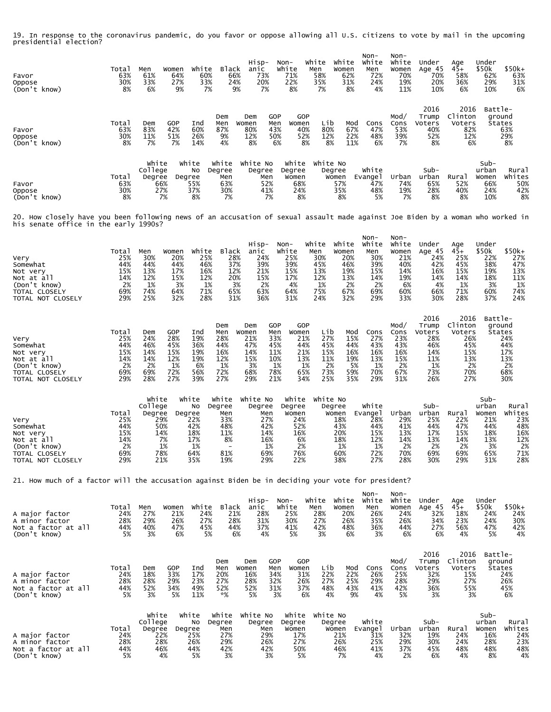19. In response to the coronavirus pandemic, do you favor or oppose allowing all U.S. citizens to vote by mail in the upcoming presidential election?

| Favor<br>Oppose<br>(Don't know)                                                                                                                                          | Total<br>63%<br>30%<br>8%                             | Men<br>61%<br>33%<br>6%                                                   | Women<br>64%<br>27%<br>9%                                             | White<br>60%<br>33%<br>7%                             | <b>Black</b><br>66%<br>24%<br>9%                                                            | Hisp-<br>anic<br>73%<br>20%<br>7%                                                                                                 | Non-<br>White<br>71%<br>22%<br>8%                                       | White<br>Men<br>58%<br>35%<br>7%                             | White<br>Women<br>62%<br>31%<br>8%                             | Non-<br>White<br>Men<br>72%<br>24%<br>4%                             | Non-<br>White<br>Women<br>70%<br>19%<br>11%                            | Under<br>Age 45<br>70%<br>20%<br>10%                                    | Age<br>$45+$<br>58%<br>36%<br>6%                                          | Under<br>\$50k<br>62%<br>29%<br>10%                                    | \$50k+<br>63%<br>31%<br>6%                                      |
|--------------------------------------------------------------------------------------------------------------------------------------------------------------------------|-------------------------------------------------------|---------------------------------------------------------------------------|-----------------------------------------------------------------------|-------------------------------------------------------|---------------------------------------------------------------------------------------------|-----------------------------------------------------------------------------------------------------------------------------------|-------------------------------------------------------------------------|--------------------------------------------------------------|----------------------------------------------------------------|----------------------------------------------------------------------|------------------------------------------------------------------------|-------------------------------------------------------------------------|---------------------------------------------------------------------------|------------------------------------------------------------------------|-----------------------------------------------------------------|
| Favor<br>Oppose<br>(Don't know)                                                                                                                                          | Total<br>63%<br>30%<br>8%                             | Dem<br>83%<br>11%<br>7%                                                   | <b>GOP</b><br>42%<br>51%<br>7%                                        | Ind<br>60%<br>26%<br>14%                              | Dem<br>Men<br>87%<br>9%<br>4%                                                               | GOP<br>Dem<br>Men<br>Women<br>80%<br>43%<br>12%<br>50%<br>8%<br>6%                                                                | GOP<br>Women<br>40%<br>52%<br>8%                                        | Lib<br>80%<br>12%<br>8%                                      | Mod<br>67%<br>22%<br>11%                                       | Cons<br>47%<br>48%<br>6%                                             | Mod/<br>Cons<br>53%<br>39%<br>7%                                       | 2016<br>Trump<br>Voters<br>40%<br>52%<br>8%                             | 2016<br>Clinton<br>Voters<br>82%<br>12%<br>6%                             | Battle-<br>ground<br>States                                            | 63%<br>29%<br>8%                                                |
| Favor<br>Oppose<br>(Don't know)                                                                                                                                          | Total<br>63%<br>30%<br>8%                             | White<br>College<br>Degree<br>66%<br>27%<br>7%                            | White<br>No<br>Degree<br>55%<br>37%<br>8%                             |                                                       | White<br>Degree<br>Men<br>63%<br>30%<br>7%                                                  | White No<br>Degree<br>Men<br>52%<br>41%<br>7%                                                                                     | White<br>Degree<br>Women<br>68%<br>24%<br>8%                            | White No<br>Degree                                           | Women<br>57%<br>35%<br>8%                                      | White<br>Evange I<br>47%<br>48%<br>5%                                | Urban<br>74%<br>19%<br>7%                                              | Sub-<br>urban<br>65%<br>28%<br>8%                                       | Rural<br>52%<br>40%<br>8%                                                 | Sub-<br>urban<br>Women<br>66%<br>24%<br>10%                            | <b>Rural</b><br>Whites<br>50%<br>42%<br>8%                      |
| 20. How closely have you been following news of an accusation of sexual assault made against Joe Biden by a woman who worked in<br>his senate office in the early 1990s? |                                                       |                                                                           |                                                                       |                                                       |                                                                                             |                                                                                                                                   |                                                                         |                                                              |                                                                |                                                                      |                                                                        |                                                                         |                                                                           |                                                                        |                                                                 |
| Very<br>Somewhat<br>Not very<br>Not at all<br>(Don't know)<br>TOTAL CLOSELY<br>TOTAL NOT CLOSELY                                                                         | Total<br>25%<br>44%<br>15%<br>14%<br>2%<br>69%<br>29% | Men<br>30%<br>44%<br>13%<br>12%<br>1%<br>74%<br>25%                       | Women<br>20%<br>44%<br>17%<br>15%<br>3%<br>64%<br>32%                 | White<br>25%<br>46%<br>16%<br>12%<br>1%<br>71%<br>28% | <b>Black</b><br>28%<br>37%<br>12%<br>20%<br>3%<br>65%<br>31%                                | Hisp-<br>anic<br>24%<br>39%<br>21%<br>15%<br>2%<br>63%<br>36%                                                                     | Non-<br>White<br>25%<br>39%<br>15%<br>17%<br>4%<br>64%<br>31%           | White<br>Men<br>30%<br>45%<br>13%<br>12%<br>1%<br>75%<br>24% | White<br>Women<br>20%<br>46%<br>19%<br>13%<br>2%<br>67%<br>32% | Non-<br>White<br>Men<br>30%<br>39%<br>15%<br>14%<br>2%<br>69%<br>29% | Non-<br>White<br>Women<br>21%<br>40%<br>14%<br>19%<br>6%<br>60%<br>33% | Under<br>Age 45<br>24%<br>42%<br>16%<br>14%<br>4%<br>66%<br>30%         | Age<br>$45+$<br>25%<br>45%<br>15%<br>14%<br>1%<br>71%<br>28%              | Under<br>\$50k<br>22%<br>38%<br>19%<br>18%<br>3%<br>60%<br>37%         | \$50k+<br>27%<br>47%<br>13%<br>11%<br>1%<br>74%<br>24%          |
| Very<br>Somewhat<br>Not very<br>Not at all<br>(Don't know)<br>TOTAL CLOSELY<br>TOTAL NOT CLOSELY                                                                         | Total<br>25%<br>44%<br>15%<br>14%<br>2%<br>69%<br>29% | Dem<br>24%<br>46%<br>14%<br>14%<br>2%<br>69%<br>28%                       | <b>GOP</b><br>28%<br>45%<br>15%<br>12%<br>1%<br>72%<br>27%            | Ind<br>19%<br>36%<br>19%<br>19%<br>6%<br>56%<br>39%   | Dem<br>Men<br>28%<br>44%<br>16%<br>12%<br>1%<br>72%<br>27%                                  | <b>GOP</b><br>Dem<br>Women<br>Men<br>33%<br>21%<br>47%<br>45%<br>11%<br>14%<br>15%<br>10%<br>3%<br>1%<br>78%<br>68%<br>29%<br>21% | GOP<br>Women<br>21%<br>44%<br>21%<br>13%<br>1%<br>65%<br>34%            | Lib<br>27%<br>45%<br>15%<br>11%<br>2%<br>73%<br>25%          | Mod<br>15%<br>44%<br>16%<br>19%<br>5%<br>59%<br>35%            | Cons<br>27%<br>43%<br>16%<br>13%<br>1%<br>70%<br>29%                 | Mod/<br>Cons<br>23%<br>43%<br>16%<br>15%<br>2%<br>67%<br>31%           | 2016<br>Trump<br>Voters<br>28%<br>46%<br>14%<br>11%<br>1%<br>73%<br>26% | 2016<br>Clinton<br>Voters<br>26%<br>45%<br>15%<br>13%<br>2%<br>70%<br>27% | Battle-<br>ground<br>States                                            | 24%<br>44%<br>17%<br>13%<br>2%<br>68%<br>30%                    |
| Very<br>Somewhat<br>Not very<br>Not at all<br>(Don't know)<br>TOTAL CLOSELY<br>TOTAL NOT CLOSELY                                                                         | Total<br>25%<br>44%<br>15%<br>14%<br>2%<br>69%<br>29% | White<br>College<br>Degree<br>29%<br>50%<br>14%<br>7%<br>1%<br>78%<br>21% | White<br>No<br>Degree<br>22%<br>42%<br>18%<br>17%<br>1%<br>64%<br>35% |                                                       | White<br>Degree<br>Men<br>33%<br>48%<br>11%<br>8%<br>$\overline{\phantom{a}}$<br>81%<br>19% | White No<br>Degree<br>Men<br>27%<br>42%<br>14%<br>16%<br>1%<br>69%<br>29%                                                         | White<br>Degree<br>Women<br>24%<br>52%<br>16%<br>6%<br>2%<br>76%<br>22% | White No<br>Degree                                           | Women<br>18%<br>43%<br>20%<br>18%<br>1%<br>60%<br>38%          | White<br>Evange1<br>28%<br>44%<br>15%<br>12%<br>1%<br>72%<br>27%     | Urban<br>29%<br>41%<br>13%<br>14%<br>2%<br>70%<br>28%                  | Sub-<br>urban<br>25%<br>44%<br>17%<br>13%<br>2%<br>69%<br>30%           | Rural<br>22%<br>47%<br>15%<br>14%<br>2%<br>69%<br>29%                     | Sub-<br>urban<br>Women<br>21%<br>44%<br>18%<br>13%<br>3%<br>65%<br>31% | Rural<br>Whites<br>23%<br>48%<br>16%<br>12%<br>2%<br>71%<br>28% |
| 21. How much of a factor will the accusation against Biden be in deciding your vote for president?                                                                       |                                                       |                                                                           |                                                                       |                                                       |                                                                                             |                                                                                                                                   |                                                                         |                                                              |                                                                |                                                                      |                                                                        |                                                                         |                                                                           |                                                                        |                                                                 |
| A major factor<br>A minor factor<br>Not a factor at all<br>(Don't know)                                                                                                  | Total<br>24%<br>28%<br>44%<br>5%                      | Men<br>27%<br>29%<br>40%<br>3%                                            | Women<br>21%<br>26%<br>47%<br>6%                                      | White<br>24%<br>27%<br>45%<br>5%                      | Black<br>21%<br>28%<br>44%<br>6%                                                            | Hisp-<br>anic<br>28%<br>31%<br>37%<br>4%                                                                                          | $Non-$<br>White<br>25%<br>30%<br>41%<br>5%                              | White<br>Men<br>28%<br>27%<br>42%<br>3%                      | White<br>Women<br>20%<br>26%<br>48%<br>6%                      | Non-<br>White<br>Men<br>26%<br>35%<br>36%<br>3%                      | Non-<br>White<br>Women<br>24%<br>26%<br>44%<br>6%                      | Under<br>Age 45<br>32%<br>34%<br>27%<br>6%                              | Age<br>$45+$<br>18%<br>23%<br>56%<br>4%                                   | Under<br>\$50k<br>24%<br>24%<br>47%<br>5%                              | \$50k+<br>24%<br>30%<br>42%<br>4%                               |
| A major factor<br>A minor factor<br>Not a factor at all<br>(Don't know)                                                                                                  | Total<br>24%<br>28%<br>44%<br>5%                      | Dem<br>18%<br>28%<br>52%<br>3%                                            | <b>GOP</b><br>33%<br>29%<br>34%<br>5%                                 | Ind<br>17%<br>23%<br>49%<br>11%                       | Dem<br>Men<br>20%<br>27%<br>52%<br>*%                                                       | GOP<br>Dem<br>Women<br>Men<br>16%<br>34%<br>28%<br>32%<br>52%<br>31%<br>5%                                                        | GOP<br>Women<br>31%<br>26%<br>37%<br>3%<br>6%                           | Lib<br>22%<br>27%<br>48%<br>4%                               | Mod<br>22%<br>25%<br>43%<br>9%                                 | Cons<br>26%<br>29%<br>41%<br>4%                                      | Mod/<br>Cons<br>25%<br>28%<br>42%<br>5%                                | 2016<br>Trump<br>Voters<br>32%<br>29%<br>36%<br>3%                      | 2016<br>Clinton<br>Voters<br>15%<br>27%<br>55%<br>3%                      | Battle-<br>ground<br><b>States</b>                                     | 24%<br>26%<br>45%<br>6%                                         |
| A major factor<br>A minor factor<br>Not a factor at all<br>(Don't know)                                                                                                  | Total<br>24%<br>28%<br>44%<br>5%                      | White<br>College<br>Degree<br>22%<br>28%<br>46%<br>4%                     | White<br>No<br>Degree<br>25%<br>26%<br>44%                            | 5%                                                    | White<br>Degree<br>Men<br>27%<br>29%<br>42%<br>3%                                           | White No<br>Degree<br>Men<br>29%<br>26%<br>42%<br>3%                                                                              | White<br>Degree<br>Women<br>17%<br>27%<br>50%<br>5%                     | White No<br>Degree                                           | Women<br>21%<br>26%<br>46%<br>7%                               | White<br>Evangel<br>31%<br>25%<br>41%<br>4%                          | Urban<br>32%<br>29%<br>37%<br>2%                                       | Sub-<br>urban<br>19%<br>30%<br>45%<br>6%                                | Rural<br>24%<br>24%<br>48%<br>4%                                          | $Sub-$<br>urban<br>Women<br>16%<br>28%<br>48%<br>8%                    | Rural<br>Whites<br>24%<br>23%<br>$\frac{48\%}{4\%}$             |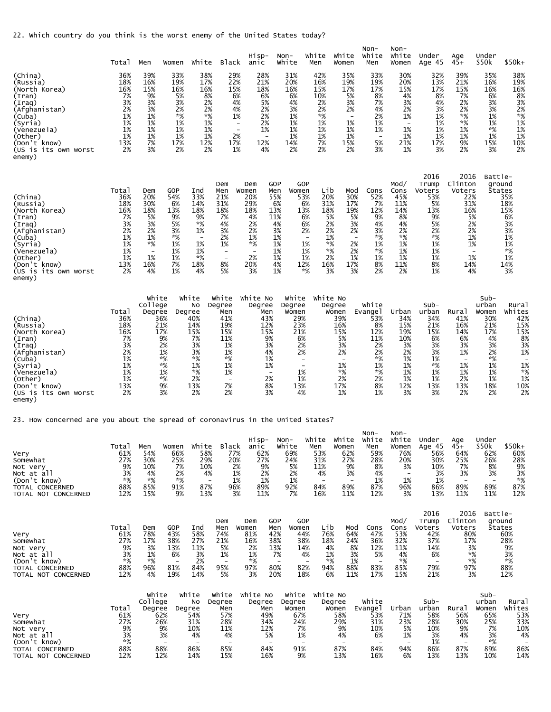22. Which country do you think is the worst enemy of the United States today?

|                                                                                                                                                                                         | Total                                                                             | Men                                                                                                   | Women                                                                                | White                                                                                                 | Black                                                                                                                             | Hisp-<br>anic                                                                                                  | Non-<br>White                                                                                         | White<br>Men                                                                                                                            | White<br>Women                                                                                                                                        | Non-<br>White<br>Men                                                                          | Non-<br>White<br>Women                                                                   | Under<br>Age 45                                                                                   | Age<br>$45+$                                                                                                                | Under<br>\$50k                                                                                     | $$50k+$                                                                                                           |
|-----------------------------------------------------------------------------------------------------------------------------------------------------------------------------------------|-----------------------------------------------------------------------------------|-------------------------------------------------------------------------------------------------------|--------------------------------------------------------------------------------------|-------------------------------------------------------------------------------------------------------|-----------------------------------------------------------------------------------------------------------------------------------|----------------------------------------------------------------------------------------------------------------|-------------------------------------------------------------------------------------------------------|-----------------------------------------------------------------------------------------------------------------------------------------|-------------------------------------------------------------------------------------------------------------------------------------------------------|-----------------------------------------------------------------------------------------------|------------------------------------------------------------------------------------------|---------------------------------------------------------------------------------------------------|-----------------------------------------------------------------------------------------------------------------------------|----------------------------------------------------------------------------------------------------|-------------------------------------------------------------------------------------------------------------------|
| (China)<br>(Russia)<br>(North Korea)<br>(Iran)<br>(Iraq)<br>(Afghanistan)<br>(Cuba)<br>(Syria)<br>(Venezuela)<br>(Other)<br>(Don't know)<br>(US is its own worst<br>enemy)              | 36%<br>18%<br>16%<br>7%<br>3%<br>2%<br>1%<br>1%<br>1%<br>1%<br>13%<br>2%          | 39%<br>16%<br>15%<br>9%<br>3%<br>3%<br>1%<br>1%<br>1%<br>1%<br>7%<br>3%                               | 33%<br>19%<br>16%<br>5%<br>3%<br>2%<br>*%<br>1%<br>1%<br>1%<br>17%<br>2%             | 38%<br>17%<br>16%<br>8%<br>2%<br>2%<br>$*%$<br>1%<br>1%<br>1%<br>12%<br>2%                            | 29%<br>22%<br>15%<br>6%<br>4%<br>4%<br>1%<br>$\overline{\phantom{a}}$<br>$\blacksquare$<br>2%<br>17%<br>1%                        | 28%<br>21%<br>18%<br>6%<br>5%<br>2%<br>2%<br>2%<br>1%<br>$\overline{\phantom{0}}$<br>12%<br>4%                 | 31%<br>20%<br>16%<br>6%<br>4%<br>3%<br>1%<br>1%<br>1%<br>1%<br>14%<br>2%                              | 42%<br>16%<br>15%<br>10%<br>2%<br>2%<br>*%<br>1%<br>1%<br>1%<br>7%<br>2%                                                                | 35%<br>19%<br>17%<br>5%<br>3%<br>2%<br>$\overline{\phantom{a}}$<br>1%<br>1%<br>1%<br>15%<br>2%                                                        | 33%<br>19%<br>17%<br>8%<br>7%<br>4%<br>2%<br>1%<br>1%<br>$\overline{\phantom{a}}$<br>5%<br>3% | 30%<br>20%<br>15%<br>4%<br>3%<br>2%<br>1%<br>1%<br>1%<br>21%<br>1%                       | 32%<br>13%<br>17%<br>8%<br>4%<br>3%<br>1%<br>1%<br>1%<br>1%<br>17%<br>3%                          | 39%<br>21%<br>15%<br>7%<br>2%<br>2%<br>*%<br>*%<br>1%<br>1%<br>9%<br>2%                                                     | 35%<br>16%<br>16%<br>6%<br>3%<br>3%<br>1%<br>1%<br>*%<br>1%<br>15%<br>3%                           | 38%<br>19%<br>16%<br>8%<br>3%<br>2%<br>*%<br>1%<br>1%<br>1%<br>10%<br>2%                                          |
| (China)<br>(Russia)<br>(North Korea)<br>(Iran)<br>(Iraq)<br>(Afghanistan)<br>(Cuba)<br>(Syria)<br>(Venezuela)<br>(Other)<br>(Don't know)<br>(US is its own worst<br>enemy)              | Total<br>36%<br>18%<br>16%<br>7%<br>3%<br>2%<br>1%<br>1%<br>1%<br>1%<br>13%<br>2% | Dem<br>20%<br>30%<br>18%<br>5%<br>3%<br>2%<br>1%<br>*%<br>$\overline{\phantom{a}}$<br>1%<br>16%<br>4% | <b>GOP</b><br>54%<br>6%<br>13%<br>9%<br>5%<br>3%<br>*%<br>1%<br>1%<br>1%<br>7%<br>1% | Ind<br>33%<br>14%<br>18%<br>9%<br>*%<br>1%<br>$\overline{\phantom{a}}$<br>1%<br>1%<br>*%<br>18%<br>4% | Dem<br>Men<br>21%<br>31%<br>18%<br>7%<br>4%<br>3%<br>2%<br>1%<br>$\overline{\phantom{a}}$<br>$\overline{\phantom{a}}$<br>8%<br>5% | Dem<br>Women<br>20%<br>29%<br>18%<br>4%<br>2%<br>2%<br>1%<br>*%<br>$\overline{\phantom{a}}$<br>2%<br>20%<br>3% | <b>GOP</b><br>Men<br>Women<br>55%<br>6%<br>13%<br>11%<br>4%<br>3%<br>1%<br>1%<br>1%<br>1%<br>4%<br>1% | GOP<br>Lib<br>53%<br>20%<br>6%<br>31%<br>18%<br>13%<br>6%<br>6%<br>2%<br>$\overline{\phantom{a}}$<br>1%<br>1%<br>1%<br>12%<br>16%<br>*% | Mod<br>30%<br>17%<br>19%<br>5%<br>5%<br>2%<br>3%<br>2%<br>2%<br>1%<br>$\overline{\phantom{0}}$<br>*%<br>2%<br>*%<br>2%<br>2%<br>1%<br>17%<br>3%<br>3% | Cons<br>52%<br>7%<br>12%<br>9%<br>4%<br>3%<br>*%<br>1%<br>*%<br>1%<br>8%<br>2%                | Mod/<br>Cons<br>45%<br>11%<br>14%<br>8%<br>4%<br>2%<br>*%<br>1%<br>1%<br>1%<br>11%<br>2% | 2016<br>Trump<br>Voters<br>53%<br>5%<br>13%<br>9%<br>5%<br>2%<br>*%<br>1%<br>1%<br>1%<br>8%<br>1% | 2016<br>Clinton<br>Voters<br>22%<br>31%<br>16%<br>5%<br>2%<br>2%<br>1%<br>1%<br>$\overline{\phantom{0}}$<br>1%<br>14%<br>4% | Battle-                                                                                            | ground<br><b>States</b><br>35%<br>18%<br>15%<br>6%<br>3%<br>3%<br>1%<br>1%<br>$*%$<br>1%<br>14%<br>3%             |
| (China)<br>(Russia)<br>(North Korea)<br>(Iran)<br>(Iraq)<br>(Afghanistan)<br>(Cuba)<br>(Syria)<br>(Venezuela)<br>(Other)<br>(Don't know)<br>(US is its own worst<br>enemy)              | Total<br>36%<br>18%<br>16%<br>7%<br>3%<br>2%<br>1%<br>1%<br>1%<br>1%<br>13%<br>2% | White<br>College<br>Degree                                                                            | Degree<br>36%<br>21%<br>17%<br>9%<br>2%<br>1%<br>*%<br>*%<br>1%<br>*%<br>9%<br>3%    | White<br>No<br>40%<br>14%<br>15%<br>7%<br>3%<br>3%<br>*%<br>1%<br>*%<br>2%<br>13%<br>2%               | White<br>Degree<br>Men<br>41%<br>19%<br>15%<br>11%<br>1%<br>1%<br>*%<br>1%<br>1%<br>$\sim$<br>7%<br>2%                            | White No<br>Degree<br>Men<br>43%<br>12%<br>15%<br>9%<br>3%<br>4%<br>1%<br>1%<br>$\sim$<br>2%<br>8%<br>3%       | White<br>Degree<br>Women<br>29%<br>23%<br>21%<br>6%<br>2%<br>2%<br>1%<br>1%<br>13%<br>4%              | $\overline{\phantom{a}}$<br>$\sim$                                                                                                      | White No<br>Degree<br>Women<br>39%<br>16%<br>15%<br>5%<br>3%<br>2%<br>$\overline{\phantom{a}}$<br>1%<br>$*%$<br>2%<br>17%<br>1%                       | White<br>Evange 1<br>53%<br>8%<br>12%<br>11%<br>2%<br>2%<br>*%<br>1%<br>*%<br>2%<br>8%<br>1%  | Urban<br>34%<br>15%<br>19%<br>10%<br>3%<br>2%<br>1%<br>1%<br>1%<br>1%<br>12%<br>3%       | Sub-<br>urban<br>34%<br>21%<br>15%<br>6%<br>3%<br>3%<br>1%<br>*%<br>1%<br>1%<br>13%<br>3%         | Rural<br>41%<br>16%<br>14%<br>6%<br>3%<br>1%<br>$\overline{\phantom{0}}$<br>1%<br>1%<br>2%<br>13%<br>2%                     | Sub-<br>urban<br>Women<br>30%<br>21%<br>17%<br>4%<br>3%<br>2%<br>*%<br>1%<br>1%<br>1%<br>18%<br>2% | Rural<br>Whites<br>42%<br>15%<br>15%<br>8%<br>3%<br>1%<br>$\overline{\phantom{a}}$<br>1%<br>*%<br>1%<br>10%<br>2% |
| 23. How concerned are you about the spread of coronavirus in the United States?<br>Very<br>Somewhat<br>Not very<br>Not at all<br>(Don't know)<br>TOTAL CONCERNED<br>TOTAL NOT CONCERNED | Total<br>61%<br>27%<br>9%<br>3%<br>*%<br>88%<br>12%                               | Men<br>54%<br>30%<br>10%<br>4%<br>*%<br>85%<br>15%                                                    | Women<br>66%<br>25%<br>7%<br>2%<br>*%<br>91%<br>9%                                   | white<br>58%<br>29%<br>10%<br>4%<br>$\overline{\phantom{a}}$<br>87%<br>13%                            | Black<br>77%<br>20%<br>2%<br>1%<br>1%<br>96%<br>3%                                                                                | Hisp-<br>anic<br>62%<br>27%<br>9%<br>2%<br>1%<br>89%<br>11%                                                    | Non-<br>White<br>69%<br>24%<br>5%<br>2%<br>1%<br>92%<br>7%                                            | White<br>Men<br>53%<br>31%<br>11%<br>4%<br>$\overline{\phantom{a}}$<br>84%<br>16%                                                       | White<br>Women<br>62%<br>27%<br>9%<br>3%<br>$\overline{\phantom{a}}$<br>89%<br>11%                                                                    | Non-<br>White<br>Men<br>59%<br>28%<br>8%<br>4%<br>1%<br>87%<br>12%                            | Non-<br>White<br>Women<br>76%<br>20%<br>3%<br>1%<br>96%<br>3%                            | Under<br>Age 45<br>56%<br>30%<br>10%<br>3%<br>1%<br>86%<br>13%                                    | Age<br>45+<br>64%<br>25%<br>7%<br>3%<br>$\overline{\phantom{a}}$<br>89%<br>11%                                              | Under<br>\$50k<br>62%<br>26%<br>8%<br>3%<br>$\overline{\phantom{a}}$<br>89%<br>11%                 | \$50k+<br>60%<br>28%<br>9%<br>3%<br>*%<br>87%<br>12%                                                              |
| Very<br>Somewhat<br>Not very<br>Not at all<br>(Don't know)<br>TOTAL CONCERNED<br>TOTAL NOT CONCERNED                                                                                    | Total<br>61%<br>27%<br>9%<br>3%<br>$*%$<br>88%<br>12%                             | Dem<br>78%<br>17%<br>3%<br>1%<br>*%<br>96%<br>4%                                                      | <b>GOP</b><br>43%<br>38%<br>13%<br>6%<br>$\overline{\phantom{a}}$<br>81%<br>19%      | Ind<br>58%<br>27%<br>11%<br>3%<br>2%<br>84%<br>14%                                                    | Dem<br>Men<br>74%<br>21%<br>5%<br>1%<br>$\overline{\phantom{a}}$<br>95%<br>5%                                                     | Dem<br>Women<br>81%<br>16%<br>2%<br>1%<br>*%<br>97%<br>3%                                                      | GOP<br>Men<br>Women<br>42%<br>38%<br>13%<br>7%<br>$\overline{\phantom{a}}$<br>80%<br>20%              | GOP<br>Lib<br>44%<br>76%<br>38%<br>18%<br>14%<br>4%<br>$\overline{\phantom{a}}$<br>82%<br>94%<br>18%                                    | Mod<br>64%<br>24%<br>8%<br>4%<br>3%<br>1%<br>$*%$<br>1%<br>88%<br>6%<br>11%                                                                           | Cons<br>47%<br>36%<br>12%<br>5%<br>$\sim$<br>83%<br>17%                                       | Mod/<br>Cons<br>53%<br>32%<br>11%<br>4%<br>$*%$<br>85%<br>15%                            | 2016<br>Trump<br>Voters<br>42%<br>37%<br>14%<br>6%<br>$\sim$<br>79%<br>21%                        | 2016<br>Clinton<br>Voters<br>80%<br>17%<br>3%<br>$*%$<br>$*%$<br>97%<br>3%                                                  | Battle-                                                                                            | ground<br>States<br>60%<br>28%<br>9%<br>3%<br>$*%$<br>88%<br>12%                                                  |
| Very<br>Somewhat<br>Not very<br>Not at all<br>(Don't know)<br>TOTAL CONCERNED<br>TOTAL NOT CONCERNED                                                                                    | Total<br>61%<br>27%<br>9%<br>3%<br>*%<br>88%<br>12%                               | White<br>College<br>Degree                                                                            | Degree<br>62%<br>26%<br>9%<br>3%<br>$\overline{\phantom{0}}$<br>88%<br>12%           | White<br>No<br>54%<br>31%<br>10%<br>4%<br>86%<br>14%                                                  | White<br>Degree<br>Men<br>57%<br>28%<br>11%<br>4%<br>85%<br>15%                                                                   | White No<br>Degree<br>Men<br>49%<br>34%<br>12%<br>5%<br>$\overline{\phantom{a}}$<br>84%<br>16%                 | White<br>Degree<br>Women<br>67%<br>24%<br>7%<br>1%<br>91%<br>9%                                       | White No                                                                                                                                | Degree<br>Women<br>58%<br>29%<br>9%<br>4%<br>$\overline{\phantom{a}}$<br>87%<br>13%                                                                   | White<br>Evange1<br>53%<br>31%<br>10%<br>6%<br>$\overline{\phantom{a}}$<br>84%<br>16%         | Urban<br>71%<br>23%<br>5%<br>1%<br>$\overline{\phantom{m}}$<br>94%<br>6%                 | $Sub-$<br>urban<br>58%<br>28%<br>10%<br>3%<br>1%<br>86%<br>13%                                    | Rural<br>56%<br>30%<br>9%<br>4%<br>$\overline{\phantom{a}}$<br>87%<br>13%                                                   | $Sub-$<br>urban<br>Women<br>65%<br>25%<br>7%<br>3%<br>*%<br>89%<br>10%                             | Rural<br>Whites<br>53%<br>33%<br>10%<br>4%<br>86%<br>14%                                                          |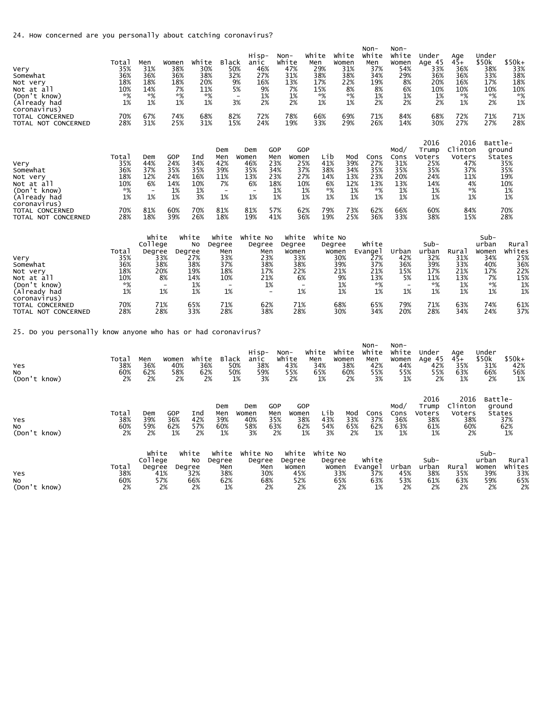24. How concerned are you personally about catching coronavirus?

| Very<br>Somewhat<br>Not very<br>Not at all<br>(Don't know)<br>(Already had<br>coronavirus) | Total<br>35%<br>36%<br>18%<br>10%<br>$*$ %<br>1% | Men<br>31%<br>36%<br>18%<br>14%<br>$*%$<br>1%                    | Women<br>38%<br>36%<br>18%<br>7%<br>$*$ %<br>1% | white<br>30%<br>38%<br>20%<br>11%<br>$*$ %<br>1%    | <b>Black</b><br>50%<br>32%<br>9%<br>5%<br>3%                                         | Hisp-<br>anic<br>46%<br>27%<br>16%<br>9%<br>1%<br>$\overline{\phantom{a}}$<br>2% | $Non-$<br>White                                    | 47%<br>31%<br>13%<br>7%<br>1%<br>2%                                                   | White<br>Men<br>29%<br>38%<br>17%<br>15%<br>$*%$<br>1% | White<br>Women<br>31%<br>38%<br>22%<br>8%<br>$*$ %<br>1% | Non-<br>White<br>Men<br>37%<br>34%<br>19%<br>8%<br>1%<br>2% | $Non-$<br>White<br>Women<br>54%<br>29%<br>8%<br>6%<br>1%<br>2%     | Under<br>Age 45<br>33%<br>36%<br>20%<br>10%<br>1%<br>2%         | Age<br>$45+$<br>36%<br>36%<br>16%<br>10%<br>*%<br>1%             | Under<br>\$50k<br>38%<br>33%<br>17%<br>10%<br>*%<br>2%          | $$50k+$<br>33%<br>38%<br>18%<br>10%<br>*%<br>1%                  |
|--------------------------------------------------------------------------------------------|--------------------------------------------------|------------------------------------------------------------------|-------------------------------------------------|-----------------------------------------------------|--------------------------------------------------------------------------------------|----------------------------------------------------------------------------------|----------------------------------------------------|---------------------------------------------------------------------------------------|--------------------------------------------------------|----------------------------------------------------------|-------------------------------------------------------------|--------------------------------------------------------------------|-----------------------------------------------------------------|------------------------------------------------------------------|-----------------------------------------------------------------|------------------------------------------------------------------|
| TOTAL CONCERNED<br>TOTAL NOT CONCERNED                                                     | 70%<br>28%                                       | 67%<br>31%                                                       | 74%<br>25%                                      | 68%<br>31%                                          | 82%<br>15%                                                                           | 72%<br>24%                                                                       |                                                    | 78%<br>19%                                                                            | 66%<br>33%                                             | 69%<br>29%                                               | 71%<br>26%                                                  | 84%<br>14%                                                         | 68%<br>30%                                                      | 72%<br>27%                                                       | 71%<br>27%                                                      | 71%<br>28%                                                       |
| Very<br>Somewhat<br>Not very<br>Not at all<br>(Don't know)<br>(Already had<br>coronavirus) | Total<br>35%<br>36%<br>18%<br>10%<br>*%<br>1%    | Dem<br>44%<br>37%<br>12%<br>6%<br>$\overline{\phantom{a}}$<br>1% | GOP<br>24%<br>35%<br>24%<br>14%<br>1%<br>1%     | Ind<br>34%<br>35%<br>16%<br>10%<br>1%<br>3%         | Dem<br>Men<br>42%<br>39%<br>11%<br>7%<br>$\overline{\phantom{a}}$<br>1%              | Dem<br>Women<br>46%<br>35%<br>13%<br>6%<br>$\overline{\phantom{a}}$<br>1%        | GOP<br>Men<br>23%<br>34%<br>23%<br>18%<br>1%<br>1% | GOP<br>Women<br>25%<br>37%<br>27%<br>10%<br>1%<br>1%                                  | Lib<br>41%<br>38%<br>14%<br>6%<br>*%<br>1%             | Mod<br>39%<br>34%<br>13%<br>12%<br>1%<br>1%              | Cons<br>27%<br>35%<br>23%<br>13%<br>*%<br>1%                | Mod/<br>Cons<br>31%<br>35%<br>20%<br>13%<br>1%<br>1%               | 2016<br>Trump<br>Voters<br>25%<br>35%<br>24%<br>14%<br>1%<br>1% | 2016<br>Clinton<br>Voters<br>47%<br>37%<br>11%<br>4%<br>*%<br>1% | Battle-<br>ground<br>States                                     | 35%<br>35%<br>19%<br>10%<br>1%<br>1%                             |
| TOTAL CONCERNED<br>TOTAL NOT CONCERNED                                                     | 70%<br>28%                                       | 81%<br>18%                                                       | 60%<br>39%                                      | 70%<br>26%                                          | 81%<br>18%                                                                           | 81%<br>19%                                                                       | 57%<br>41%                                         | 62%<br>36%                                                                            | 79%<br>19%                                             | 73%<br>25%                                               | 62%<br>36%                                                  | 66%<br>33%                                                         | 60%<br>38%                                                      | 84%<br>15%                                                       |                                                                 | 70%<br>28%                                                       |
| Very<br>Somewhat<br>Not very<br>Not at all<br>(Don't know)<br>(Already had<br>coronavirus) | Total<br>35%<br>36%<br>18%<br>10%<br>*%<br>1%    | white<br>College<br>Degree<br>33%<br>38%<br>20%<br>8%            | Degree<br>$\overline{\phantom{a}}$<br>1%        | White<br>No<br>27%<br>38%<br>19%<br>14%<br>1%<br>1% | white<br>Degree<br>Men<br>33%<br>37%<br>18%<br>10%<br>$\overline{\phantom{a}}$<br>1% | White No<br>Degree<br>Men<br>23%<br>38%<br>17%<br>21%<br>1%                      | $\overline{\phantom{a}}$                           | white<br>Degree<br>Women<br>33%<br>38%<br>22%<br>6%<br>$\overline{\phantom{a}}$<br>1% | White No                                               | Degree<br>Women<br>30%<br>39%<br>21%<br>9%<br>1%<br>1%   | White<br>Evange]<br>27%<br>37%<br>21%<br>13%<br>*%<br>1%    | Urban<br>42%<br>36%<br>15%<br>5%<br>$\overline{\phantom{a}}$<br>1% | $Sub-$<br>urban<br>32%<br>39%<br>17%<br>11%<br>*%<br>1%         | Rural<br>31%<br>33%<br>21%<br>13%<br>1%<br>1%                    | $Sub-$<br>urban<br>Women<br>34%<br>40%<br>17%<br>7%<br>*%<br>1% | Rural<br>Whites<br>25%<br>36%<br>22%<br>15%<br>$\frac{1\%}{1\%}$ |
| TOTAL CONCERNED<br>TOTAL NOT CONCERNED                                                     | 70%<br>28%                                       | 71%<br>28%                                                       |                                                 | 65%<br>33%                                          | 71%<br>28%                                                                           | 62%<br>38%                                                                       |                                                    | 71%<br>28%                                                                            |                                                        | 68%<br>30%                                               | 65%<br>34%                                                  | 79%<br>20%                                                         | 71%<br>28%                                                      | 63%<br>34%                                                       | 74%<br>24%                                                      | 61%<br>37%                                                       |

25. Do you personally know anyone who has or had coronavirus?

| Yes<br>No<br>(Don't know)        | Total<br>38%<br>60%<br>2% | Men<br>36%<br>62%<br>2%                        | Women<br>40%<br>58%<br>2% | white<br>36%<br>62%<br>2%       | Black<br>50%<br>50%<br>1%                  | Hisp-<br>anic<br>38%<br>59%<br>3%       | Non-<br>white<br>43%<br>55%    | 2%                                           | White<br>Men<br>34%<br>65%<br>1% | white<br>Women<br>38%<br>60%<br>2%  | $Non-$<br>White<br>Men<br>42%<br>55%<br>3% | $Non-$<br>White<br>Women<br>44%<br>55%<br>1% | Under<br>Age 45<br>42%<br>55%<br>2%         | Age<br>45+<br>35%<br>63%<br>1%                | Under<br>\$50k<br>31%<br>66%<br>2%           | $$50k+$<br>42%<br>56%<br>1%         |
|----------------------------------|---------------------------|------------------------------------------------|---------------------------|---------------------------------|--------------------------------------------|-----------------------------------------|--------------------------------|----------------------------------------------|----------------------------------|-------------------------------------|--------------------------------------------|----------------------------------------------|---------------------------------------------|-----------------------------------------------|----------------------------------------------|-------------------------------------|
| Yes<br><b>NO</b><br>(Don't know) | Total<br>38%<br>60%<br>2% | Dem<br>39%<br>59%<br>2%                        | GOP<br>36%<br>62%<br>1%   | Ind<br>42%<br>57%<br>2%         | Dem<br>Men<br>39%<br>60%<br>1%             | Dem<br>Women<br>40%<br>58%<br>3%        | GOP<br>Men<br>35%<br>63%<br>2% | GOP<br>Women<br>38%<br>62%<br>1%             | Lib<br>43%<br>54%<br>3%          | Mod<br>33%<br>65%<br>2%             | Cons<br>37%<br>62%<br>1%                   | Mod/<br>Cons<br>36%<br>63%<br>1%             | 2016<br>Trump<br>Voters<br>38%<br>61%<br>1% | 2016<br>Clinton<br>Voters<br>38%<br>60%<br>2% | Battle-<br>ground                            | States<br>37%<br>62%<br>1%          |
| Yes<br><b>NO</b><br>(Don't know) | Total<br>38%<br>60%<br>2% | white<br>College<br>Degree<br>41%<br>57%<br>2% | Degree                    | White<br>No<br>32%<br>66%<br>2% | white<br>Degree<br>Men<br>38%<br>62%<br>1% | White No<br>Degree<br>Men<br>30%<br>68% | 2%                             | White<br>Degree<br>Women<br>45%<br>52%<br>2% | White No                         | Degree<br>Women<br>33%<br>65%<br>2% | white<br>Evange1<br>37%<br>63%<br>1%       | Urban<br>45%<br>53%<br>2%                    | $Sub-$<br>urban<br>38%<br>61%<br>2%         | Rural<br>35%<br>63%<br>2%                     | $Sub-$<br>urban<br>Women<br>39%<br>59%<br>2% | Rural<br>Whites<br>33%<br>65%<br>2% |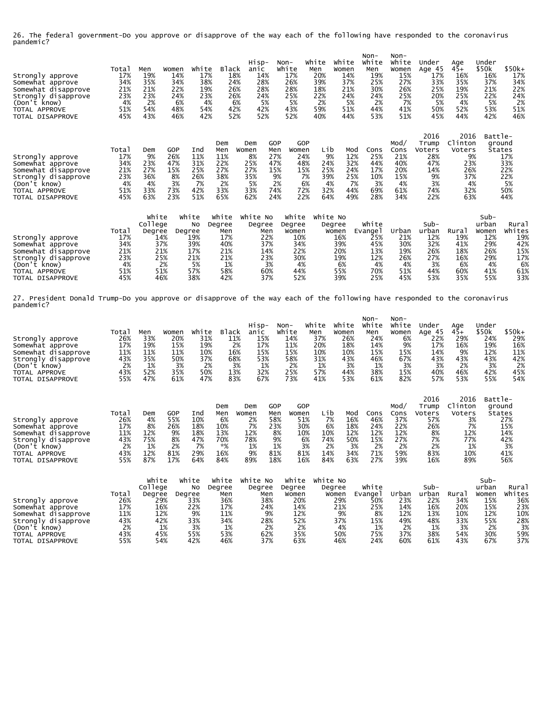26. The federal government-Do you approve or disapprove of the way each of the following have responded to the coronavirus pandemic?

| Strongly approve<br>Somewhat approve<br>Somewhat disapprove<br>Strongly disapprove<br>(Don't know)<br>TOTAL APPROVE<br>TOTAL DISAPPROVE | Total<br>17%<br>34%<br>21%<br>23%<br>4%<br>51%<br>45% | Men<br>19%<br>35%<br>21%<br>23%<br>2%<br>54%<br>43% | Women<br>14%<br>34%<br>22%<br>24%<br>6%<br>48%<br>46% | White<br>17%<br>38%<br>19%<br>23%<br>4%<br>54%<br>42% | <b>Black</b><br>18%<br>24%<br>42%                          | Hisp-<br>anic<br>14%<br>28%<br>28%<br>26%<br>26%<br>24%<br>5%<br>6%<br>42%<br>52%<br>52% | $Non-$                                                    | white<br>17%<br>26%<br>28%<br>25%<br>5%<br>43%<br>52%       | White<br>Men<br>20%<br>39%<br>18%<br>22%<br>2%<br>59%<br>40% | White<br>Women<br>14%<br>37%<br>21%<br>24%<br>5%<br>51%<br>44% | Non-<br>White<br>Men<br>19%<br>25%<br>30%<br>24%<br>2%<br>44%<br>53% | $Non-$<br>White<br>Women<br>15%<br>27%<br>26%<br>25%<br>7%<br>41%<br>51% | Under<br>Age 45<br>17%<br>33%<br>25%<br>20%<br>5%<br>50%<br>45%        | Age<br>45+<br>16%<br>35%<br>19%<br>25%<br>4%<br>52%<br>44%               | Under<br>\$50k<br>16%<br>37%<br>21%<br>22%<br>5%<br>53%<br>42% | $$50k+$<br>17%<br>34%<br>22%<br>24%<br>2%<br>51%<br>46% |
|-----------------------------------------------------------------------------------------------------------------------------------------|-------------------------------------------------------|-----------------------------------------------------|-------------------------------------------------------|-------------------------------------------------------|------------------------------------------------------------|------------------------------------------------------------------------------------------|-----------------------------------------------------------|-------------------------------------------------------------|--------------------------------------------------------------|----------------------------------------------------------------|----------------------------------------------------------------------|--------------------------------------------------------------------------|------------------------------------------------------------------------|--------------------------------------------------------------------------|----------------------------------------------------------------|---------------------------------------------------------|
| Strongly approve<br>Somewhat approve<br>Somewhat disapprove<br>Strongly disapprove<br>(Don't know)<br>TOTAL APPROVE<br>TOTAL DISAPPROVE | Total<br>17%<br>34%<br>21%<br>23%<br>4%<br>51%<br>45% | Dem<br>9%<br>23%<br>27%<br>36%<br>4%<br>33%<br>63%  | GOP<br>26%<br>47%<br>15%<br>8%<br>3%<br>73%<br>23%    | Ind<br>11%<br>31%<br>25%<br>26%<br>7%<br>42%<br>51%   | Dem<br>Men<br>11%<br>22%<br>27%<br>38%<br>2%<br>33%<br>65% | Dem<br>Women<br>8%<br>25%<br>27%<br>35%<br>5%<br>33%<br>62%                              | GOP<br>Men<br>27%<br>47%<br>15%<br>9%<br>2%<br>74%<br>24% | GOP<br>Women<br>24%<br>48%<br>15%<br>7%<br>6%<br>72%<br>22% | Lib<br>9%<br>24%<br>25%<br>39%<br>4%<br>32%<br>64%           | Mod<br>12%<br>32%<br>24%<br>25%<br>7%<br>44%<br>49%            | Cons<br>25%<br>44%<br>17%<br>10%<br>3%<br>69%<br>28%                 | Mod/<br>Cons<br>21%<br>40%<br>20%<br>15%<br>4%<br>61%<br>34%             | 2016<br>Trump<br>Voters<br>28%<br>47%<br>14%<br>9%<br>3%<br>74%<br>22% | 2016<br>Clinton<br>Voters<br>9%<br>23%<br>26%<br>37%<br>4%<br>32%<br>63% | Battle-<br>ground<br>States                                    | 17%<br>33%<br>22%<br>22%<br>5%<br>50%<br>44%            |

|                     |       | White   | White  | White  | White No | White  | white No |        |       |       |      | Sub-  |        |
|---------------------|-------|---------|--------|--------|----------|--------|----------|--------|-------|-------|------|-------|--------|
|                     |       | College | No     | Dearee | Degree   | Degree | Degree   | White  |       | Sub-  |      | urban | Rural  |
|                     | Total | Degree  | Degree | Men    | Men      | Women  | Women    | Evange | urban | urban | Rura | Women | Whites |
| Strongly<br>approve | 17%   | 14%     | 19%    | 17%    | 22%      | 10%    | 16%      | 25%    | 21%   | 12%   | 19%  | 12%   | 19%    |
| Somewhat approve    | 34%   | 37%     | 39%    | 40%    | 37%      | 34%    | 39%      | 45%    | 30%   | 32%   | 41%  | 29%   | 42%    |
| Somewhat disapprove | 21%   | 21%     | 17%    | 21%    | 14%      | 22%    | 20%      | 13%    | 19%   | 26%   | 18%  | 26%   | 15%    |
| Strongly disapprove | 23%   | 25%     | 21%    | 21%    | 23%      | 30%    | 19%      | 12%    | 26%   | 27%   | 16%  | 29%   | 17%    |
| (Don't<br>know)     | 4%    | 2%      | 5%     | 1%     | 3%       | 4%     | 6%       | 4%     | 4%    | 3%    | 6%   | 4%    | 6%     |
| TOTAL APPROVE       | 51%   | 51%     | 57%    | 58%    | 60%      | 44%    | 55%      | 70%    | 51%   | 44%   | 60%  | 41%   | 61%    |
| TOTAL DISAPPROVE    | 45%   | 46%     | 38%    | 42%    | 37%      | 52%    | 39%      | 25%    | 45%   | 53%   | 35%  | 55%   | 33%    |

27. President Donald Trump-Do you approve or disapprove of the way each of the following have responded to the coronavirus pandemic?

| Strongly approve              | Total<br>26% | Men<br>33% | Women<br>20% | White<br>31% | <b>Black</b><br>11% | Hisp-<br>anic<br>15% | Non-<br>White<br>14% | White<br>Men<br>37% | white<br>Women<br>26% | Non-<br>White<br>Men<br>24% | Non-<br>White<br>Women<br>6% | Under<br>Age 45<br>22% | Age<br>$45+$<br>29% | Under<br>\$50k<br>24% | $$50k+$<br>29% |
|-------------------------------|--------------|------------|--------------|--------------|---------------------|----------------------|----------------------|---------------------|-----------------------|-----------------------------|------------------------------|------------------------|---------------------|-----------------------|----------------|
| Somewhat approve              | 17%          | 19%        | 15%          | 19%          | 2%                  | 17%                  | 11%                  | 20%                 | 18%                   | 14%                         | 9%                           | 17%                    | 16%                 | 19%                   | 16%            |
| Somewhat disapprove           | 11%          | 11%        | 11%          | 10%          | 16%                 | 15%                  | 15%                  | 10%                 | 10%                   | 15%                         | 15%                          | 14%                    | 9%                  | 12%                   | 11%            |
| Strongly disapprove           | 43%          | 35%        | 50%          | 37%          | 68%                 | 53%                  | 58%                  | 31%                 | 43%                   | 46%                         | 67%                          | 43%                    | 43%                 | 43%                   | 42%            |
| (Don't know)<br>TOTAL APPROVE | 2%<br>43%    | 1%<br>52%  | 3%<br>35%    | 2%<br>50%    | 3%<br>13%           | 1%<br>32%            | 2%<br>25%            | 1%<br>57%           | 3%<br>44%             | 1%<br>38%                   | 3%<br>15%                    | 3%<br>40%              | 2%<br>46%           | 3%<br>42%             | 2%<br>45%      |
| TOTAL DISAPPROVE              | 55%          | 47%        | 61%          | 47%          | 83%                 | 67%                  | 73%                  | 41%                 | 53%                   | 61%                         | 82%                          | 57%                    | 53%                 | 55%                   | 54%            |
|                               |              |            |              |              | Dem                 | Dem                  | GOP                  | GOP                 |                       |                             | Mod/                         | 2016<br>Trump          | 2016<br>Clinton     | Battle-<br>ground     |                |

|                     |        |     |     |        | Dem | Dem   | GOP | GOP   |     |     |      | MOO, | l rumb | Ciinton | ground |
|---------------------|--------|-----|-----|--------|-----|-------|-----|-------|-----|-----|------|------|--------|---------|--------|
|                     | Tota.  | Dem | GOP | Inc    | Men | Women | Men | Women | ∟ib | Mod | `ons | Cons | Voters | Voters  | States |
| Strongly<br>approve | 26%    | 4%  | 55% | 10%    | 6%  | 2%    | 58% | 51%   | 7%  | 16% | 46%  | 37%  | 57%    |         | 27%    |
| Somewhat approve    | $17\%$ | 8%  | 26% | $18\%$ | 10% | 7%    | 23% | 30%   | 6%  | 18% | 24%  | 22%  | 26%    | 7%      | 15%    |
| Somewhat disapprove | 11%    | 12% | 9%  | $18\%$ | 13% | 12%   | 8%  | 10%   | 10% | 12% | 12%  | 12%  | 8%     | 12%     | 14%    |
| Strongly disapprove | 43%    | 75% | 8%  | 47%    | 70% | 78%   | 9%  | 6%    | 74% | 50% | 15%  | 27%  | 7%     | 77%     | 42%    |
| (Don't<br>know)     | 2%     | 1%  | 2%  |        | *%  | 1%    | 1%  | 3%    |     | 3%  | 2%   | 2%   | 2%     | 1%      | 3%     |
| TOTAL APPROVE       | 43%    | 12% | 81% | 29%    | 16% | 9%    | 81% | 81%   | 14% | 34% | 71%  | 59%  | 83%    | 10%     | 41%    |
| TOTAL DISAPPROVE    | 55%    | 87% | 17% | 64%    | 84% | 89%   | 18% | 16%   | 84% | 63% | 27%  | 39%  | 16%    | 89%     | 56%    |

|                     |       | White   | white  | white  | White No | white  | White No |                     |       |       |                   | $Sub-$ |        |
|---------------------|-------|---------|--------|--------|----------|--------|----------|---------------------|-------|-------|-------------------|--------|--------|
|                     |       | College | No     | Degree | Degree   | Degree | Degree   | white               |       | Sub-  |                   | urban  | Rural  |
|                     | Total | Dearee  | Dearee | Men    | Men      | Women  | Women    | Evange <sup>1</sup> | Urban | urban | Rura <sub>i</sub> | Women  | Whites |
| Strongly<br>approve | 26%   | 29%     | 33%    | 36%    | 38%      | 20%    | 29%      | 50%                 | 23%   | 22%   | 34%               | 15%    | 36%    |
| Somewhat approve    | 17%   | 16%     | 22%    | 17%    | 24%      | 14%    | 21%      | 25%                 | 14%   | 16%   | 20%               | 15%    | 23%    |
| Somewhat disapprove | 11%   | 12%     | 9%     | 11%    | 9%       | 12%    | 9%       | 8%                  | 12%   | 13%   | 10%               | 12%    | 10%    |
| Strongly disapprove | 43%   | 42%     | 33%    | 34%    | 28%      | 52%    | 37%      | 15%                 | 49%   | 48%   | 33%               | 55%    | 28%    |
| (Don't know)        | 2%    | 1%      | 3%     | 1%     | 2%       | 2%     | 4%       | 1%                  | 2%    | 1%    | 3%                |        | 3%     |
| TOTAL APPROVE       | 43%   | 45%     | 55%    | 53%    | 62%      | 35%    | 50%      | 75%                 | 37%   | 38%   | 54%               | 30%    | 59%    |
| TOTAL DISAPPROVE    | 55%   | 54%     | 42%    | 46%    | 37%      | 63%    | 46%      | 24%                 | 60%   | 61%   | 43%               | 67%    | 37%    |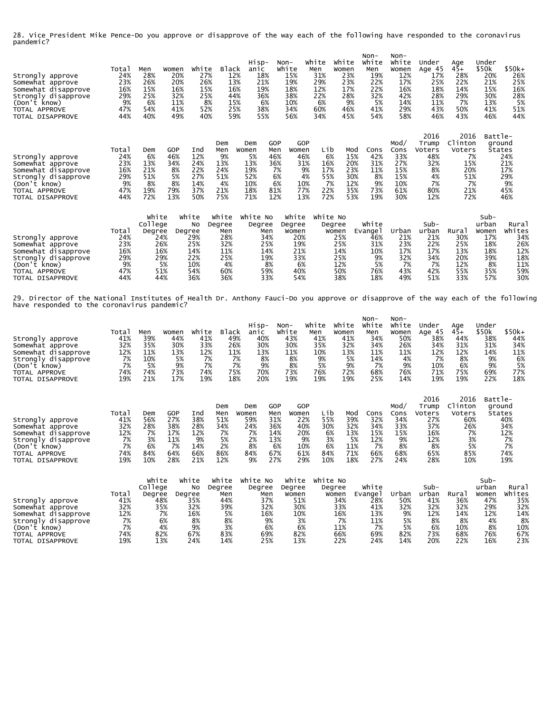28. Vice President Mike Pence-Do you approve or disapprove of the way each of the following have responded to the coronavirus pandemic?

| Strongly approve<br>Somewhat approve<br>Somewhat disapprove<br>Strongly disapprove<br>(Don't know)<br>TOTAL APPROVE<br>TOTAL DISAPPROVE | Total<br>24%<br>23%<br>16%<br>29%<br>9%<br>47%<br>44% | Men<br>28%<br>26%<br>15%<br>25%<br>6%<br>54%<br>40% | Women<br>20%<br>20%<br>16%<br>32%<br>11%<br>41%<br>49% | White<br>27%<br>26%<br>15%<br>25%<br>8%<br>52%<br>40% | <b>Black</b><br>12%<br>13%<br>16%<br>44%<br>15%<br>25%<br>59% | Hisp-<br>anic<br>18%<br>21%<br>19%<br>36%<br>6%<br>38%<br>55% | Non-<br>White<br>15%<br>19%<br>18%<br>38%<br>10%<br>34%<br>56%    | White<br>Men<br>31%<br>29%<br>12%<br>22%<br>6%<br>60%<br>34% | White<br>Women<br>23%<br>23%<br>17%<br>28%<br>9%<br>46%<br>45%                                             | Non-<br>White<br>Men<br>19%<br>22%<br>22%<br>32%<br>5%<br>41%<br>54% | $Non-$<br>White<br>Women<br>12%<br>17%<br>16%<br>42%<br>14%<br>29%<br>58% | Under<br>Age 45<br>17%<br>25%<br>18%<br>28%<br>11%<br>43%<br>46%      | Age<br>45+<br>28%<br>22%<br>14%<br>29%<br>7%<br>50%<br>43%               | Under<br>\$50k<br>20%<br>21%<br>15%<br>30%<br>13%<br>41%<br>46% | \$50k+<br>26%<br>25%<br>16%<br>28%<br>5%<br>51%<br>44% |
|-----------------------------------------------------------------------------------------------------------------------------------------|-------------------------------------------------------|-----------------------------------------------------|--------------------------------------------------------|-------------------------------------------------------|---------------------------------------------------------------|---------------------------------------------------------------|-------------------------------------------------------------------|--------------------------------------------------------------|------------------------------------------------------------------------------------------------------------|----------------------------------------------------------------------|---------------------------------------------------------------------------|-----------------------------------------------------------------------|--------------------------------------------------------------------------|-----------------------------------------------------------------|--------------------------------------------------------|
| Strongly approve<br>Somewhat approve<br>Somewhat disapprove<br>Strongly disapprove<br>(Don't know)<br>TOTAL APPROVE<br>TOTAL DISAPPROVE | Total<br>24%<br>23%<br>16%<br>29%<br>9%<br>47%<br>44% | Dem<br>6%<br>13%<br>21%<br>51%<br>8%<br>19%<br>72%  | GOP<br>46%<br>34%<br>8%<br>5%<br>8%<br>79%<br>13%      | Ind<br>12%<br>24%<br>22%<br>27%<br>14%<br>37%<br>50%  | Dem<br>Men<br>9%<br>13%<br>24%<br>51%<br>4%<br>21%<br>75%     | Dem<br>Women<br>5%<br>13%<br>19%<br>52%<br>10%<br>18%<br>71%  | GOP<br>Men<br>Women<br>46%<br>36%<br>7%<br>6%<br>6%<br>81%<br>12% | GOP<br>46%<br>31%<br>9%<br>4%<br>10%<br>77%<br>13%           | Lib<br>Mod<br>6%<br>15%<br>20%<br>16%<br>23%<br>17%<br>55%<br>30%<br>12%<br>7%<br>22%<br>35%<br>72%<br>53% | Cons<br>42%<br>31%<br>11%<br>8%<br>9%<br>73%<br>19%                  | Mod/<br>Cons<br>33%<br>27%<br>15%<br>15%<br>10%<br>61%<br>30%             | 2016<br>Trump<br>Voters<br>48%<br>32%<br>8%<br>4%<br>7%<br>80%<br>12% | 2016<br>Clinton<br>Voters<br>7%<br>15%<br>20%<br>51%<br>7%<br>21%<br>72% | Battle-<br>ground<br>States                                     | 24%<br>21%<br>17%<br>29%<br>9%<br>45%<br>46%           |

|                     |       | White   | White  | White  | White No | White  | White No |        |       |       |       | $Sub-$ |        |
|---------------------|-------|---------|--------|--------|----------|--------|----------|--------|-------|-------|-------|--------|--------|
|                     |       | College | No     | Dearee | Degree   | Degree | Degree   | White  |       | Sub-  |       | urban  | Rurai  |
|                     | Total | Degree  | Degree | Men    | Men      | Women  | Women    | Evange | Urbar | urban | Rura, | Women  | Whites |
| Strongly<br>approve | 24%   | 24%     | 29%    | 28%    | 34%      | 20%    | 25%      | 46%    | 21%   | 21%   | 30%   | 17%    | 34%    |
| Somewhat approve    | 23%   | 26%     | 25%    | 32%    | 25%      | 19%    | 25%      | 31%    | 23%   | 22%   | 25%   | 18%    | 26%    |
| Somewhat disapprove | 16%   | 16%     | 14%    | 11%    | 14%      | 21%    | 14%      | 10%    | 17%   | 17%   | 13%   | 18%    | 12%    |
| Strongly disapprove | 29%   | 29%     | 22%    | 25%    | 19%      | 33%    | 25%      | 9%     | 32%   | 34%   | 20%   | 39%    | 18%    |
| (Don't know)        | 9%    | 5%      | 10%    | 4%     | 8%       | 6%     | 12%      | 5%     | 7%    | 7%    | 12%   | 8%     | 11%    |
| TOTAL APPROVE       | 47%   | 51%     | 54%    | 60%    | 59%      | 40%    | 50%      | 76%    | 43%   | 42%   | 55%   | 35%    | 59%    |
| TOTAL DISAPPROVE    | 44%   | 44%     | 36%    | 36%    | 33%      | 54%    | 38%      | 18%    | 49%   | 51%   | 33%   | 57%    | 30%    |

29. Director of the National Institutes of Health Dr. Anthony Fauci-Do you approve or disapprove of the way each of the following have responded to the coronavirus pandemic?

| Strongly approve<br>Somewhat approve<br>Somewhat disapprove<br>Strongly disapprove<br>(Don't know)<br>TOTAL APPROVE | Total<br>41%<br>32%<br>12%<br>7%<br>7%<br>74% | Men<br>39%<br>35%<br>11%<br>10%<br>5%<br>74% | Women<br>44%<br>30%<br>13%<br>5%<br>9%<br>73% | White<br>41%<br>33%<br>12%<br>7%<br>7%<br>74% | Black<br>49%<br>26%<br>11%<br>7%<br>7%<br>75% | Hisp-<br>anic<br>40%<br>30%<br>13%<br>8%<br>9%<br>70% | Non-<br>White<br>43%<br>30%<br>11%<br>8%<br>8%<br>73% | white<br>Men<br>41%<br>35%<br>10%<br>9%<br>5%<br>76% | White<br>Women<br>41%<br>32%<br>13%<br>5%<br>9%<br>72% | Non-<br>White<br>Men<br>34%<br>34%<br>11%<br>14%<br>7%<br>68% | Non-<br>White<br>Women<br>50%<br>26%<br>11%<br>4%<br>9%<br>76% | Under<br>Age 45<br>38%<br>34%<br>12%<br>7%<br>10%<br>71% | Age<br>$45+$<br>44%<br>31%<br>12%<br>8%<br>6%<br>75% | Under<br>\$50k<br>38%<br>31%<br>14%<br>9%<br>9%<br>69% | $$50k+$<br>44%<br>34%<br>11%<br>6%<br>5%<br>77% |
|---------------------------------------------------------------------------------------------------------------------|-----------------------------------------------|----------------------------------------------|-----------------------------------------------|-----------------------------------------------|-----------------------------------------------|-------------------------------------------------------|-------------------------------------------------------|------------------------------------------------------|--------------------------------------------------------|---------------------------------------------------------------|----------------------------------------------------------------|----------------------------------------------------------|------------------------------------------------------|--------------------------------------------------------|-------------------------------------------------|
| TOTAL DISAPPROVE                                                                                                    | 19%                                           | 21%                                          | 17%                                           | 19%                                           | 18%                                           | 20%                                                   | 19%                                                   | 19%                                                  | 19%                                                    | 25%                                                           | 14%                                                            | 19%<br>2016                                              | 19%<br>2016                                          | 22%<br>Battle-                                         | 18%                                             |
|                                                                                                                     | Total                                         | Dem                                          | GOP                                           | Ind                                           | Dem<br>Men                                    | Dem<br>Women                                          | GOP<br>GOP<br>Men<br>Women                            | Lib                                                  | Mod                                                    | Cons                                                          | Mod/<br>Cons                                                   | Trump<br>Voters                                          | Clinton<br>Voters                                    | ground<br>States                                       |                                                 |

|                     | Tota. | Dem | GOP | Ind | Men | Women | Men | Women | Lib | Mod | Cons | Cons | Voters | Voters | States |
|---------------------|-------|-----|-----|-----|-----|-------|-----|-------|-----|-----|------|------|--------|--------|--------|
| Strongly<br>approve | 41%   | 56% | 27% | 38% | 51% | 59%   | 31% | 22%   | 55% | 39% | 32%  | 34%  | 27%    | 60%    | 40%    |
| Somewhat approve    | 32%   | 28% | 38% | 28% | 34% | 24%   | 36% | 40%   | 30% | 32% | 34%  | 33%  | 37%    | 26%    | 34%    |
| Somewhat disapprove | 12%   | 7%  | 17% | 12% |     |       | 14% | 20%   | 6%  | 13% | 15%  | 15%  | 16%    | 7%     | 12%    |
| Strongly disapprove | 7%    | 3%  | 11% | 9%  | 5%  | 2%    | 13% | 9%    | 3%  | 5%  | 12%  | 9%   | 12%    | 3%     |        |
| (Don't<br>know)     | 7%    | 6%  | 7%  | 14% | 2%  | 8%    | 6%  | 10%   | 6%  | 11% | 7%   | 8%   | 8%     | 5%     |        |
| TOTAL APPROVE       | 74%   | 84% | 64% | 66% | 86% | 84%   | 67% | 61%   | 84% | 71% | 66%  | 68%  | 65%    | 85%    | 74%    |
| TOTAL DISAPPROVE    | 19%   | 10% | 28% | 21% | 12% | 9%    | 27% | 29%   | 10% | 18% | 27%  | 24%  | 28%    | 10%    | 19%    |

|                     |       | White   | White  | White  | White No | white  | White No |                     |       |       |       | $Sub-$ |        |
|---------------------|-------|---------|--------|--------|----------|--------|----------|---------------------|-------|-------|-------|--------|--------|
|                     |       | College | No.    | Dearee | Degree   | Dearee | Degree   | White               |       | Sub-  |       | urban  | Rural  |
|                     | Total | Degree  | Degree | Men    | Men      | Women  | Women    | Evange <sup>1</sup> | Urban | urban | Rura. | Women  | Whites |
| Strongly<br>approve | 41%   | 48%     | 35%    | 44%    | 37%      | 51%    | 34%      | 28%                 | 50%   | 41%   | 36%   | 47%    | 35%    |
| Somewhat approve    | 32%   | 35%     | 32%    | 39%    | 32%      | 30%    | 33%      | 41%                 | 32%   | 32%   | 32%   | 29%    | 32%    |
| Somewhat disapprove | 12%   | 7%      | 16%    | 5%     | 16%      | 10%    | 16%      | 13%                 | 9%    | 12%   | 14%   | 12%    | 14%    |
| Strongly disapprove | 7%    | 6%      | 8%     | 8%     | 9%       | 3%     | 7%       | 11%                 | 5%    | 8%    | 8%    | 4%     | 8%     |
| (Don't know)        | 7%    | 4%      | 9%     | 3%     | 6%       | 6%     | 11%      | 7%                  | 5%    | 6%    | 10%   | 8%     | 10%    |
| TOTAL APPROVE       | 74%   | 82%     | 67%    | 83%    | 69%      | 82%    | 66%      | 69%                 | 82%   | 73%   | 68%   | 76%    | 67%    |
| TOTAL DISAPPROVE    | 19%   | 13%     | 24%    | 14%    | 25%      | 13%    | 22%      | 24%                 | 14%   | 20%   | 22%   | 16%    | 23%    |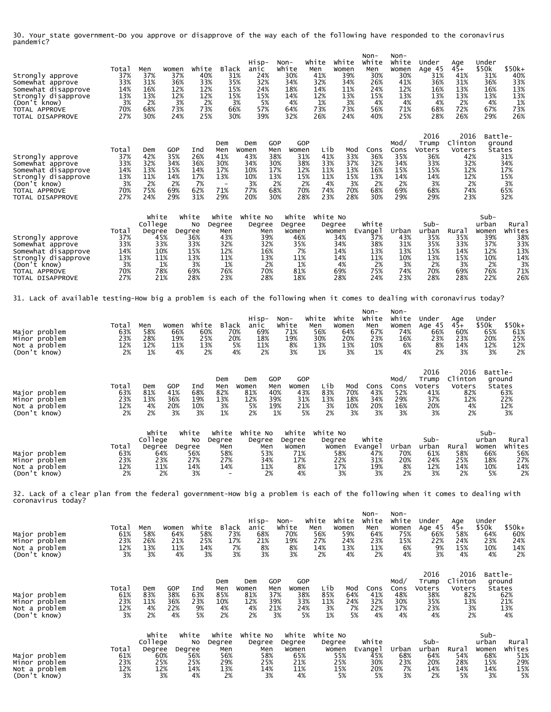30. Your state government-Do you approve or disapprove of the way each of the following have responded to the coronavirus pandemic?

| Strongly approve<br>Somewhat approve<br>Somewhat disapprove<br>Strongly disapprove<br>(Don't know)<br>TOTAL APPROVE<br>TOTAL DISAPPROVE | Total<br>37%<br>33%<br>14%<br>13%<br>3%<br>70%<br>27% | Men<br>37%<br>31%<br>16%<br>13%<br>2%<br>68%<br>30% | Women<br>37%<br>36%<br>12%<br>12%<br>3%<br>73%<br>24%  | White<br>40%<br>33%<br>12%<br>12%<br>2%<br>73%<br>25%       | <b>Black</b><br>31%<br>35%<br>15%<br>15%<br>3%<br>66%<br>30%                     | Hisp-<br>anic<br>24%<br>32%<br>24%<br>15%<br>5%<br>57%<br>39%             | Non-<br>White<br>30%<br>34%<br>18%<br>14%<br>4%<br>64%<br>32%           | White<br>Men<br>41%<br>32%<br>14%<br>12%<br>1%<br>73%<br>26%                                         | White<br>Women<br>39%<br>34%<br>11%<br>13%<br>3%<br>73%<br>24%  | Non-<br>White<br>Men<br>30%<br>26%<br>24%<br>15%<br>4%<br>56%<br>40% | Non-<br>White<br>Women<br>30%<br>41%<br>12%<br>13%<br>4%<br>71%<br>25% | Under<br>Age 45<br>31%<br>36%<br>16%<br>13%<br>4%<br>68%<br>28%         | Age<br>45+<br>41%<br>31%<br>13%<br>13%<br>2%<br>72%<br>26%                | Under<br>\$50k<br>31%<br>36%<br>16%<br>13%<br>4%<br>67%<br>29%         | \$50k+<br>40%<br>33%<br>13%<br>13%<br>1%<br>73%<br>26%          |
|-----------------------------------------------------------------------------------------------------------------------------------------|-------------------------------------------------------|-----------------------------------------------------|--------------------------------------------------------|-------------------------------------------------------------|----------------------------------------------------------------------------------|---------------------------------------------------------------------------|-------------------------------------------------------------------------|------------------------------------------------------------------------------------------------------|-----------------------------------------------------------------|----------------------------------------------------------------------|------------------------------------------------------------------------|-------------------------------------------------------------------------|---------------------------------------------------------------------------|------------------------------------------------------------------------|-----------------------------------------------------------------|
| Strongly approve<br>Somewhat approve<br>Somewhat disapprove<br>Strongly disapprove<br>(Don't know)<br>TOTAL APPROVE<br>TOTAL DISAPPROVE | Total<br>37%<br>33%<br>14%<br>13%<br>3%<br>70%<br>27% | Dem<br>42%<br>32%<br>13%<br>11%<br>2%<br>75%<br>24% | GOP<br>35%<br>34%<br>15%<br>14%<br>2%<br>69%<br>29%    | Ind<br>26%<br>36%<br>14%<br>17%<br>-7%<br>62%<br>31%        | Dem<br>Men<br>41%<br>30%<br>17%<br>13%<br>$\overline{\phantom{a}}$<br>71%<br>29% | Dem<br>Women<br>43%<br>34%<br>10%<br>10%<br>3%<br>77%<br>20%              | GOP<br>Men<br>Women<br>38%<br>30%<br>17%<br>13%<br>2%<br>68%<br>30%     | GOP<br>Lib<br>31%<br>41%<br>33%<br>38%<br>12%<br>11%<br>11%<br>15%<br>2%<br>70%<br>74%<br>23%<br>28% | Mod<br>33%<br>37%<br>13%<br>15%<br>4%<br>3%<br>70%<br>28%       | Cons<br>36%<br>32%<br>16%<br>13%<br>2%<br>68%<br>30%                 | Mod/<br>Cons<br>35%<br>34%<br>15%<br>14%<br>2%<br>69%<br>29%           | 2016<br>Trump<br>Voters<br>36%<br>33%<br>15%<br>14%<br>3%<br>68%<br>29% | 2016<br>Clinton<br>Voters<br>42%<br>32%<br>12%<br>12%<br>2%<br>74%<br>23% | Battle-<br>ground                                                      | States<br>31%<br>34%<br>17%<br>15%<br>3%<br>65%<br>32%          |
| Strongly approve<br>Somewhat approve<br>Somewhat disapprove<br>Strongly disapprove<br>(Don't know)<br>TOTAL APPROVE<br>TOTAL DISAPPROVE | Total<br>37%<br>33%<br>14%<br>13%<br>3%<br>70%<br>27% | White<br>College<br>Degree                          | Degree<br>45%<br>33%<br>10%<br>11%<br>1%<br>78%<br>21% | White<br>No<br>36%<br>33%<br>15%<br>13%<br>3%<br>69%<br>28% | White<br>Degree<br>Men<br>43%<br>32%<br>12%<br>11%<br>1%<br>76%<br>23%           | White No<br>Degree<br>Men<br>39%<br>32%<br>16%<br>13%<br>2%<br>70%<br>28% | White<br>Degree<br>Women<br>46%<br>35%<br>7%<br>11%<br>1%<br>81%<br>18% | White No                                                                                             | Degree<br>Women<br>34%<br>34%<br>14%<br>14%<br>4%<br>69%<br>28% | White<br>Evange I<br>37%<br>38%<br>13%<br>11%<br>2%<br>75%<br>24%    | Urban<br>43%<br>31%<br>13%<br>10%<br>3%<br>74%<br>23%                  | Sub-<br>urban<br>35%<br>35%<br>15%<br>13%<br>2%<br>70%<br>28%           | Rural<br>35%<br>33%<br>14%<br>15%<br>3%<br>69%<br>28%                     | Sub-<br>urban<br>Women<br>39%<br>37%<br>12%<br>10%<br>2%<br>76%<br>22% | Rural<br>Whites<br>38%<br>33%<br>13%<br>14%<br>3%<br>71%<br>26% |
| 31. Lack of available testing-How big a problem is each of the following when it comes to dealing with coronavirus today?               |                                                       |                                                     |                                                        |                                                             |                                                                                  |                                                                           |                                                                         |                                                                                                      |                                                                 |                                                                      |                                                                        |                                                                         |                                                                           |                                                                        |                                                                 |
| Major problem<br>Minor problem<br>Not a problem<br>(Don't know)                                                                         | Total<br>63%<br>23%<br>12%<br>2%                      | Men<br>58%<br>28%<br>12%<br>1%                      | Women<br>66%<br>19%<br>11%<br>4%                       | White<br>60%<br>25%<br>13%<br>2%                            | <b>Black</b><br>70%<br>20%<br>5%<br>4%                                           | Hisp-<br>anic<br>69%<br>18%<br>11%<br>2%                                  | Non-<br>White<br>71%<br>19%<br>8%<br>3%                                 | White<br>Men<br>56%<br>30%<br>13%<br>1%                                                              | white<br>Women<br>64%<br>20%<br>13%<br>3%                       | Non-<br>White<br>Men<br>67%<br>23%<br>10%<br>1%                      | Non-<br>White<br>Women<br>74%<br>16%<br>6%<br>4%                       | Under<br>Age 45<br>66%<br>23%<br>8%<br>2%                               | Age<br>45+<br>60%<br>23%<br>14%<br>3%                                     | Under<br>\$50k<br>65%<br>20%<br>12%<br>3%                              | \$50k+<br>61%<br>25%<br>12%<br>2%                               |
| Major problem<br>Minor problem<br>Not a problem<br>(Don't know)                                                                         | Total<br>63%<br>23%<br>12%<br>2%                      | Dem<br>81%<br>13%<br>4%<br>2%                       | GOP<br>41%<br>36%<br>20%<br>3%                         | Ind<br>68%<br>19%<br>10%<br>3%                              | Dem<br>Men<br>82%<br>13%<br>3%<br>1%                                             | Dem<br>Women<br>81%<br>12%<br>5%<br>2%                                    | GOP<br>Men<br>Women<br>40%<br>39%<br>19%<br>1%                          | GOP<br>Lib<br>43%<br>83%<br>31%<br>13%<br>21%<br>5%                                                  | Mod<br>70%<br>18%<br>3%<br>10%<br>2%<br>3%                      | Cons<br>43%<br>34%<br>20%<br>3%                                      | Mod/<br>Cons<br>52%<br>29%<br>16%<br>3%                                | 2016<br>Trump<br>Voters<br>41%<br>37%<br>20%<br>3%                      | 2016<br>Clinton<br>Voters<br>82%<br>12%<br>4%<br>2%                       | Battle-<br>ground                                                      | States<br>63%<br>22%<br>12%<br>3%                               |
| Major problem<br>Minor problem<br>Not a problem<br>(Don't know)                                                                         | Total<br>63%<br>23%<br>12%<br>2%                      | White<br>College<br>Degree                          | Degree<br>64%<br>23%<br>11%<br>2%                      | White<br>No<br>56%<br>27%<br>14%<br>3%                      | White<br>Degree<br>Men<br>58%<br>27%<br>14%                                      | White No<br>Degree<br>Men<br>53%<br>34%<br>11%<br>2%                      | White<br>Degree<br>Women<br>71%<br>17%<br>8%                            | White No<br>4%                                                                                       | Degree<br>Women<br>58%<br>22%<br>17%<br>3%                      | White<br>Evange 1<br>47%<br>31%<br>19%<br>3%                         | Urban<br>70%<br>20%<br>8%<br>2%                                        | Sub-<br>urban<br>61%<br>24%<br>12%<br>3%                                | Rural<br>58%<br>25%<br>14%<br>2%                                          | Sub-<br>urban<br>Women<br>66%<br>18%<br>10%<br>5%                      | Rural<br>Whites<br>56%<br>27%<br>14%<br>2%                      |
| 32. Lack of a clear plan from the federal government-How big a problem is each of the following when it comes to dealing with           |                                                       |                                                     |                                                        |                                                             |                                                                                  |                                                                           |                                                                         |                                                                                                      |                                                                 |                                                                      |                                                                        |                                                                         |                                                                           |                                                                        |                                                                 |
| coronavirus today?<br>Major problem<br>Minor problem<br>Not a problem<br>(Don't know)                                                   | Total<br>61%<br>23%<br>12%<br>3%                      | Men<br>58%<br>26%<br>13%<br>3%                      | Women<br>64%<br>21%<br>11%<br>4%                       | White<br>58%<br>25%<br>14%<br>3%                            | <b>Black</b><br>73%<br>17%<br>7%<br>3%                                           | Hisp-<br>anic<br>68%<br>21%<br>8%<br>3%                                   | Non-<br>White<br>70%<br>19%<br>8%<br>3%                                 | White<br>Men<br>56%<br>27%<br>14%<br>2%                                                              | White<br>Women<br>59%<br>24%<br>13%<br>4%                       | Non-<br>White<br>Men<br>64%<br>23%<br>11%<br>2%                      | Non-<br>White<br>Women<br>75%<br>15%<br>6%<br>4%                       | Under<br>Age 45<br>66%<br>22%<br>9%<br>3%                               | Age<br>$45+$<br>58%<br>24%<br>15%<br>4%                                   | Under<br>\$50k<br>64%<br>23%<br>10%<br>4%                              | \$50k+<br>60%<br>24%<br>14%<br>2%                               |
| Major problem<br>Minor problem<br>Not a problem<br>(Don't know)                                                                         | Total<br>61%<br>23%<br>12%<br>3%                      | Dem<br>83%<br>11%<br>4%<br>2%                       | <b>GOP</b><br>38%<br>36%<br>22%<br>4%                  | Ind<br>63%<br>23%<br>9%<br>5%                               | Dem<br>Men<br>85%<br>10%<br>4%<br>2%                                             | Dem<br>Women<br>81%<br>12%<br>4%<br>2%                                    | GOP<br>Men<br>Women<br>37%<br>39%<br>21%<br>3%                          | GOP<br>Lib<br>85%<br>38%<br>33%<br>11%<br>24%<br>5%                                                  | Mod<br>64%<br>24%<br>3%<br>7%<br>5%<br>1%                       | Cons<br>41%<br>32%<br>22%<br>4%                                      | Mod/<br>Cons<br>48%<br>30%<br>17%<br>4%                                | 2016<br>Trump<br>Voters<br>38%<br>35%<br>23%<br>4%                      | 2016<br>Clinton<br>Voters<br>82%<br>13%<br>3%<br>2%                       | Battle-<br>ground<br>States                                            | 62%<br>21%<br>13%<br>4%                                         |
| Major problem<br>Minor problem<br>Not a problem<br>(Don't know)                                                                         | Total<br>61%<br>23%<br>12%<br>3%                      | White<br>College<br>Degree                          | Degree<br>60%<br>25%<br>12%<br>3%                      | White<br>No<br>56%<br>25%<br>14%<br>4%                      | White<br>Degree<br>Men<br>56%<br>29%<br>13%<br>2%                                | White No<br>Degree<br>Men<br>58%<br>25%<br>14%<br>3%                      | white<br>Degree<br>Women<br>65%<br>21%<br>11%<br>4%                     | White No                                                                                             | Degree<br>Women<br>55%<br>25%<br>15%<br>5%                      | White<br>Evange1<br>45%<br>30%<br>20%<br>5%                          | Urban<br>68%<br>23%<br>7%<br>3%                                        | $Sub-$<br>urban<br>64%<br>20%<br>14%<br>2%                              | Rural<br>54%<br>28%<br>14%<br>5%                                          | $Sub-$<br>urban<br>Women<br>68%<br>15%<br>14%<br>3%                    | Rural<br>Whites<br>51%<br>29%<br>15%<br>5%                      |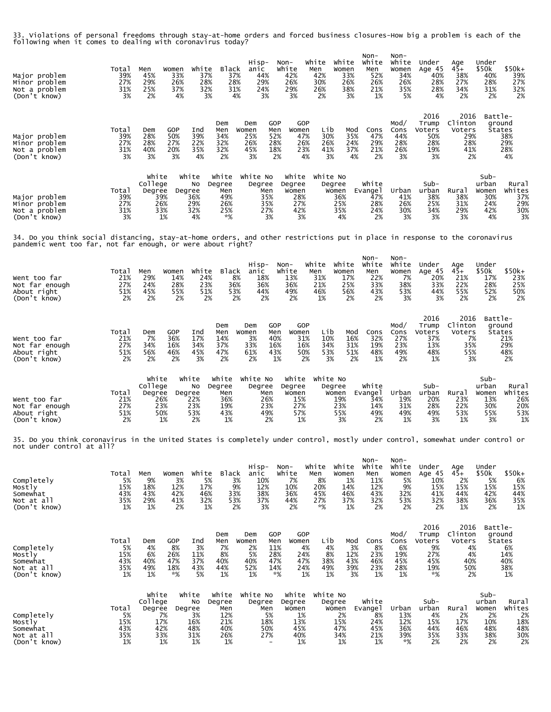33. Violations of personal freedoms through stay-at-home orders and forced business closures-How big a problem is each of the following when it comes to dealing with coronavirus today?

| Major problem<br>Minor problem<br>Not a problem<br>(Don't know)                                                                                                                            | Total<br>39%<br>27%<br>31%<br>3%       | Men<br>Women<br>45%<br>29%<br>25%<br>2%                          | white<br>33%<br>37%<br>26%<br>28%<br>37%<br>32%<br>4%<br>3%             | <b>Black</b><br>37%<br>28%<br>31%<br>4%                  | Hisp-<br>anic<br>44%<br>29%<br>24%<br>3%                                                     | Non-<br>White<br>42%<br>26%<br>29%<br>3%             | White<br>Men<br>42%<br>30%<br>26%<br>2%       | White<br>Women<br>33%<br>26%<br>38%<br>3%       | Non-<br>White<br>Men<br>52%<br>26%<br>21%<br>1%        | Non-<br>White<br>Women<br>34%<br>26%<br>35%<br>5%        | Under<br>Age 45<br>40%<br>28%<br>28%<br>4%                 | Age<br>45+<br>38%<br>27%<br>34%<br>2%                     | Under<br>\$50k<br>40%<br>28%<br>31%<br>2%                 | $$50k+$<br>39%<br>27%<br>32%<br>2%                |
|--------------------------------------------------------------------------------------------------------------------------------------------------------------------------------------------|----------------------------------------|------------------------------------------------------------------|-------------------------------------------------------------------------|----------------------------------------------------------|----------------------------------------------------------------------------------------------|------------------------------------------------------|-----------------------------------------------|-------------------------------------------------|--------------------------------------------------------|----------------------------------------------------------|------------------------------------------------------------|-----------------------------------------------------------|-----------------------------------------------------------|---------------------------------------------------|
| Major problem<br>Minor problem<br>Not a problem<br>(Don't know)                                                                                                                            | Total<br>39%<br>27%<br>31%<br>3%       | GOP<br>Dem<br>28%<br>50%<br>28%<br>27%<br>40%<br>20%<br>3%       | Ind<br>39%<br>22%<br>35%<br>3%<br>4%                                    | Dem<br>Men<br>34%<br>32%<br>32%<br>2%                    | GOP<br>Dem<br>Men<br>Women<br>52%<br>25%<br>26%<br>28%<br>45%<br>18%<br>3%                   | GOP<br>Women<br>47%<br>26%<br>23%<br>2%<br>4%        | Lib<br>30%<br>26%<br>41%<br>3%                | Mod<br>35%<br>24%<br>37%<br>4%                  | Cons<br>47%<br>29%<br>21%<br>2%                        | Mod/<br>Cons<br>44%<br>28%<br>26%<br>3%                  | 2016<br>Trump<br>Voters<br>50%<br>28%<br>19%<br>3%         | 2016<br>Clinton<br>Voters<br>29%<br>28%<br>41%<br>2%      | Battle-<br>ground<br><b>States</b>                        | 38%<br>29%<br>28%<br>4%                           |
| Major problem<br>Minor problem<br>Not a problem<br>(Don't know)                                                                                                                            | Total<br>39%<br>27%<br>31%<br>3%       | White<br>College<br>Degree<br>39%<br>26%<br>33%<br>1%            | White<br>No<br>Degree<br>36%<br>29%<br>32%<br>4%                        | white<br>Degree<br>Men<br>49%<br>26%<br>25%<br>*%        | White No<br>Degree<br>Men<br>35%<br>35%<br>27%<br>3%                                         | white<br>Degree<br>Women<br>28%<br>27%<br>42%<br>3%  | White No<br>Degree<br>Women                   | 36%<br>25%<br>35%<br>4%                         | White<br>Evange 1<br>47%<br>28%<br>24%<br>2%           | Urban<br>41%<br>26%<br>30%<br>3%                         | Sub-<br>urban<br>38%<br>25%<br>34%<br>3%                   | Rura1<br>38%<br>31%<br>29%<br>3%                          | $Sub-$<br>urban<br>Women<br>30%<br>24%<br>42%<br>4%       | Rural<br>Whites<br>37%<br>29%<br>30%<br>3%        |
| 34. Do you think social distancing, stay-at-home orders, and other restrictions put in place in response to the coronavirus<br>pandemic went too far, not far enough, or were about right? |                                        |                                                                  |                                                                         |                                                          |                                                                                              |                                                      |                                               |                                                 |                                                        |                                                          |                                                            |                                                           |                                                           |                                                   |
| Went too far<br>Not far enough<br>About right<br>(Don't know)                                                                                                                              | Total<br>21%<br>27%<br>51%<br>2%       | Men<br>Women<br>29%<br>24%<br>45%<br>2%                          | white<br>14%<br>24%<br>28%<br>23%<br>55%<br>51%<br>2%<br>2%             | <b>Black</b><br>8%<br>36%<br>53%<br>2%                   | Hisp-<br>anic<br>18%<br>36%<br>44%<br>2%                                                     | Non-<br>White<br>13%<br>36%<br>49%<br>2%             | White<br>Men<br>31%<br>21%<br>46%<br>1%       | White<br>Women<br>17%<br>25%<br>56%<br>2%       | Non-<br>white<br>Men<br>22%<br>33%<br>43%<br>2%        | Non-<br>white<br>Women<br>7%<br>38%<br>53%<br>3%         | Under<br>Age 45<br>20%<br>33%<br>44%<br>3%                 | Age<br>45+<br>21%<br>22%<br>55%<br>2%                     | Under<br>\$50k<br>17%<br>28%<br>52%<br>2%                 | $$50k+$<br>23%<br>25%<br>50%<br>2%                |
| Went too far<br>Not far enough<br>About right<br>(Don't know)                                                                                                                              | Total<br>21%<br>27%<br>51%<br>2%       | <b>GOP</b><br>Dem<br>36%<br>7%<br>34%<br>16%<br>56%<br>46%<br>2% | Ind<br>17%<br>34%<br>45%<br>2%<br>3%                                    | Dem<br>Men<br>14%<br>37%<br>47%<br>2%                    | GOP<br>Dem<br>Women<br>Men<br>3%<br>40%<br>33%<br>16%<br>43%<br>61%<br>2%<br>1%              | GOP<br>Women<br>31%<br>16%<br>50%<br>2%              | Lib<br>10%<br>34%<br>53%<br>3%                | Mod<br>16%<br>31%<br>51%<br>2%                  | Cons<br>32%<br>19%<br>48%<br>1%                        | Mod/<br>Cons<br>27%<br>23%<br>49%<br>2%                  | 2016<br>Trump<br>Voters<br>37%<br>13%<br>48%<br>1%         | 2016<br>Clinton<br>Voters<br>7%<br>35%<br>55%<br>3%       | Battle-<br>ground                                         | States<br>21%<br>29%<br>48%<br>2%                 |
| Went too far<br>Not far enough<br>About right<br>(Don't know)                                                                                                                              | Total<br>21%<br>27%<br>51%<br>2%       | White<br>College<br>Degree<br>26%<br>23%<br>50%<br>1%            | White<br>No<br>Degree<br>22%<br>23%<br>53%<br>2%                        | White<br>Degree<br>Men<br>36%<br>19%<br>43%<br>1%        | White No<br>Degree<br>Men<br>26%<br>23%<br>49%<br>2%                                         | White<br>Degree<br>Women<br>15%<br>27%<br>57%<br>1%  | White No<br>Degree                            | Women<br>19%<br>23%<br>55%<br>3%                | White<br>Evangel<br>34%<br>14%<br>49%<br>2%            | Urban<br>19%<br>31%<br>49%<br>1%                         | $Sub-$<br>urban<br>20%<br>28%<br>49%<br>3%                 | Rural<br>23%<br>22%<br>53%<br>1%                          | $Sub-$<br>urban<br>Women<br>13%<br>30%<br>55%<br>3%       | Rural<br>Whites<br>26%<br>20%<br>53%<br>1%        |
| 35. Do you think coronavirus in the United States is completely under control, mostly under control, somewhat under control or<br>not under control at all?                                |                                        |                                                                  |                                                                         |                                                          |                                                                                              |                                                      |                                               |                                                 |                                                        |                                                          |                                                            |                                                           |                                                           |                                                   |
| Completely<br>Mostly<br>Somewhat<br>Not at all<br>(Don't know)                                                                                                                             | Total<br>5%<br>15%<br>43%<br>35%<br>1% | Men<br>Women<br>9%<br>18%<br>43%<br>29%<br>1%                    | white<br>3%<br>5%<br>12%<br>17%<br>42%<br>46%<br>41%<br>32%<br>2%<br>1% | Black<br>3%<br>9%<br>33%<br>53%<br>2%                    | Hisp-<br>anic<br>10%<br>12%<br>38%<br>37%<br>3%                                              | Non-<br>white<br>7%<br>10%<br>36%<br>44%<br>2%       | White<br>Men<br>8%<br>20%<br>45%<br>27%<br>*% | white<br>Women<br>1%<br>14%<br>46%<br>37%<br>1% | Non-<br>White<br>Men<br>11%<br>12%<br>43%<br>32%<br>2% | $Non-$<br>White<br>Women<br>5%<br>9%<br>32%<br>53%<br>2% | Under<br>Age 45<br>10%<br>15%<br>41%<br>32%<br>2%          | Age<br>$45+$<br>2%<br>15%<br>44%<br>38%<br>1%             | Under<br>\$50k<br>5%<br>15%<br>42%<br>36%<br>2%           | $$50k+$<br>6%<br>15%<br>44%<br>35%<br>1%          |
| Completely<br>Mostly<br>Somewhat<br>Not at all<br>(Don't know)                                                                                                                             | Total<br>5%<br>15%<br>43%<br>35%<br>1% | GOP<br>Dem<br>4%<br>6%<br>26%<br>40%<br>47%<br>49%<br>18%<br>1%  | Ind<br>8%<br>3%<br>11%<br>37%<br>43%<br>*%<br>5%                        | Dem<br>Men<br>7%<br>8%<br>40%<br>44%<br>1%               | GOP<br>Dem<br>Women<br>Men<br>2%<br>11%<br>5%<br>28%<br>40%<br>47%<br>52%<br>14%<br>1%<br>*% | <b>GOP</b><br>Women<br>4%<br>24%<br>47%<br>24%<br>1% | Lib<br>4%<br>8%<br>38%<br>49%<br>1%           | Mod<br>3%<br>12%<br>43%<br>39%<br>3%            | Cons<br>8%<br>23%<br>46%<br>23%<br>1%                  | Mod/<br>Cons<br>6%<br>19%<br>45%<br>28%<br>1%            | 2016<br>Trump<br>Voters<br>9%<br>27%<br>45%<br>19%<br>$*%$ | 2016<br>Clinton<br>Voters<br>4%<br>4%<br>40%<br>50%<br>2% | Battle-                                                   | ground<br>States<br>6%<br>14%<br>40%<br>38%<br>1% |
| Completely<br>Mostly<br>Somewhat<br>Not at all<br>(Don't know)                                                                                                                             | Total<br>5%<br>15%<br>43%<br>35%<br>1% | White<br>College<br>Degree<br>7%<br>17%<br>42%<br>33%<br>1%      | White<br>No<br>Degree<br>3%<br>16%<br>48%<br>31%<br>1%                  | White<br>Degree<br>Men<br>12%<br>21%<br>40%<br>26%<br>1% | White No<br>Degree<br>Men<br>5%<br>18%<br>50%<br>27%                                         | Degree<br>Women<br>1%<br>13%<br>45%<br>40%<br>1%     | white white No<br>Degree                      | Women<br>2%<br>15%<br>47%<br>34%<br>1%          | White<br>Evange1<br>8%<br>24%<br>45%<br>21%<br>1%      | Urban<br>13%<br>12%<br>36%<br>39%<br>*%                  | $Sub-$<br>urban<br>4%<br>15%<br>44%<br>35%<br>2%           | Rural<br>2%<br>17%<br>46%<br>33%<br>2%                    | $Sub-$<br>urban<br>Women<br>2%<br>10%<br>48%<br>38%<br>2% | Rural<br>Whites<br>2%<br>18%<br>48%<br>30%<br>2%  |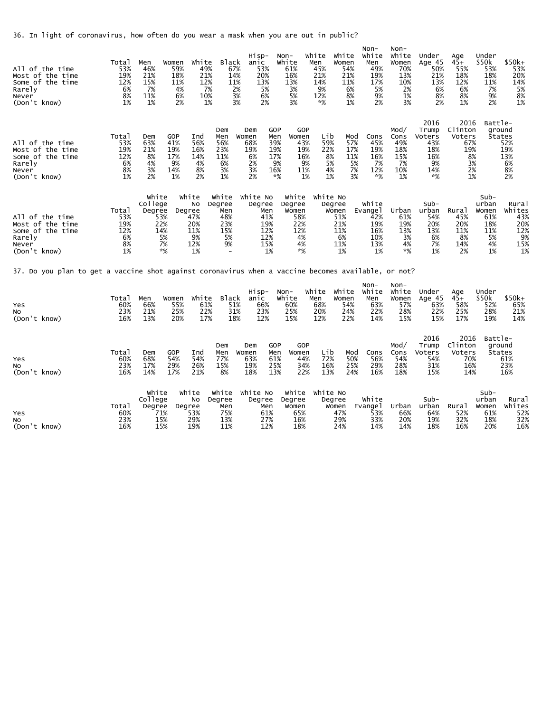36. In light of coronavirus, how often do you wear a mask when you are out in public?

| All of the time<br>Most of the time<br>Some of the time<br>Rarely<br>Never<br>(Don't know)                                        | Total<br>53%<br>19%<br>12%<br>6%<br>8%<br>1% | Men<br>46%<br>21%<br>15%<br>7%<br>11%<br>1% | Women<br>59%<br>18%<br>11%<br>4%<br>6%<br>2%    | white<br>49%<br>21%<br>12%<br>7%<br>10%<br>1%       | <b>Black</b><br>67%<br>14%<br>11%<br>2%<br>3%<br>3%     | Hisp-<br>anic<br>53%<br>20%<br>13%<br>5%<br>6%<br>2%               | Non-<br>White<br>61%<br>16%<br>13%<br>3%<br>5%<br>3%              | White<br>Men<br>45%<br>21%<br>14%<br>9%<br>12%<br>*%                               | white<br>Women<br>54%<br>21%<br>11%<br>6%<br>8%<br>1%   | Non-<br>White<br>Men<br>49%<br>19%<br>17%<br>5%<br>9%<br>2% | $Non-$<br>White<br>Women<br>70%<br>13%<br>10%<br>2%<br>1%<br>3% | Under<br>Age 45<br>50%<br>21%<br>13%<br>6%<br>8%<br>2%          | Age<br>45+<br>55%<br>18%<br>12%<br>6%<br>8%<br>1%               | Under<br>\$50k<br>53%<br>18%<br>11%<br>7%<br>9%<br>2%         | \$50k+<br>53%<br>20%<br>14%<br>5%<br>8%<br>1%                  |
|-----------------------------------------------------------------------------------------------------------------------------------|----------------------------------------------|---------------------------------------------|-------------------------------------------------|-----------------------------------------------------|---------------------------------------------------------|--------------------------------------------------------------------|-------------------------------------------------------------------|------------------------------------------------------------------------------------|---------------------------------------------------------|-------------------------------------------------------------|-----------------------------------------------------------------|-----------------------------------------------------------------|-----------------------------------------------------------------|---------------------------------------------------------------|----------------------------------------------------------------|
| All of the time<br>Most of the time<br>Some of the time<br>Rarely<br>Never<br>(Don't know)                                        | Total<br>53%<br>19%<br>12%<br>6%<br>8%<br>1% | Dem<br>63%<br>21%<br>8%<br>4%<br>3%<br>2%   | GOP<br>41%<br>19%<br>17%<br>9%<br>14%<br>1%     | Ind<br>56%<br>16%<br>14%<br>4%<br>8%<br>2%          | Dem<br>Men<br>56%<br>23%<br>11%<br>6%<br>3%<br>1%       | Dem<br>Women<br>68%<br>19%<br>6%<br>2%<br>3%<br>2%                 | GOP<br>Men<br>Women<br>39%<br>19%<br>17%<br>9%<br>16%<br>*%       | GOP<br>Lib<br>43%<br>59%<br>19%<br>22%<br>8%<br>16%<br>9%<br>4%<br>11%<br>1%<br>1% | Mod<br>57%<br>17%<br>11%<br>5%<br>5%<br>7%<br>3%        | Cons<br>45%<br>19%<br>16%<br>7%<br>12%<br>*%                | Mod/<br>Cons<br>49%<br>18%<br>15%<br>7%<br>10%<br>1%            | 2016<br>Trump<br>Voters<br>43%<br>18%<br>16%<br>9%<br>14%<br>*% | 2016<br>Clinton<br>Voters<br>67%<br>19%<br>8%<br>3%<br>2%<br>1% | Battle-                                                       | ground<br><b>States</b><br>52%<br>19%<br>13%<br>6%<br>8%<br>2% |
| All of the time<br>Most of the time<br>Some of the time<br>Rarely<br>Never<br>(Don't know)                                        | Total<br>53%<br>19%<br>12%<br>6%<br>8%<br>1% | White<br>College<br>Degree                  | Degree<br>53%<br>22%<br>14%<br>5%<br>7%<br>$*%$ | white<br>No<br>47%<br>20%<br>11%<br>9%<br>12%<br>1% | White<br>Degree<br>Men<br>48%<br>23%<br>15%<br>5%<br>9% | White No<br>Degree<br>Men<br>41%<br>19%<br>12%<br>12%<br>15%<br>1% | White<br>Degree<br>Women<br>58%<br>22%<br>12%<br>4%<br>4%<br>$*%$ | White No                                                                           | Degree<br>Women<br>51%<br>21%<br>11%<br>6%<br>11%<br>1% | White<br>Evange1<br>42%<br>19%<br>16%<br>10%<br>13%<br>1%   | Urban<br>61%<br>19%<br>13%<br>3%<br>4%<br>$*%$                  | Sub-<br>urban<br>54%<br>20%<br>13%<br>6%<br>7%<br>1%            | Rura <sub>1</sub><br>45%<br>20%<br>11%<br>8%<br>14%<br>2%       | Sub-<br>urban<br>Women<br>61%<br>18%<br>11%<br>5%<br>4%<br>1% | Rural<br>Whites<br>43%<br>20%<br>12%<br>9%<br>15%<br>1%        |
| 37. Do you plan to get a vaccine shot against coronavirus when a vaccine becomes available, or not?<br>Yes<br>No.<br>(Don't know) | Total<br>60%<br>23%<br>16%                   | Men<br>66%<br>21%<br>13%                    | Women<br>55%<br>25%<br>20%                      | white<br>61%<br>22%<br>17%                          | Black<br>51%<br>31%<br>18%                              | Hisp-<br>anic<br>66%<br>23%<br>12%                                 | Non-<br>White<br>60%<br>25%<br>15%                                | White<br>Men<br>68%<br>20%<br>12%                                                  | white<br>Women<br>54%<br>24%<br>22%                     | Non-<br>White<br>Men<br>63%<br>22%<br>14%                   | Non-<br>White<br>Women<br>57%<br>28%<br>15%                     | Under<br>Age 45<br>63%<br>22%<br>15%                            | Age<br>$45+$<br>58%<br>25%<br>17%                               | Under<br>\$50k<br>52%<br>28%<br>19%                           | \$50k+<br>65%<br>21%<br>14%                                    |
| Yes<br>No.<br>(Don't know)                                                                                                        | Total<br>60%<br>23%<br>16%                   | Dem<br>68%<br>17%<br>14%                    | GOP<br>54%<br>29%<br>17%                        | Ind<br>54%<br>26%<br>21%                            | Dem<br>Men<br>77%<br>15%<br>8%                          | Dem<br>Women<br>63%<br>19%<br>18%                                  | GOP<br>Men<br>Women<br>61%<br>25%<br>13%                          | GOP<br>Lib<br>72%<br>44%<br>34%<br>16%<br>13%<br>22%                               | Mod<br>50%<br>25%<br>24%                                | Cons<br>56%<br>29%<br>16%                                   | Mod/<br>Cons<br>54%<br>28%<br>18%                               | 2016<br>Trump<br>Voters<br>54%<br>31%<br>15%                    | 2016<br>Clinton<br>Voters<br>70%<br>16%<br>14%                  | Battle-                                                       | ground<br><b>States</b><br>61%<br>23%<br>16%                   |
| Yes<br>No.<br>(Don't know)                                                                                                        | Total<br>60%<br>23%<br>16%                   | White<br>College<br>Degree                  | Degree<br>71%<br>15%<br>15%                     | white<br>No<br>53%<br>29%<br>19%                    | White<br>Degree<br>Men<br>75%<br>13%<br>11%             | white No<br>Degree<br>Men<br>61%<br>27%<br>12%                     | White<br>Degree<br>Women<br>65%<br>16%<br>18%                     | White No                                                                           | Degree<br>Women<br>47%<br>29%<br>24%                    | White<br>Evangel<br>53%<br>33%<br>14%                       | Urban<br>66%<br>20%<br>14%                                      | Sub-<br>urban<br>64%<br>19%<br>18%                              | Rural<br>52%<br>32%<br>16%                                      | $Sub-$<br>urban<br>Women<br>61%<br>18%<br>20%                 | Rural<br>Whites<br>52%<br>32%<br>16%                           |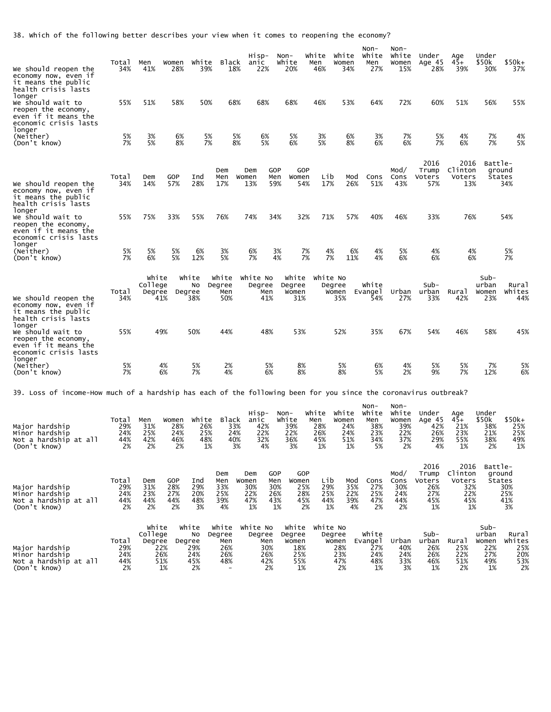38. Which of the following better describes your view when it comes to reopening the economy?

| we should reopen the<br>economy now, even if<br>it means the public<br>health crisis lasts                       | Total<br>34%                     | Men<br>41%                     | Women<br>28%                          | White<br>39%                                     | Black<br>18%                                                            | Hisp-<br>anic<br>22%                           | Non-<br>White<br>20%                  |                                                     | White<br>Men<br>46%                     | White<br>Women<br>34%                      | Non-<br>White<br>Men<br>27%                     | Non-<br>White<br>Women<br>15%                     | Under<br>Age 45<br>28%                             | Age<br>$45+$<br>39%                                  | Under<br>\$50k<br>30%                               | $$50k+$<br>37%                                     |
|------------------------------------------------------------------------------------------------------------------|----------------------------------|--------------------------------|---------------------------------------|--------------------------------------------------|-------------------------------------------------------------------------|------------------------------------------------|---------------------------------------|-----------------------------------------------------|-----------------------------------------|--------------------------------------------|-------------------------------------------------|---------------------------------------------------|----------------------------------------------------|------------------------------------------------------|-----------------------------------------------------|----------------------------------------------------|
| longer<br>we should wait to<br>reopen the economy,<br>even if it means the<br>economic crisis lasts<br>longer    | 55%                              | 51%                            | 58%                                   | 50%                                              | 68%                                                                     | 68%                                            | 68%                                   |                                                     | 46%                                     | 53%                                        | 64%                                             | 72%                                               | 60%                                                | 51%                                                  | 56%                                                 | 55%                                                |
| (Neither)<br>(Don't know)                                                                                        | 5%<br>7%                         | 3%<br>5%                       | 6%<br>8%                              | 5%<br>7%                                         |                                                                         | 5%<br>6%<br>8%<br>5%                           |                                       | 5%<br>6%                                            | 3%<br>5%                                | 6%<br>8%                                   | 3%<br>6%                                        | 7%<br>6%                                          | 5%<br>7%                                           | 4%<br>6%                                             | 7%<br>7%                                            | 4%<br>5%                                           |
| we should reopen the<br>economy now, even if<br>it means the public<br>health crisis lasts                       | Total<br>34%                     | Dem<br>14%                     | GOP<br>57%                            | Ind<br>28%                                       | Dem<br>Men<br>17%                                                       | Dem<br>Women<br>13%                            | <b>GOP</b><br>Men<br>59%              | GOP<br>Women<br>54%                                 | Lib<br>17%                              | Mod<br>26%                                 | Cons<br>51%                                     | Mod/<br>Cons<br>43%                               | 2016<br>Trump<br>Voters<br>57%                     | 2016<br>Clinton<br>Voters<br>13%                     | Battle-                                             | ground<br>States<br>34%                            |
| longer<br>we should wait to<br>reopen the economy,<br>even if it means the<br>economic crisis lasts              | 55%                              | 75%                            | 33%                                   | 55%                                              | 76%                                                                     | 74%                                            | 34%                                   | 32%                                                 | 71%                                     | 57%                                        | 40%                                             | 46%                                               | 33%                                                | 76%                                                  |                                                     | 54%                                                |
| longer<br>(Neither)<br>(Don't know)                                                                              | 5%<br>7%                         | 5%<br>6%                       | 5%<br>5%                              | 6%<br>12%                                        | 3%<br>5%                                                                | 6%<br>7%                                       | 3%<br>4%                              | 7%<br>7%                                            | 4%<br>7%                                | 6%<br>11%                                  | 4%<br>4%                                        | 5%<br>6%                                          | 4%<br>6%                                           | 4%<br>6%                                             |                                                     | 5%<br>7%                                           |
| we should reopen the<br>economy now, even if<br>it means the public<br>health crisis lasts                       | Total<br>34%                     | White<br>College<br>Degree     | 41%                                   | White<br>No<br>Degree<br>38%                     | White<br>Degree<br>Men<br>50%                                           | White No<br>Degree<br>Men<br>41%               |                                       | White<br>Degree<br>Women<br>31%                     | White No                                | Degree<br>Women<br>35%                     | White<br>Evange 1<br>54%                        | Urban<br>27%                                      | $Sub-$<br>urban<br>33%                             | Rural<br>42%                                         | Sub-<br>urban<br>Women<br>23%                       | Rural<br>Whites<br>44%                             |
| longer<br>We should wait to<br>reopen the economy,<br>even if it means the<br>economic crisis lasts              | 55%                              |                                | 49%                                   | 50%                                              | 44%                                                                     | 48%                                            |                                       | 53%                                                 |                                         | 52%                                        | 35%                                             | 67%                                               | 54%                                                | 46%                                                  | 58%                                                 | 45%                                                |
| longer<br>(Neither)<br>(Don't know)                                                                              | 5%<br>7%                         |                                | 4%<br>6%                              | 5%<br>7%                                         | 2%<br>4%                                                                |                                                | 5%<br>6%                              | 8%<br>8%                                            |                                         | 5%<br>8%                                   | 6%<br>5%                                        | 4%<br>2%                                          | 5%<br>9%                                           | 5%<br>7%                                             | 7%<br>12%                                           | 5%<br>6%                                           |
| 39. Loss of income-How much of a hardship has each of the following been for you since the coronavirus outbreak? |                                  |                                |                                       |                                                  |                                                                         |                                                |                                       |                                                     |                                         |                                            |                                                 |                                                   |                                                    |                                                      |                                                     |                                                    |
| Major hardship<br>Minor hardship<br>Not a hardship at all<br>(Don't know)                                        | Total<br>29%<br>24%<br>44%<br>2% | Men<br>31%<br>25%<br>42%<br>2% | Women<br>28%<br>24%<br>46%<br>2%      | White<br>26%<br>25%<br>48%<br>1%                 | Black<br>33%<br>24%<br>40%                                              | Hisp-<br>anic<br>42%<br>22%<br>32%<br>3%<br>4% | Non-<br>White<br>39%<br>22%<br>36%    | 3%                                                  | White<br>Men<br>28%<br>26%<br>45%<br>1% | white<br>Women<br>24%<br>24%<br>51%<br>1%  | Non-<br>White<br>Men<br>38%<br>23%<br>34%<br>5% | Non-<br>White<br>Women<br>39%<br>22%<br>37%<br>2% | Under<br>Age 45<br>42%<br>26%<br>29%<br>4%         | Age<br>$45+$<br>21%<br>23%<br>55%<br>1%              | Under<br>\$50k<br>38%<br>21%<br>38%<br>2%           | $$50k+$<br>25%<br>25%<br>49%<br>1%                 |
| Major hardship<br>Minor hardship<br>Not a hardship at all<br>(Don't know)                                        | Total<br>29%<br>24%<br>44%<br>2% | Dem<br>31%<br>23%<br>44%<br>2% | <b>GOP</b><br>28%<br>27%<br>44%<br>2% | Ind<br>29%<br>20%<br>48%<br>3%                   | Dem<br>Men<br>33%<br>25%<br>39%<br>4%                                   | Dem<br>Women<br>30%<br>22%<br>47%<br>1%        | GOP<br>Men<br>30%<br>26%<br>43%<br>1% | GOP<br>Women<br>25%<br>28%<br>45%<br>2%             | Lib<br>29%<br>25%<br>44%<br>1%          | Mod<br>35%<br>22%<br>39%<br>4%             | Cons<br>27%<br>25%<br>47%<br>2%                 | Mod/<br>Cons<br>30%<br>24%<br>44%<br>2%           | 2016<br>Trump<br>Voters<br>26%<br>27%<br>45%<br>1% | 2016<br>Clinton<br>Voters<br>32%<br>22%<br>45%<br>1% | Battle-                                             | ground<br><b>States</b><br>30%<br>25%<br>41%<br>3% |
| Major hardship<br>Minor hardship<br>Not a hardship at all<br>(Don't know)                                        | Total<br>29%<br>24%<br>44%<br>2% | White<br>College<br>Degree     | 22%<br>26%<br>51%<br>1%               | White<br>No<br>Degree<br>29%<br>24%<br>45%<br>2% | White<br>Degree<br>Men<br>26%<br>26%<br>48%<br>$\overline{\phantom{a}}$ | White No<br>Degree<br>Men<br>30%<br>26%<br>42% | 2%                                    | White<br>Degree<br>Women<br>18%<br>25%<br>55%<br>1% | White No                                | Degree<br>Women<br>28%<br>23%<br>47%<br>2% | White<br>Evangel<br>27%<br>24%<br>48%<br>1%     | Urban<br>40%<br>24%<br>33%<br>3%                  | $Sub-$<br>urban<br>26%<br>26%<br>46%<br>1%         | Rural<br>25%<br>22%<br>51%<br>2%                     | $Sub-$<br>urban<br>Women<br>22%<br>27%<br>49%<br>1% | Rural<br>Whites<br>25%<br>20%<br>53%<br>2%         |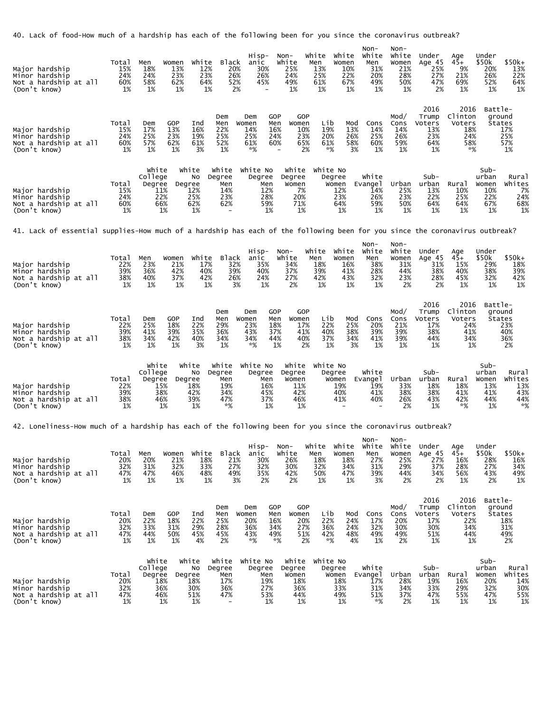40. Lack of food-How much of a hardship has each of the following been for you since the coronavirus outbreak?

| Major hardship<br>Minor hardship<br>Not a hardship at all<br>(Don't know)                                                    | Total<br>15%<br>24%<br>60%<br>1% | Men<br>Women<br>18%<br>13%<br>23%<br>24%<br>58%<br>62%<br>1%<br>1%      | White<br>Black<br>12%<br>20%<br>23%<br>26%<br>64%<br>52%<br>2%<br>1%                                                        | Hisp-<br>Non-<br>anic<br>White<br>30%<br>25%<br>24%<br>26%<br>45%<br>49%<br>1%<br>$\overline{\phantom{0}}$  | White<br>White<br>Men<br>Women<br>13%<br>10%<br>25%<br>22%<br>67%<br>61%<br>1%<br>1%                  | Non-<br>Non-<br>White<br>White<br>Men<br>Women<br>31%<br>21%<br>20%<br>28%<br>49%<br>50%<br>1%<br>1% | Under<br>Age 45<br>25%<br>27%<br>47%<br>2%         | Age<br>Under<br>$45+$<br>\$50k<br>9%<br>20%<br>21%<br>26%<br>69%<br>52%<br>1%<br>1%     | $$50k+$<br>13%<br>22%<br>64%<br>1%                     |
|------------------------------------------------------------------------------------------------------------------------------|----------------------------------|-------------------------------------------------------------------------|-----------------------------------------------------------------------------------------------------------------------------|-------------------------------------------------------------------------------------------------------------|-------------------------------------------------------------------------------------------------------|------------------------------------------------------------------------------------------------------|----------------------------------------------------|-----------------------------------------------------------------------------------------|--------------------------------------------------------|
| Major hardship<br>Minor hardship<br>Not a hardship at all<br>(Don't know)                                                    | Total<br>15%<br>24%<br>60%<br>1% | GOP<br>Dem<br>17%<br>13%<br>25%<br>23%<br>57%<br>62%<br>1%<br>1%        | Dem<br>Ind<br>Men<br>16%<br>22%<br>25%<br>19%<br>61%<br>52%<br>3%<br>1%                                                     | GOP<br>Dem<br>Women<br>Men<br>Women<br>14%<br>16%<br>25%<br>24%<br>60%<br>61%<br>*%                         | GOP<br>Lib<br>Mod<br>10%<br>19%<br>13%<br>23%<br>20%<br>26%<br>58%<br>65%<br>61%<br>2%<br>*%<br>3%    | Mod/<br>Cons<br>Cons<br>14%<br>14%<br>25%<br>26%<br>59%<br>60%<br>1%<br>1%                           | 2016<br>Trump<br>Voters<br>13%<br>23%<br>64%<br>1% | 2016<br>Clinton<br>Voters<br>18%<br>24%<br>58%<br>*%                                    | Battle-<br>ground<br>States<br>17%<br>25%<br>57%<br>1% |
| Major hardship<br>Minor hardship<br>Not a hardship at all<br>(Don't know)                                                    | Total<br>15%<br>24%<br>60%<br>1% | White<br>College<br>Degree<br>11%<br>22%<br>66%<br>1%                   | White<br>White<br>Degree<br>No<br>Degree<br>Men<br>12%<br>14%<br>23%<br>25%<br>62%<br>62%<br>1%<br>$\overline{\phantom{a}}$ | White No<br>White<br>Degree<br>Degree<br>Women<br>Men<br>7%<br>12%<br>28%<br>20%<br>71%<br>59%<br>1%<br>1%  | White No<br>Degree<br>Women<br>12%<br>23%<br>64%<br>1%                                                | White<br>Evange I<br>Urban<br>14%<br>25%<br>23%<br>26%<br>59%<br>50%<br>1%<br>1%                     | Sub-<br>urban<br>13%<br>22%<br>64%<br>1%           | $Sub-$<br>urban<br>Rural<br>Women<br>10%<br>10%<br>25%<br>22%<br>64%<br>67%<br>1%<br>1% | Rural<br>Whites<br>7%<br>24%<br>68%<br>1%              |
| 41. Lack of essential supplies-How much of a hardship has each of the following been for you since the coronavirus outbreak? |                                  |                                                                         |                                                                                                                             |                                                                                                             |                                                                                                       |                                                                                                      |                                                    |                                                                                         |                                                        |
| Major hardship<br>Minor hardship<br>Not a hardship at all<br>(Don't know)                                                    | Total<br>22%<br>39%<br>38%<br>1% | Men<br>Women<br>23%<br>21%<br>42%<br>36%<br>37%<br>40%<br>1%<br>1%      | White<br><b>Black</b><br>17%<br>32%<br>40%<br>39%<br>42%<br>26%<br>1%<br>3%                                                 | Hisp-<br>Non-<br>White<br>anic<br>35%<br>34%<br>37%<br>40%<br>24%<br>27%<br>1%<br>2%                        | White<br>white<br>Women<br>Men<br>18%<br>16%<br>39%<br>41%<br>42%<br>43%<br>1%<br>1%                  | Non-<br>Non-<br>White<br>White<br>Women<br>Men<br>38%<br>31%<br>28%<br>44%<br>32%<br>23%<br>1%<br>2% | Under<br>Age 45<br>31%<br>38%<br>28%<br>2%         | Under<br>Age<br>45+<br>\$50k<br>15%<br>29%<br>40%<br>38%<br>45%<br>32%<br>1%<br>1%      | \$50k+<br>18%<br>39%<br>42%<br>1%                      |
| Major hardship<br>Minor hardship<br>Not a hardship at all<br>(Don't know)                                                    | Total<br>22%<br>39%<br>38%<br>1% | GOP<br>Dem<br>25%<br>18%<br>41%<br>39%<br>34%<br>42%<br>1%<br>1%        | Dem<br>Ind<br>Men<br>22%<br>29%<br>35%<br>36%<br>40%<br>34%<br>3%<br>1%                                                     | GOP<br>Dem<br>Women<br>Men<br>Women<br>23%<br>18%<br>43%<br>37%<br>44%<br>34%<br>*%<br>1%                   | GOP<br>Lib<br>Mod<br>17%<br>22%<br>25%<br>38%<br>41%<br>40%<br>37%<br>34%<br>40%<br>2%<br>1%<br>3%    | Mod/<br>Cons<br>Cons<br>20%<br>21%<br>39%<br>39%<br>41%<br>39%<br>1%<br>1%                           | 2016<br>Trump<br>Voters<br>17%<br>38%<br>44%<br>1% | 2016<br>Clinton<br>Voters<br>24%<br>41%<br>34%<br>1%                                    | Battle-<br>ground<br>States<br>23%<br>40%<br>36%<br>2% |
| Major hardship<br>Minor hardship<br>Not a hardship at all<br>(Don't know)                                                    | Total<br>22%<br>39%<br>38%<br>1% | White<br>College<br>Degree<br>15%<br>38%<br>46%<br>1%                   | White<br>White<br>Degree<br>No<br>Men<br>Degree<br>18%<br>19%<br>42%<br>34%<br>47%<br>39%<br>1%<br>*%                       | White No<br>White<br>Degree<br>Degree<br>Men<br>Women<br>11%<br>16%<br>42%<br>45%<br>37%<br>46%<br>1%<br>1% | White No<br>Degree<br>Women<br>19%<br>40%<br>41%                                                      | White<br>Urban<br>Evange I<br>19%<br>33%<br>41%<br>38%<br>40%<br>26%<br>2%                           | Sub-<br>urban<br>18%<br>38%<br>43%<br>1%           | Sub-<br>urban<br>Rural<br>Women<br>13%<br>18%<br>41%<br>41%<br>42%<br>44%<br>$*%$<br>1% | Rural<br>Whites<br>13%<br>43%<br>44%<br>$*%$           |
| 42. Loneliness-How much of a hardship has each of the following been for you since the coronavirus outbreak?                 |                                  |                                                                         |                                                                                                                             |                                                                                                             |                                                                                                       |                                                                                                      |                                                    |                                                                                         |                                                        |
| Major hardship<br>Minor hardship<br>Not a hardship at all<br>(Don't know)                                                    | Tota]<br>20%<br>32%<br>47%<br>1% | Men<br>Women<br>20%<br>21%<br>32%<br>31%<br>47%<br>46%<br>1%<br>1%      | White<br>Black<br>18%<br>21%<br>27%<br>33%<br>48%<br>49%<br>1%<br>3%                                                        | Hisp-<br>Non-<br>White<br>anic<br>30%<br>26%<br>32%<br>30%<br>35%<br>42%<br>2%<br>2%                        | White<br>White<br>Men<br>Women<br>18%<br>18%<br>32%<br>34%<br>50%<br>47%<br>1%<br>1%                  | Non-<br>Non-<br>White<br>White<br>Women<br>Men<br>27%<br>25%<br>31%<br>29%<br>39%<br>3%<br>44%<br>2% | Under<br>Age 45<br>27%<br>37%<br>34%<br>2%         | Under<br>Age<br>$45+$<br>\$50k<br>28%<br>16%<br>28%<br>27%<br>56%<br>43%<br>1%<br>2%    | $$50k+$<br>16%<br>34%<br>49%<br>1%                     |
| Major hardship<br>Minor hardship<br>Not a hardship at all<br>(Don't know)                                                    | Total<br>20%<br>32%<br>47%<br>1% | <b>GOP</b><br>Dem<br>22%<br>18%<br>33%<br>31%<br>44%<br>50%<br>1%<br>1% | Dem<br>Ind<br>Men<br>22%<br>25%<br>29%<br>28%<br>45%<br>45%<br>4%<br>2%                                                     | GOP<br>Dem<br>Women<br>Men<br>Women<br>20%<br>16%<br>36%<br>34%<br>43%<br>49%<br>*%<br>*%                   | GOP<br>Lib<br>Mod<br>20%<br>22%<br>24%<br>27%<br>36%<br>24%<br>51%<br>42%<br>48%<br>2%<br>$*$ %<br>4% | Mod/<br>Cons<br>Cons<br>17%<br>20%<br>32%<br>30%<br>49%<br>49%<br>1%<br>2%                           | 2016<br>Trump<br>Voters<br>17%<br>30%<br>51%<br>1% | 2016<br>Clinton<br>Voters<br>22%<br>34%<br>44%<br>1%                                    | Battle-<br>ground<br>States<br>18%<br>31%<br>49%<br>2% |
| Major hardship<br>Minor hardship<br>Not a hardship at all<br>(Don't know)                                                    | Total<br>20%<br>32%<br>47%<br>1% | White<br>College<br>Degree<br>18%<br>36%<br>46%<br>1%                   | White<br>White<br>No<br>Degree<br>Degree<br>Men<br>18%<br>17%<br>30%<br>36%<br>51%<br>47%<br>1%                             | White No<br>white<br>Degree<br>Degree<br>Men<br>Women<br>18%<br>19%<br>27%<br>36%<br>53%<br>44%<br>1%<br>1% | White No<br>Degree<br>Women<br>18%<br>33%<br>49%<br>1%                                                | White<br>Urban<br>Evange 1<br>17%<br>28%<br>34%<br>31%<br>51%<br>37%<br>*%<br>2%                     | $Sub-$<br>urban<br>19%<br>33%<br>47%<br>1%         | Sub-<br>urban<br>Rural<br>Women<br>16%<br>20%<br>29%<br>32%<br>55%<br>47%<br>1%<br>1%   | Rural<br>Whites<br>14%<br>30%<br>55%<br>1%             |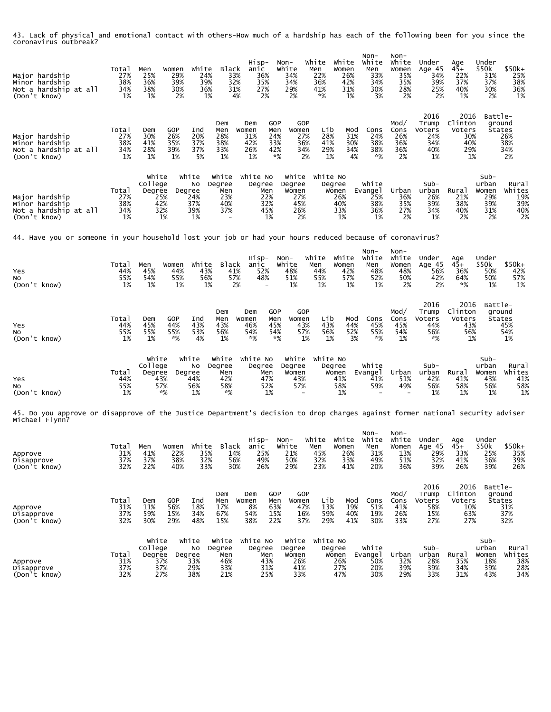43. Lack of physical and emotional contact with others-How much of a hardship has each of the following been for you since the coronavirus outbreak?

| Major hardship<br>Minor hardship<br>Not a hardship at all<br>(Don't know)                                                                        | Total<br>27%<br>38%<br>34%<br>1% | Men<br>25%<br>36%<br>38%<br>1%                        | Women<br>29%<br>39%<br>30%<br>2% | White<br>24%<br>39%<br>36%<br>1%       | Black<br>33%<br>32%<br>31%<br>4%            | Hisp-<br>anic<br>36%<br>35%<br>27%<br>2%                            | Non-<br>White<br>34%<br>34%<br>29%<br>2%            | White<br>Men<br>22%<br>36%<br>41%<br>*%            | White<br>Women<br>26%<br>42%<br>31%<br>1%  | $Non-$<br>White<br>Men<br>33%<br>34%<br>30%<br>3% | Non-<br>White<br>Women<br>35%<br>35%<br>28%<br>2% | Under<br>Age 45<br>34%<br>39%<br>25%<br>2%         | Age<br>$45+$<br>22%<br>37%<br>40%<br>1%              | Under<br>\$50k<br>31%<br>37%<br>30%<br>2%         | \$50k+<br>25%<br>38%<br>36%<br>1%          |
|--------------------------------------------------------------------------------------------------------------------------------------------------|----------------------------------|-------------------------------------------------------|----------------------------------|----------------------------------------|---------------------------------------------|---------------------------------------------------------------------|-----------------------------------------------------|----------------------------------------------------|--------------------------------------------|---------------------------------------------------|---------------------------------------------------|----------------------------------------------------|------------------------------------------------------|---------------------------------------------------|--------------------------------------------|
| Major hardship<br>Minor hardship<br>Not a hardship at all<br>(Don't know)                                                                        | Total<br>27%<br>38%<br>34%<br>1% | Dem<br>30%<br>41%<br>28%<br>1%                        | GOP<br>26%<br>35%<br>39%<br>1%   | Ind<br>20%<br>37%<br>37%<br>5%         | Dem<br>Men<br>28%<br>38%<br>33%<br>1%       | <b>GOP</b><br>Dem<br>Women<br>Men<br>31%<br>24%<br>42%<br>26%<br>1% | GOP<br>Women<br>27%<br>33%<br>42%<br>*%             | Lib<br>28%<br>41%<br>36%<br>34%<br>29%<br>2%<br>1% | Mod<br>31%<br>30%<br>34%<br>4%             | Cons<br>24%<br>38%<br>38%<br>*%                   | Mod/<br>Cons<br>26%<br>36%<br>36%<br>2%           | 2016<br>Trump<br>Voters<br>24%<br>34%<br>40%<br>1% | 2016<br>Clinton<br>Voters<br>30%<br>40%<br>29%<br>1% | Battle-<br>ground<br>States                       | 26%<br>38%<br>34%<br>2%                    |
| Major hardship<br>Minor hardship<br>Not a hardship at all<br>(Don't know)                                                                        | Total<br>27%<br>38%<br>34%<br>1% | White<br>College<br>Degree<br>25%<br>42%<br>32%<br>1% | Degree                           | White<br>No<br>24%<br>37%<br>39%<br>1% | White<br>Degree<br>Men<br>23%<br>40%<br>37% | White No<br>Degree<br>Men<br>22%<br>32%<br>45%<br>1%                | White<br>Degree<br>Women<br>27%<br>45%<br>26%<br>2% | White No                                           | Degree<br>Women<br>26%<br>40%<br>33%<br>1% | White<br>Evange 1<br>25%<br>38%<br>36%<br>1%      | Urban<br>36%<br>35%<br>27%<br>2%                  | Sub-<br>urban<br>26%<br>39%<br>34%<br>1%           | Rural<br>21%<br>38%<br>40%<br>2%                     | Sub-<br>urban<br>Women<br>29%<br>39%<br>31%<br>2% | Rural<br>Whites<br>19%<br>39%<br>40%<br>2% |
| 44. Have you or someone in your household lost your job or had your hours reduced because of coronavirus?                                        |                                  |                                                       |                                  |                                        |                                             |                                                                     |                                                     |                                                    |                                            |                                                   |                                                   |                                                    |                                                      |                                                   |                                            |
| Yes<br>No<br>(Don't know)                                                                                                                        | Total<br>44%<br>55%<br>1%        | Men<br>45%<br>54%<br>1%                               | Women<br>44%<br>55%<br>1%        | White<br>43%<br>56%<br>1%              | Black<br>41%<br>57%<br>2%                   | Hisp-<br>anic<br>52%<br>48%                                         | Non-<br>White<br>48%<br>51%<br>1%                   | White<br>Men<br>44%<br>55%<br>1%                   | White<br>Women<br>42%<br>57%<br>1%         | Non-<br>White<br>Men<br>48%<br>52%<br>1%          | Non-<br>White<br>Women<br>48%<br>50%<br>2%        | Under<br>Age 45<br>56%<br>42%<br>2%                | Age<br>45+<br>36%<br>64%<br>*%                       | Under<br>\$50k<br>50%<br>50%<br>1%                | \$50k+<br>42%<br>57%<br>1%                 |
| Yes<br>No<br>(Don't know)                                                                                                                        | Total<br>44%<br>55%<br>1%        | Dem<br>45%<br>55%<br>1%                               | GOP<br>44%<br>55%<br>*%          | Ind<br>43%<br>53%<br>4%                | Dem<br>Men<br>43%<br>56%<br>1%              | <b>GOP</b><br>Dem<br>Women<br>Men<br>46%<br>45%<br>54%<br>*%        | GOP<br>Women<br>43%<br>54%<br>*%                    | Lib<br>43%<br>57%<br>56%<br>1%<br>1%               | Mod<br>44%<br>52%<br>3%                    | Cons<br>45%<br>55%<br>*%                          | Mod/<br>Cons<br>45%<br>54%<br>1%                  | 2016<br>Trump<br>Voters<br>44%<br>56%<br>*%        | 2016<br>Clinton<br>Voters<br>43%<br>56%<br>1%        | Battle-<br>ground<br>States                       | 45%<br>54%<br>1%                           |
| Yes<br>NO.<br>(Don't know)                                                                                                                       | Total<br>44%<br>55%<br>1%        | White<br>College<br>Degree<br>43%<br>57%<br>*%        | Degree                           | White<br>No<br>44%<br>56%<br>1%        | White<br>Degree<br>Men<br>42%<br>58%<br>*%  | White No<br>Degree<br>Men<br>47%<br>52%<br>1%                       | White<br>Degree<br>Women<br>43%<br>57%              | White No                                           | Degree<br>Women<br>41%<br>58%<br>1%        | White<br>Evange 1<br>41%<br>59%                   | Urban<br>51%<br>49%                               | Sub-<br>urban<br>42%<br>56%<br>1%                  | Rural<br>41%<br>58%<br>1%                            | Sub-<br>urban<br>Women<br>43%<br>56%<br>1%        | Rural<br>Whites<br>41%<br>58%<br>1%        |
| 45. Do you approve or disapprove of the Justice Department's decision to drop charges against former national security adviser<br>Michael Flynn? |                                  |                                                       |                                  |                                        |                                             |                                                                     |                                                     |                                                    |                                            |                                                   |                                                   |                                                    |                                                      |                                                   |                                            |
| Approve<br>Disapprove<br>(Don't know)                                                                                                            | Total<br>31%<br>37%<br>32%       | Men<br>41%<br>37%<br>22%                              | Women<br>22%<br>38%<br>40%       | White<br>35%<br>32%<br>33%             | Black<br>14%<br>56%<br>30%                  | Hisp-<br>anic<br>25%<br>49%<br>26%                                  | Non-<br>White<br>21%<br>50%<br>29%                  | White<br>Men<br>45%<br>32%<br>23%                  | White<br>Women<br>26%<br>33%<br>41%        | Non-<br>White<br>Men<br>31%<br>49%<br>20%         | Non-<br>White<br>Women<br>13%<br>51%<br>36%       | Under<br>Age 45<br>29%<br>32%<br>39%               | Age<br>$45+$<br>33%<br>41%<br>26%                    | Under<br>\$50k<br>25%<br>36%<br>39%               | \$50k+<br>35%<br>39%<br>26%                |
| Approve<br>Disapprove<br>(Don't know)                                                                                                            | Total<br>31%<br>37%<br>32%       | Dem<br>11%<br>59%<br>30%                              | <b>GOP</b><br>56%<br>15%<br>29%  | Ind<br>18%<br>34%<br>48%               | Dem<br>Men<br>17%<br>67%<br>15%             | <b>GOP</b><br>Dem<br>Men<br>Women<br>8%<br>54%<br>15%<br>38%<br>22% | <b>GOP</b><br>Women<br>63%<br>47%                   | Lib<br>13%<br>59%<br>16%<br>29%<br>37%             | Mod<br>19%<br>40%<br>41%                   | Cons<br>51%<br>19%<br>30%                         | Mod/<br>Cons<br>41%<br>26%<br>33%                 | 2016<br>Trump<br>Voters<br>58%<br>15%<br>27%       | 2016<br>Clinton<br>Voters<br>10%<br>63%<br>27%       | Battle-<br>ground<br>States                       | 31%<br>37%<br>32%                          |
| Approve<br>Disapprove<br>(Don't know)                                                                                                            | Total<br>31%<br>37%<br>32%       | White<br>College<br>Degree<br>37%<br>37%<br>27%       | Degree                           | White<br>No<br>33%<br>29%<br>38%       | White<br>Degree<br>Men<br>46%<br>33%<br>21% | White No<br>Degree<br>Men<br>43%<br>31%<br>25%                      | White<br>Degree<br>Women<br>26%<br>41%<br>33%       | White No                                           | Degree<br>Women<br>26%<br>27%<br>47%       | White<br>Evange1<br>50%<br>20%<br>30%             | Urban<br>32%<br>39%<br>29%                        | Sub-<br>urban<br>28%<br>39%<br>33%                 | Rura1<br>35%<br>34%<br>31%                           | $Sub-$<br>urban<br>Women<br>18%<br>39%<br>43%     | Rural<br>Whites<br>38%<br>28%<br>34%       |